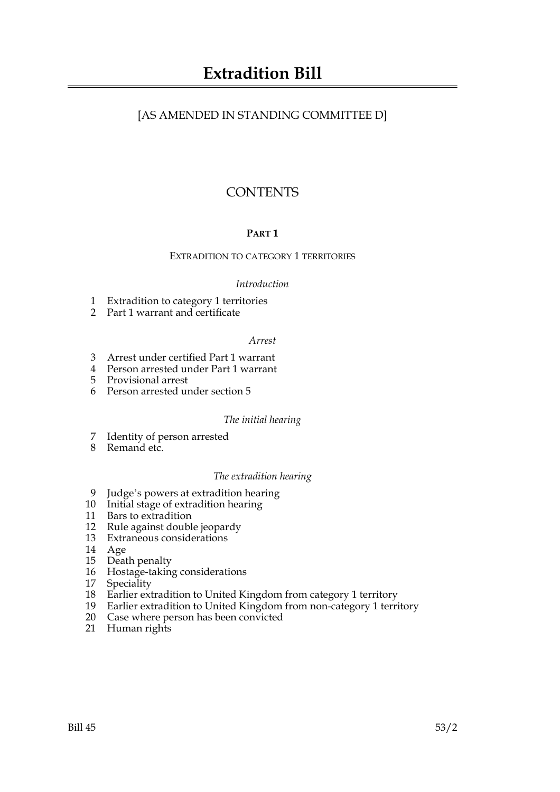## [AS AMENDED IN STANDING COMMITTEE D]

# **CONTENTS**

## **PART 1**

## EXTRADITION TO CATEGORY 1 TERRITORIES

## *Introduction*

- 1 Extradition to category 1 territories
- 2 Part 1 warrant and certificate

## *Arrest*

- 3 Arrest under certified Part 1 warrant
- 4 Person arrested under Part 1 warrant
- 5 Provisional arrest
- 6 Person arrested under section [5](#page-10-0)

## *The initial hearing*

- 7 Identity of person arrested
- 8 Remand etc.

## *The extradition hearing*

- 9 Judge's powers at extradition hearing
- 10 Initial stage of extradition hearing
- 11 Bars to extradition
- 12 Rule against double jeopardy
- 13 Extraneous considerations
- 14 Age
- 15 Death penalty
- 16 Hostage-taking considerations<br>17 Speciality
- **Speciality**
- 18 Earlier extradition to United Kingdom from category 1 territory
- 19 Earlier extradition to United Kingdom from non-category 1 territory
- 20 Case where person has been convicted
- 21 Human rights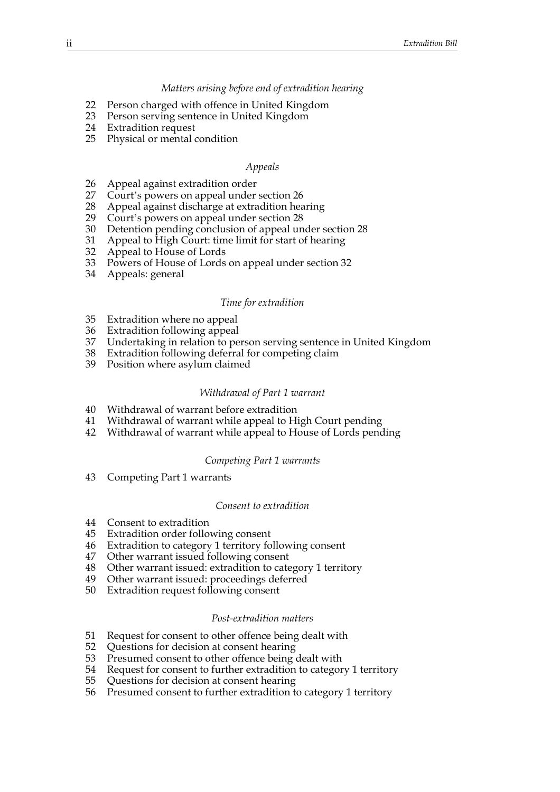#### *Matters arising before end of extradition hearing*

- 22 Person charged with offence in United Kingdom<br>23 Person serving sentence in United Kingdom
- Person serving sentence in United Kingdom
- 24 Extradition request
- 25 Physical or mental condition

#### *Appeals*

- 26 Appeal against extradition order
- 27 Court's powers on appeal under section [26](#page-18-0)
- 28 Appeal against discharge at extradition hearing
- 29 Court's powers on appeal under section [28](#page-19-0)
- 30 Detention pending conclusion of appeal under section [28](#page-19-0)
- 31 Appeal to High Court: time limit for start of hearing
- 32 Appeal to House of Lords
- 33 Powers of House of Lords on appeal under section [32](#page-20-0)
- 34 Appeals: general

#### *Time for extradition*

- 35 Extradition where no appeal
- 36 Extradition following appeal
- 37 Undertaking in relation to person serving sentence in United Kingdom
- 38 Extradition following deferral for competing claim
- 39 Position where asylum claimed

#### *Withdrawal of Part 1 warrant*

- 40 Withdrawal of warrant before extradition
- 41 Withdrawal of warrant while appeal to High Court pending
- 42 Withdrawal of warrant while appeal to House of Lords pending

#### *Competing Part 1 warrants*

43 Competing Part 1 warrants

#### *Consent to extradition*

- 44 Consent to extradition
- 45 Extradition order following consent
- 46 Extradition to category 1 territory following consent
- 47 Other warrant issued following consent
- 48 Other warrant issued: extradition to category 1 territory
- 49 Other warrant issued: proceedings deferred
- 50 Extradition request following consent

#### *Post-extradition matters*

- 51 Request for consent to other offence being dealt with
- 52 Questions for decision at consent hearing
- 53 Presumed consent to other offence being dealt with
- 54 Request for consent to further extradition to category 1 territory
- 55 Questions for decision at consent hearing
- 56 Presumed consent to further extradition to category 1 territory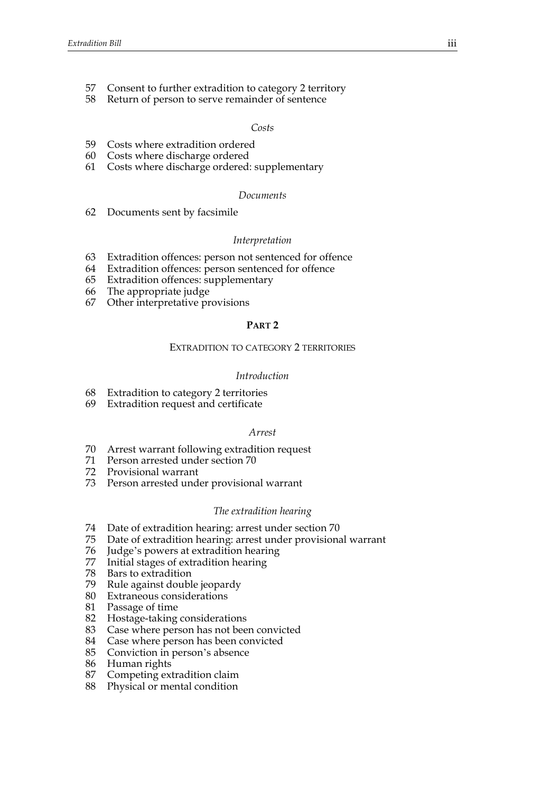- 57 Consent to further extradition to category 2 territory
- 58 Return of person to serve remainder of sentence

*Costs*

- 59 Costs where extradition ordered
- 60 Costs where discharge ordered
- 61 Costs where discharge ordered: supplementary

#### *Documents*

62 Documents sent by facsimile

#### *Interpretation*

- 63 Extradition offences: person not sentenced for offence
- 64 Extradition offences: person sentenced for offence
- 65 Extradition offences: supplementary
- 66 The appropriate judge
- 67 Other interpretative provisions

#### **PART 2**

#### EXTRADITION TO CATEGORY 2 TERRITORIES

#### *Introduction*

- 68 Extradition to category 2 territories
- 69 Extradition request and certificate

#### *Arrest*

- 70 Arrest warrant following extradition request
- 71 Person arrested under section [70](#page-42-0)
- 72 Provisional warrant
- 73 Person arrested under provisional warrant

#### *The extradition hearing*

- 74 Date of extradition hearing: arrest under section 70
- 75 Date of extradition hearing: arrest under provisional warrant
- 76 Judge's powers at extradition hearing
- 77 Initial stages of extradition hearing
- 78 Bars to extradition<br>79 Rule against double
- Rule against double jeopardy
- 80 Extraneous considerations<br>81 Passage of time
- Passage of time
- 82 Hostage-taking considerations
- 83 Case where person has not been convicted
- 84 Case where person has been convicted
- 85 Conviction in person's absence
- 86 Human rights
- 87 Competing extradition claim
- 88 Physical or mental condition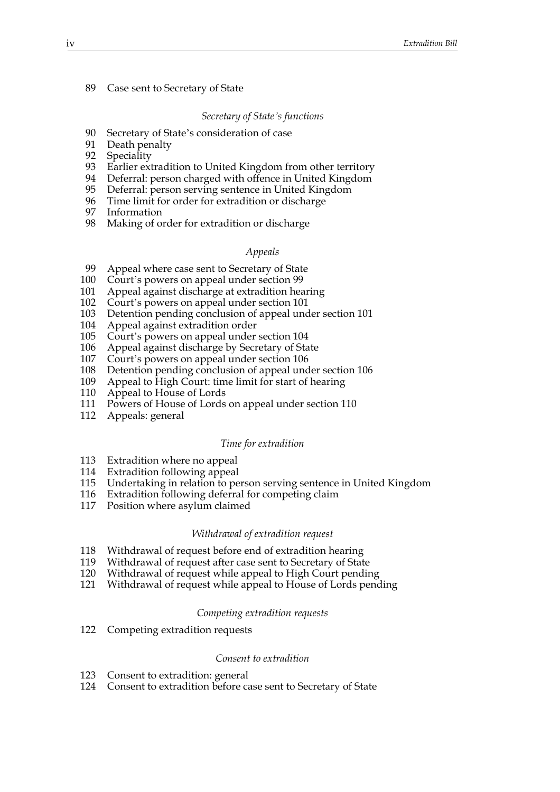89 Case sent to Secretary of State

#### *Secretary of State's functions*

- 90 Secretary of State's consideration of case
- 91 Death penalty
- 92 Speciality<br>93 Earlier ext
- Earlier extradition to United Kingdom from other territory
- 94 Deferral: person charged with offence in United Kingdom<br>95 Deferral: person serving sentence in United Kingdom
- 95 Deferral: person serving sentence in United Kingdom<br>96 Time limit for order for extradition or discharge
- Time limit for order for extradition or discharge
- 97 Information
- 98 Making of order for extradition or discharge

#### *Appeals*

- 99 Appeal where case sent to Secretary of State
- 100 Court's powers on appeal under section [99](#page-56-0)
- 101 Appeal against discharge at extradition hearing
- 102 Court's powers on appeal under section [101](#page-57-0)
- 103 Detention pending conclusion of appeal under section [101](#page-57-0)
- 104 Appeal against extradition order
- 105 Court's powers on appeal under section [104](#page-58-0)
- 106 Appeal against discharge by Secretary of State
- 107 Court's powers on appeal under section [106](#page-59-0)
- 108 Detention pending conclusion of appeal under section [106](#page-59-0)
- 109 Appeal to High Court: time limit for start of hearing
- 110 Appeal to House of Lords
- 111 Powers of House of Lords on appeal under section [110](#page-61-0)
- 112 Appeals: general

#### *Time for extradition*

- 113 Extradition where no appeal
- 114 Extradition following appeal
- 115 Undertaking in relation to person serving sentence in United Kingdom
- 116 Extradition following deferral for competing claim
- 117 Position where asylum claimed

#### *Withdrawal of extradition request*

- 118 Withdrawal of request before end of extradition hearing
- 119 Withdrawal of request after case sent to Secretary of State
- 120 Withdrawal of request while appeal to High Court pending
- 121 Withdrawal of request while appeal to House of Lords pending

#### *Competing extradition requests*

122 Competing extradition requests

#### *Consent to extradition*

- 123 Consent to extradition: general
- 124 Consent to extradition before case sent to Secretary of State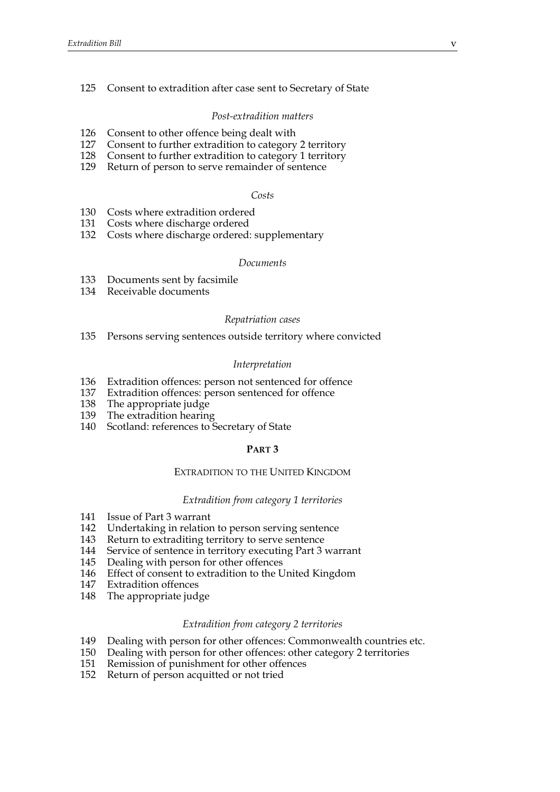125 Consent to extradition after case sent to Secretary of State

## *Post-extradition matters*

- 126 Consent to other offence being dealt with<br>127 Consent to further extradition to category
- Consent to further extradition to category 2 territory
- 128 Consent to further extradition to category 1 territory
- 129 Return of person to serve remainder of sentence

#### *Costs*

- 130 Costs where extradition ordered
- 131 Costs where discharge ordered
- 132 Costs where discharge ordered: supplementary

#### *Documents*

- 133 Documents sent by facsimile
- 134 Receivable documents

#### *Repatriation cases*

135 Persons serving sentences outside territory where convicted

#### *Interpretation*

- 136 Extradition offences: person not sentenced for offence
- 137 Extradition offences: person sentenced for offence
- 138 The appropriate judge
- 139 The extradition hearing
- 140 Scotland: references to Secretary of State

## **PART 3**

#### EXTRADITION TO THE UNITED KINGDOM

## *Extradition from category 1 territories*

- 141 Issue of Part 3 warrant
- 142 Undertaking in relation to person serving sentence
- 143 Return to extraditing territory to serve sentence
- 144 Service of sentence in territory executing Part 3 warrant
- 145 Dealing with person for other offences
- 146 Effect of consent to extradition to the United Kingdom<br>147 Extradition offences
- **Extradition offences**
- 148 The appropriate judge

#### *Extradition from category 2 territories*

- 149 Dealing with person for other offences: Commonwealth countries etc.
- 150 Dealing with person for other offences: other category 2 territories
- 151 Remission of punishment for other offences
- 152 Return of person acquitted or not tried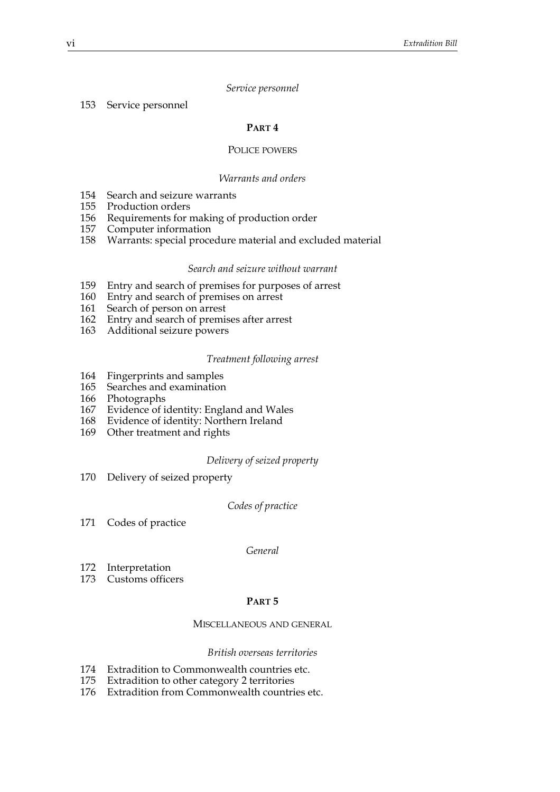*Service personnel*

#### 153 Service personnel

#### **PART 4**

## POLICE POWERS

#### *Warrants and orders*

- 154 Search and seizure warrants
- 155 Production orders
- 156 Requirements for making of production order
- 157 Computer information
- 158 Warrants: special procedure material and excluded material

#### *Search and seizure without warrant*

- 159 Entry and search of premises for purposes of arrest
- 160 Entry and search of premises on arrest
- 161 Search of person on arrest
- 162 Entry and search of premises after arrest
- 163 Additional seizure powers

#### *Treatment following arrest*

- 164 Fingerprints and samples
- 165 Searches and examination
- 166 Photographs
- 167 Evidence of identity: England and Wales
- 168 Evidence of identity: Northern Ireland
- 169 Other treatment and rights

#### *Delivery of seized property*

170 Delivery of seized property

## *Codes of practice*

171 Codes of practice

#### *General*

- 172 Interpretation
- 173 Customs officers

#### **PART 5**

## MISCELLANEOUS AND GENERAL

#### *British overseas territories*

- 174 Extradition to Commonwealth countries etc.<br>175 Extradition to other category 2 territories
- Extradition to other category 2 territories
- 176 Extradition from Commonwealth countries etc.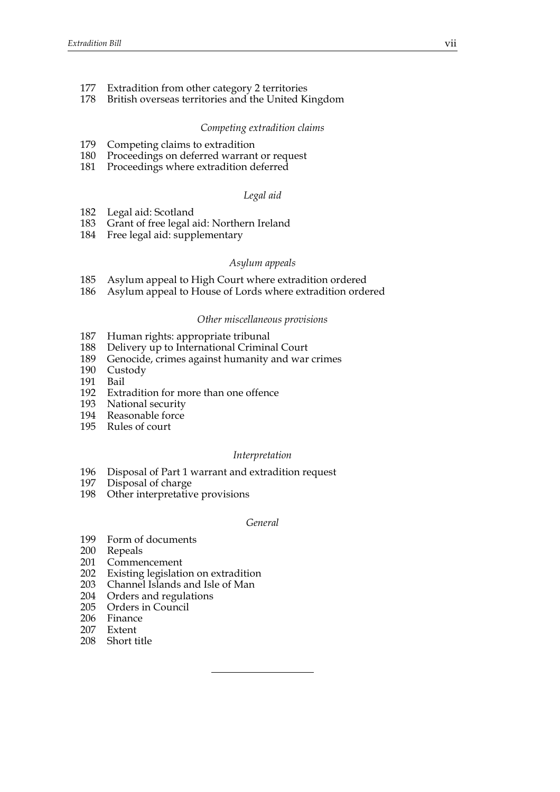- 177 Extradition from other category 2 territories
- 178 British overseas territories and the United Kingdom

## *Competing extradition claims*

- 179 Competing claims to extradition
- 180 Proceedings on deferred warrant or request
- 181 Proceedings where extradition deferred

#### *Legal aid*

- 182 Legal aid: Scotland
- 183 Grant of free legal aid: Northern Ireland
- 184 Free legal aid: supplementary

#### *Asylum appeals*

- 185 Asylum appeal to High Court where extradition ordered
- 186 Asylum appeal to House of Lords where extradition ordered

#### *Other miscellaneous provisions*

- 187 Human rights: appropriate tribunal
- 188 Delivery up to International Criminal Court
- 189 Genocide, crimes against humanity and war crimes
- 190 Custody
- 191 Bail
- 192 Extradition for more than one offence
- 193 National security
- 194 Reasonable force
- 195 Rules of court

#### *Interpretation*

- 196 Disposal of Part 1 warrant and extradition request
- 197 Disposal of charge
- 198 Other interpretative provisions

#### *General*

- 199 Form of documents
- 200 Repeals
- 201 Commencement
- 
- 202 Existing legislation on extradition<br>203 Channel Islands and Isle of Man Channel Islands and Isle of Man
- 204 Orders and regulations
- 205 Orders in Council
- 
- 206 Finance<br>207 Extent Extent
- 208 Short title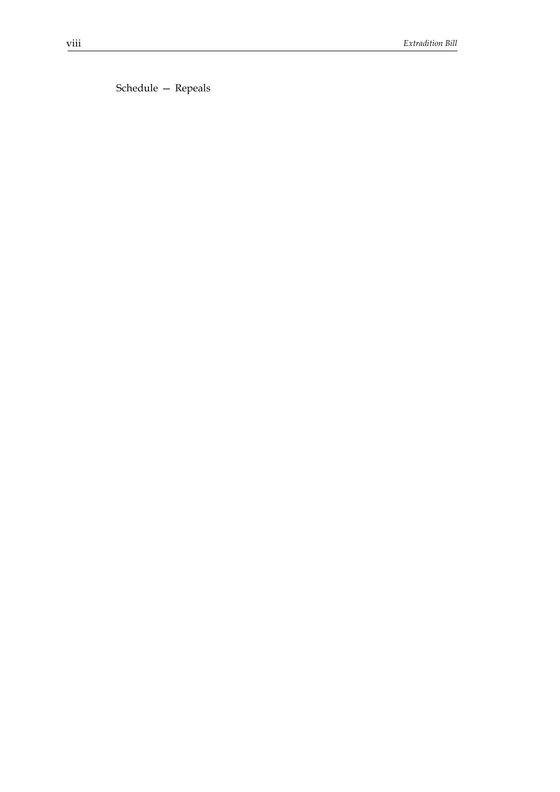Schedule — Repeals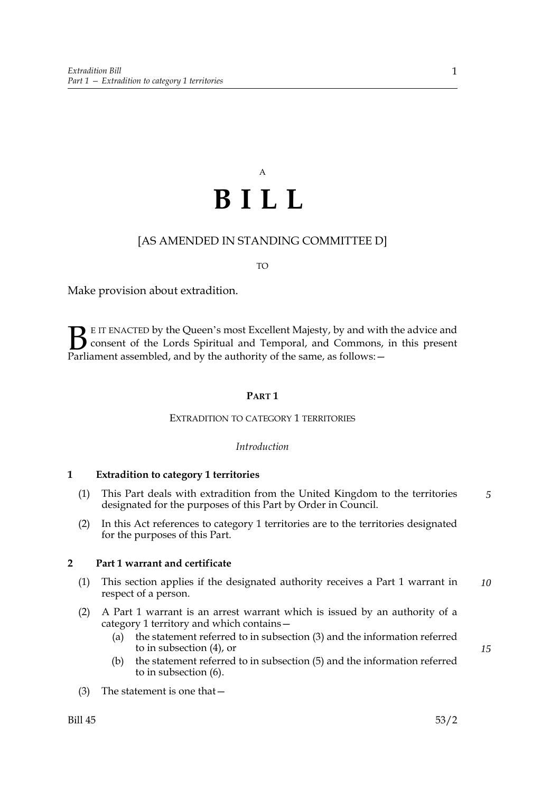# A **BILL**

## [AS AMENDED IN STANDING COMMITTEE D]

TO

Make provision about extradition.

E IT ENACTED by the Queen's most Excellent Majesty, by and with the advice and consent of the Lords Spiritual and Temporal, and Commons, in this present **B** E IT ENACTED by the Queen's most Excellent Majesty, by and with consent of the Lords Spiritual and Temporal, and Commons, Parliament assembled, and by the authority of the same, as follows:  $-$ 

## **PART 1**

#### EXTRADITION TO CATEGORY 1 TERRITORIES

#### *Introduction*

## **1 Extradition to category 1 territories**

- (1) This Part deals with extradition from the United Kingdom to the territories designated for the purposes of this Part by Order in Council. *5*
- (2) In this Act references to category 1 territories are to the territories designated for the purposes of this Part.

#### **2 Part 1 warrant and certificate**

- (1) This section applies if the designated authority receives a Part 1 warrant in respect of a person. *10*
- (2) A Part 1 warrant is an arrest warrant which is issued by an authority of a category 1 territory and which contains—
	- (a) the statement referred to in subsection (3) and the information referred to in subsection (4), or
	- (b) the statement referred to in subsection (5) and the information referred to in subsection (6).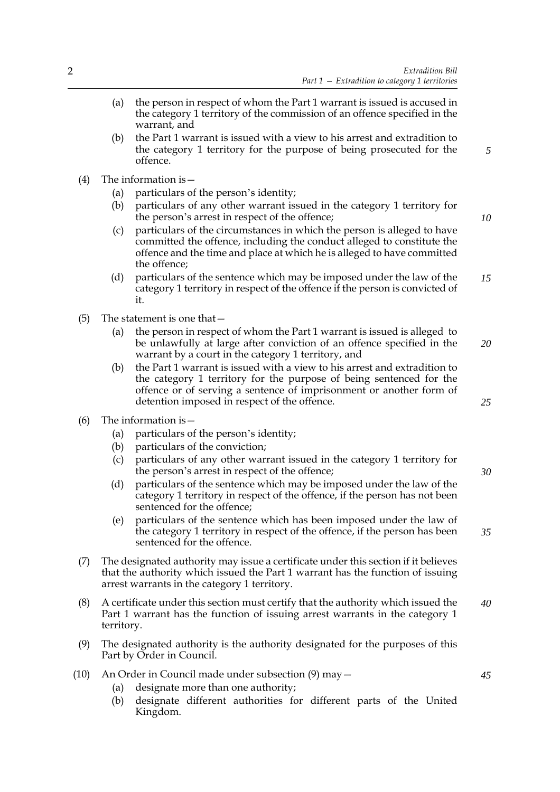- (a) the person in respect of whom the Part 1 warrant is issued is accused in the category 1 territory of the commission of an offence specified in the warrant, and
- (b) the Part 1 warrant is issued with a view to his arrest and extradition to the category 1 territory for the purpose of being prosecuted for the offence.
- (4) The information is—
	- (a) particulars of the person's identity;
	- (b) particulars of any other warrant issued in the category 1 territory for the person's arrest in respect of the offence;
	- (c) particulars of the circumstances in which the person is alleged to have committed the offence, including the conduct alleged to constitute the offence and the time and place at which he is alleged to have committed the offence;
	- (d) particulars of the sentence which may be imposed under the law of the category 1 territory in respect of the offence if the person is convicted of it. *15*
- (5) The statement is one that—
	- (a) the person in respect of whom the Part 1 warrant is issued is alleged to be unlawfully at large after conviction of an offence specified in the warrant by a court in the category 1 territory, and *20*
	- (b) the Part 1 warrant is issued with a view to his arrest and extradition to the category 1 territory for the purpose of being sentenced for the offence or of serving a sentence of imprisonment or another form of detention imposed in respect of the offence.
- (6) The information is  $-$ 
	- (a) particulars of the person's identity;
	- (b) particulars of the conviction;
	- (c) particulars of any other warrant issued in the category 1 territory for the person's arrest in respect of the offence;
	- (d) particulars of the sentence which may be imposed under the law of the category 1 territory in respect of the offence, if the person has not been sentenced for the offence;
	- (e) particulars of the sentence which has been imposed under the law of the category 1 territory in respect of the offence, if the person has been sentenced for the offence.
- (7) The designated authority may issue a certificate under this section if it believes that the authority which issued the Part 1 warrant has the function of issuing arrest warrants in the category 1 territory.
- (8) A certificate under this section must certify that the authority which issued the Part 1 warrant has the function of issuing arrest warrants in the category 1 territory. *40*
- (9) The designated authority is the authority designated for the purposes of this Part by Order in Council.
- (10) An Order in Council made under subsection (9) may—
	- (a) designate more than one authority;
	- (b) designate different authorities for different parts of the United Kingdom.

*10*

*5*

*25*

*30*

*35*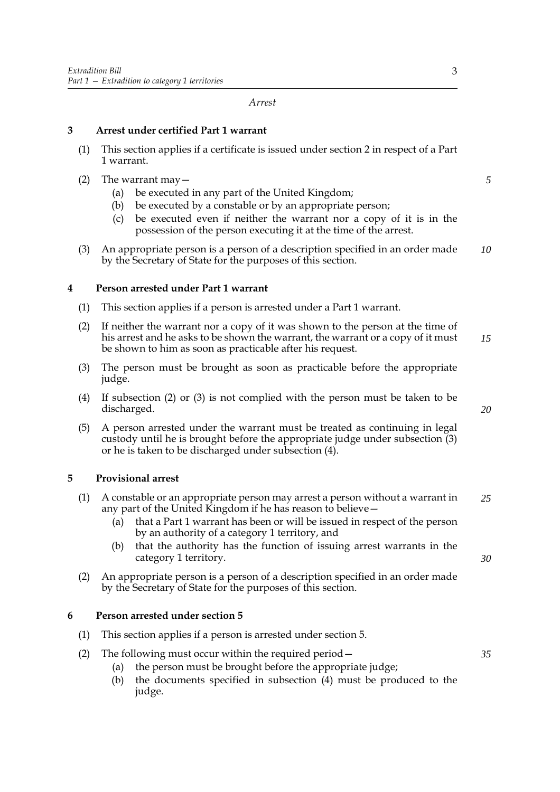*Arrest*

## **3 Arrest under certified Part 1 warrant**

- (1) This section applies if a certificate is issued under section 2 in respect of a Part 1 warrant.
- (2) The warrant may—
	- (a) be executed in any part of the United Kingdom;
	- (b) be executed by a constable or by an appropriate person;
	- (c) be executed even if neither the warrant nor a copy of it is in the possession of the person executing it at the time of the arrest.
- (3) An appropriate person is a person of a description specified in an order made by the Secretary of State for the purposes of this section. *10*

## **4 Person arrested under Part 1 warrant**

- (1) This section applies if a person is arrested under a Part 1 warrant.
- (2) If neither the warrant nor a copy of it was shown to the person at the time of his arrest and he asks to be shown the warrant, the warrant or a copy of it must be shown to him as soon as practicable after his request. *15*
- (3) The person must be brought as soon as practicable before the appropriate judge.
- (4) If subsection (2) or (3) is not complied with the person must be taken to be discharged.
- (5) A person arrested under the warrant must be treated as continuing in legal custody until he is brought before the appropriate judge under subsection (3) or he is taken to be discharged under subsection (4).

## <span id="page-10-0"></span>**5 Provisional arrest**

- (1) A constable or an appropriate person may arrest a person without a warrant in any part of the United Kingdom if he has reason to believe— *25*
	- (a) that a Part 1 warrant has been or will be issued in respect of the person by an authority of a category 1 territory, and
	- (b) that the authority has the function of issuing arrest warrants in the category 1 territory.
- (2) An appropriate person is a person of a description specified in an order made by the Secretary of State for the purposes of this section.

## <span id="page-10-1"></span>**6 Person arrested under section 5**

- (1) This section applies if a person is arrested under section 5.
- (2) The following must occur within the required period—
	- (a) the person must be brought before the appropriate judge;
	- (b) the documents specified in subsection (4) must be produced to the judge.

*20*

*30*

*35*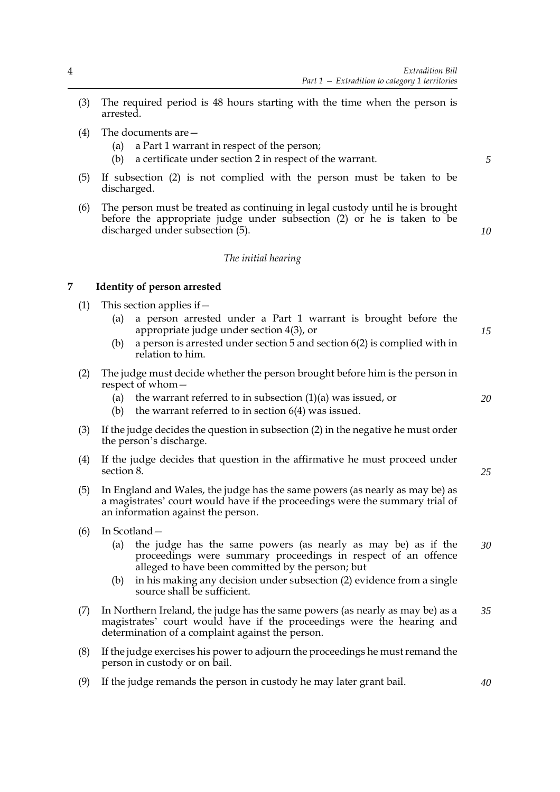- (3) The required period is 48 hours starting with the time when the person is arrested.
- (4) The documents are—
	- (a) a Part 1 warrant in respect of the person;
	- (b) a certificate under section 2 in respect of the warrant.

*5*

*10*

- (5) If subsection (2) is not complied with the person must be taken to be discharged.
- (6) The person must be treated as continuing in legal custody until he is brought before the appropriate judge under subsection (2) or he is taken to be discharged under subsection (5).

#### *The initial hearing*

## **7 Identity of person arrested**

- (1) This section applies if—
	- (a) a person arrested under a Part 1 warrant is brought before the appropriate judge under section 4(3), or
	- (b) a person is arrested under section 5 and section [6](#page-10-1)(2) is complied with in relation to him.
- (2) The judge must decide whether the person brought before him is the person in respect of whom—
	- (a) the warrant referred to in subsection  $(1)(a)$  was issued, or
	- (b) the warrant referred to in section  $6(4)$  $6(4)$  was issued.
- (3) If the judge decides the question in subsection (2) in the negative he must order the person's discharge.
- (4) If the judge decides that question in the affirmative he must proceed under section 8.
- (5) In England and Wales, the judge has the same powers (as nearly as may be) as a magistrates' court would have if the proceedings were the summary trial of an information against the person.
- (6) In Scotland—
	- (a) the judge has the same powers (as nearly as may be) as if the proceedings were summary proceedings in respect of an offence alleged to have been committed by the person; but
	- (b) in his making any decision under subsection (2) evidence from a single source shall be sufficient.
- (7) In Northern Ireland, the judge has the same powers (as nearly as may be) as a magistrates' court would have if the proceedings were the hearing and determination of a complaint against the person. *35*
- (8) If the judge exercises his power to adjourn the proceedings he must remand the person in custody or on bail.
- (9) If the judge remands the person in custody he may later grant bail.

4

*20*

*15*

*25*

*30*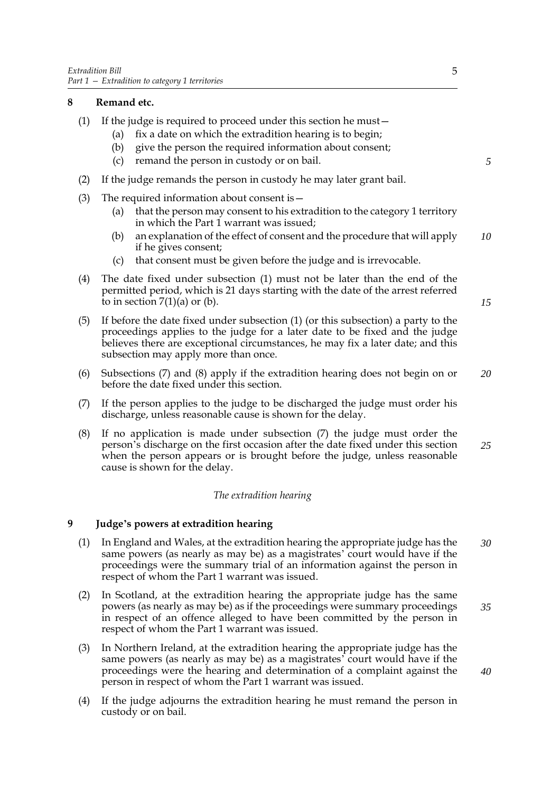## **8 Remand etc.**

- (1) If the judge is required to proceed under this section he must—
	- (a) fix a date on which the extradition hearing is to begin;
	- (b) give the person the required information about consent;
	- (c) remand the person in custody or on bail.
- (2) If the judge remands the person in custody he may later grant bail.
- (3) The required information about consent is—
	- (a) that the person may consent to his extradition to the category 1 territory in which the Part 1 warrant was issued;
	- (b) an explanation of the effect of consent and the procedure that will apply if he gives consent; *10*
	- (c) that consent must be given before the judge and is irrevocable.
- (4) The date fixed under subsection (1) must not be later than the end of the permitted period, which is 21 days starting with the date of the arrest referred to in section  $7(1)(a)$  or  $(b)$ .
- (5) If before the date fixed under subsection (1) (or this subsection) a party to the proceedings applies to the judge for a later date to be fixed and the judge believes there are exceptional circumstances, he may fix a later date; and this subsection may apply more than once.
- (6) Subsections (7) and (8) apply if the extradition hearing does not begin on or before the date fixed under this section. *20*
- (7) If the person applies to the judge to be discharged the judge must order his discharge, unless reasonable cause is shown for the delay.
- (8) If no application is made under subsection (7) the judge must order the person's discharge on the first occasion after the date fixed under this section when the person appears or is brought before the judge, unless reasonable cause is shown for the delay. *25*

## *The extradition hearing*

## **9 Judge's powers at extradition hearing**

- (1) In England and Wales, at the extradition hearing the appropriate judge has the same powers (as nearly as may be) as a magistrates' court would have if the proceedings were the summary trial of an information against the person in respect of whom the Part 1 warrant was issued. *30*
- (2) In Scotland, at the extradition hearing the appropriate judge has the same powers (as nearly as may be) as if the proceedings were summary proceedings in respect of an offence alleged to have been committed by the person in respect of whom the Part 1 warrant was issued. *35*
- (3) In Northern Ireland, at the extradition hearing the appropriate judge has the same powers (as nearly as may be) as a magistrates' court would have if the proceedings were the hearing and determination of a complaint against the person in respect of whom the Part 1 warrant was issued.
- (4) If the judge adjourns the extradition hearing he must remand the person in custody or on bail.

*5*

*15*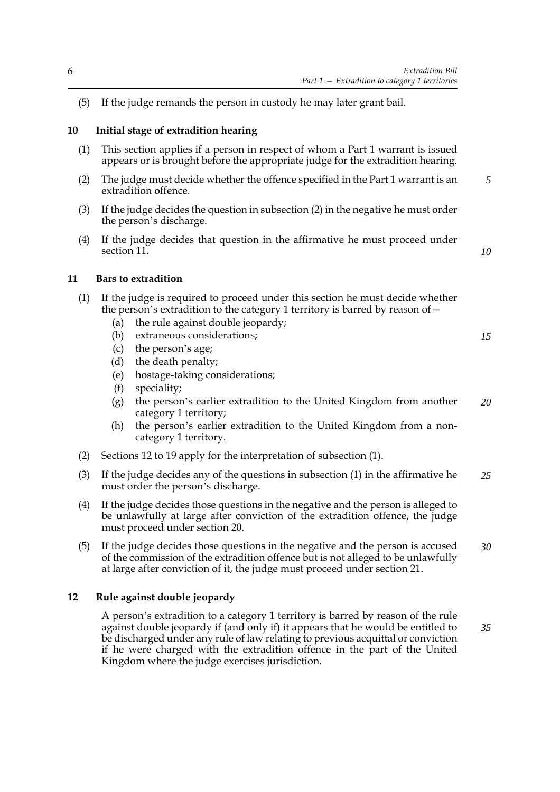(5) If the judge remands the person in custody he may later grant bail.

## **10 Initial stage of extradition hearing**

- (1) This section applies if a person in respect of whom a Part 1 warrant is issued appears or is brought before the appropriate judge for the extradition hearing.
- (2) The judge must decide whether the offence specified in the Part 1 warrant is an extradition offence. *5*
- (3) If the judge decides the question in subsection (2) in the negative he must order the person's discharge.
- (4) If the judge decides that question in the affirmative he must proceed under section 11.

*10*

*15*

#### **11 Bars to extradition**

- (1) If the judge is required to proceed under this section he must decide whether the person's extradition to the category 1 territory is barred by reason of—
	- (a) the rule against double jeopardy;
	- (b) extraneous considerations;
	- (c) the person's age;
	- (d) the death penalty;
	- (e) hostage-taking considerations;
	- (f) speciality;
	- (g) the person's earlier extradition to the United Kingdom from another category 1 territory; *20*
	- (h) the person's earlier extradition to the United Kingdom from a noncategory 1 territory.
- (2) Sections 12 to 19 apply for the interpretation of subsection (1).
- (3) If the judge decides any of the questions in subsection (1) in the affirmative he must order the person's discharge. *25*
- (4) If the judge decides those questions in the negative and the person is alleged to be unlawfully at large after conviction of the extradition offence, the judge must proceed under section 20.
- (5) If the judge decides those questions in the negative and the person is accused of the commission of the extradition offence but is not alleged to be unlawfully at large after conviction of it, the judge must proceed under section 21. *30*

#### **12 Rule against double jeopardy**

A person's extradition to a category 1 territory is barred by reason of the rule against double jeopardy if (and only if) it appears that he would be entitled to be discharged under any rule of law relating to previous acquittal or conviction if he were charged with the extradition offence in the part of the United Kingdom where the judge exercises jurisdiction. *35*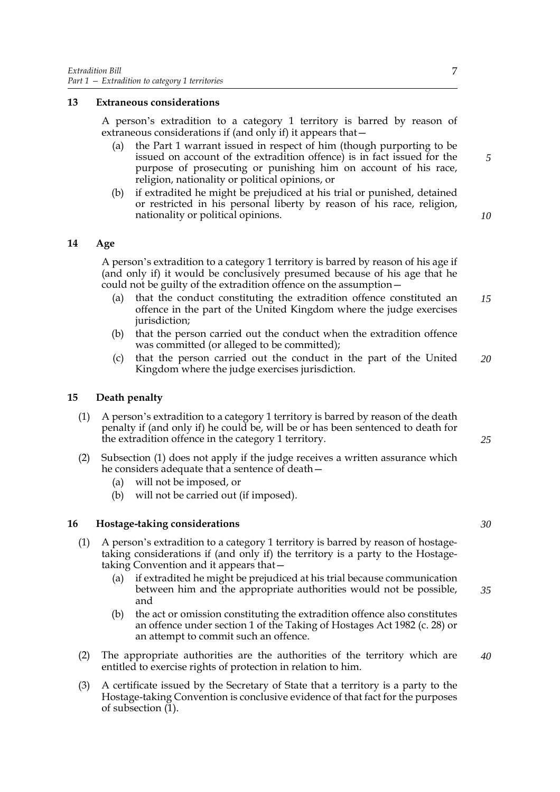## **13 Extraneous considerations**

A person's extradition to a category 1 territory is barred by reason of extraneous considerations if (and only if) it appears that—

- (a) the Part 1 warrant issued in respect of him (though purporting to be issued on account of the extradition offence) is in fact issued for the purpose of prosecuting or punishing him on account of his race, religion, nationality or political opinions, or
- (b) if extradited he might be prejudiced at his trial or punished, detained or restricted in his personal liberty by reason of his race, religion, nationality or political opinions.

## **14 Age**

A person's extradition to a category 1 territory is barred by reason of his age if (and only if) it would be conclusively presumed because of his age that he could not be guilty of the extradition offence on the assumption—

- (a) that the conduct constituting the extradition offence constituted an offence in the part of the United Kingdom where the judge exercises jurisdiction; *15*
- (b) that the person carried out the conduct when the extradition offence was committed (or alleged to be committed);
- (c) that the person carried out the conduct in the part of the United Kingdom where the judge exercises jurisdiction. *20*

#### **15 Death penalty**

- (1) A person's extradition to a category 1 territory is barred by reason of the death penalty if (and only if) he could be, will be or has been sentenced to death for the extradition offence in the category 1 territory.
- (2) Subsection (1) does not apply if the judge receives a written assurance which he considers adequate that a sentence of death—
	- (a) will not be imposed, or
	- (b) will not be carried out (if imposed).

## **16 Hostage-taking considerations**

- (1) A person's extradition to a category 1 territory is barred by reason of hostagetaking considerations if (and only if) the territory is a party to the Hostagetaking Convention and it appears that—
	- (a) if extradited he might be prejudiced at his trial because communication between him and the appropriate authorities would not be possible, and
	- (b) the act or omission constituting the extradition offence also constitutes an offence under section 1 of the Taking of Hostages Act 1982 (c. 28) or an attempt to commit such an offence.
- (2) The appropriate authorities are the authorities of the territory which are entitled to exercise rights of protection in relation to him. *40*
- (3) A certificate issued by the Secretary of State that a territory is a party to the Hostage-taking Convention is conclusive evidence of that fact for the purposes of subsection (1).

*5*

*10*

*25*

*35*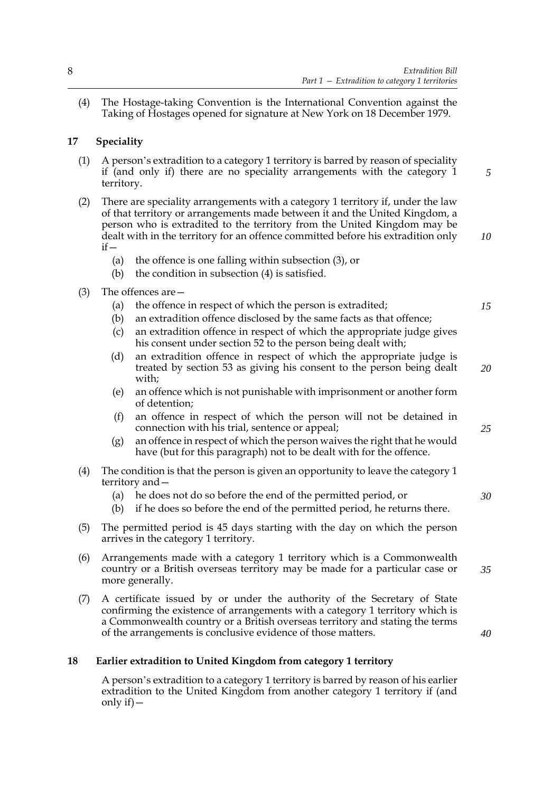(4) The Hostage-taking Convention is the International Convention against the Taking of Hostages opened for signature at New York on 18 December 1979.

## **17 Speciality**

- (1) A person's extradition to a category 1 territory is barred by reason of speciality if (and only if) there are no speciality arrangements with the category 1 territory.
- (2) There are speciality arrangements with a category 1 territory if, under the law of that territory or arrangements made between it and the United Kingdom, a person who is extradited to the territory from the United Kingdom may be dealt with in the territory for an offence committed before his extradition only  $if -$ 
	- (a) the offence is one falling within subsection (3), or
	- (b) the condition in subsection (4) is satisfied.
- (3) The offences are—
	- (a) the offence in respect of which the person is extradited;
	- (b) an extradition offence disclosed by the same facts as that offence;
	- (c) an extradition offence in respect of which the appropriate judge gives his consent under section 52 to the person being dealt with;
	- (d) an extradition offence in respect of which the appropriate judge is treated by section 53 as giving his consent to the person being dealt with;
	- (e) an offence which is not punishable with imprisonment or another form of detention;
	- (f) an offence in respect of which the person will not be detained in connection with his trial, sentence or appeal;
	- (g) an offence in respect of which the person waives the right that he would have (but for this paragraph) not to be dealt with for the offence.
- (4) The condition is that the person is given an opportunity to leave the category 1 territory and—
	- (a) he does not do so before the end of the permitted period, or
	- (b) if he does so before the end of the permitted period, he returns there.
- (5) The permitted period is 45 days starting with the day on which the person arrives in the category 1 territory.
- (6) Arrangements made with a category 1 territory which is a Commonwealth country or a British overseas territory may be made for a particular case or more generally. *35*
- (7) A certificate issued by or under the authority of the Secretary of State confirming the existence of arrangements with a category 1 territory which is a Commonwealth country or a British overseas territory and stating the terms of the arrangements is conclusive evidence of those matters.

## **18 Earlier extradition to United Kingdom from category 1 territory**

A person's extradition to a category 1 territory is barred by reason of his earlier extradition to the United Kingdom from another category 1 territory if (and only if)  $-$ 

*20*

*5*

*10*

*15*

*25*

*30*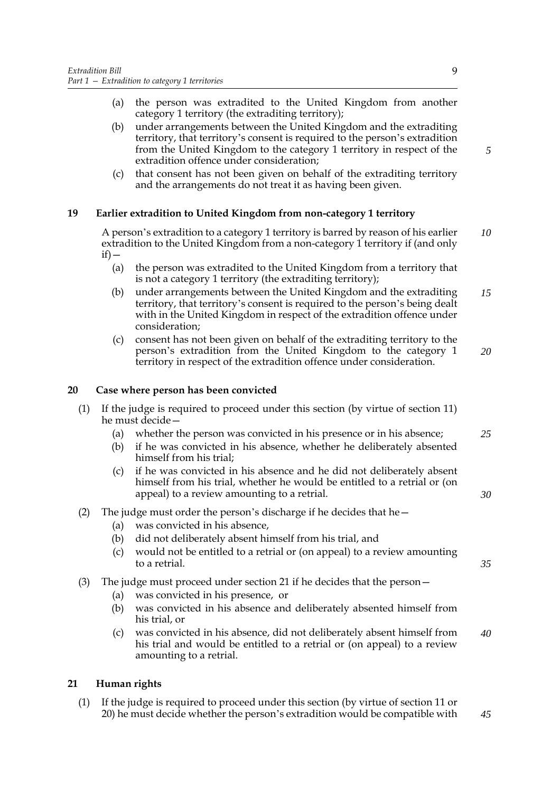- (a) the person was extradited to the United Kingdom from another category 1 territory (the extraditing territory);
- (b) under arrangements between the United Kingdom and the extraditing territory, that territory's consent is required to the person's extradition from the United Kingdom to the category 1 territory in respect of the extradition offence under consideration;
- (c) that consent has not been given on behalf of the extraditing territory and the arrangements do not treat it as having been given.

## **19 Earlier extradition to United Kingdom from non-category 1 territory**

A person's extradition to a category 1 territory is barred by reason of his earlier extradition to the United Kingdom from a non-category 1 territory if (and only  $if$ ) — *10*

- (a) the person was extradited to the United Kingdom from a territory that is not a category 1 territory (the extraditing territory);
- (b) under arrangements between the United Kingdom and the extraditing territory, that territory's consent is required to the person's being dealt with in the United Kingdom in respect of the extradition offence under consideration; *15*
- (c) consent has not been given on behalf of the extraditing territory to the person's extradition from the United Kingdom to the category 1 territory in respect of the extradition offence under consideration. *20*

## **20 Case where person has been convicted**

- (1) If the judge is required to proceed under this section (by virtue of section 11) he must decide—
	- (a) whether the person was convicted in his presence or in his absence; *25*
	- (b) if he was convicted in his absence, whether he deliberately absented himself from his trial;
	- (c) if he was convicted in his absence and he did not deliberately absent himself from his trial, whether he would be entitled to a retrial or (on appeal) to a review amounting to a retrial.
- (2) The judge must order the person's discharge if he decides that he $-$ 
	- (a) was convicted in his absence,
	- (b) did not deliberately absent himself from his trial, and
	- (c) would not be entitled to a retrial or (on appeal) to a review amounting to a retrial.
- (3) The judge must proceed under section 21 if he decides that the person—
	- (a) was convicted in his presence, or
	- (b) was convicted in his absence and deliberately absented himself from his trial, or
	- (c) was convicted in his absence, did not deliberately absent himself from his trial and would be entitled to a retrial or (on appeal) to a review amounting to a retrial. *40*

## **21 Human rights**

(1) If the judge is required to proceed under this section (by virtue of section 11 or 20) he must decide whether the person's extradition would be compatible with *5*

*45*

*30*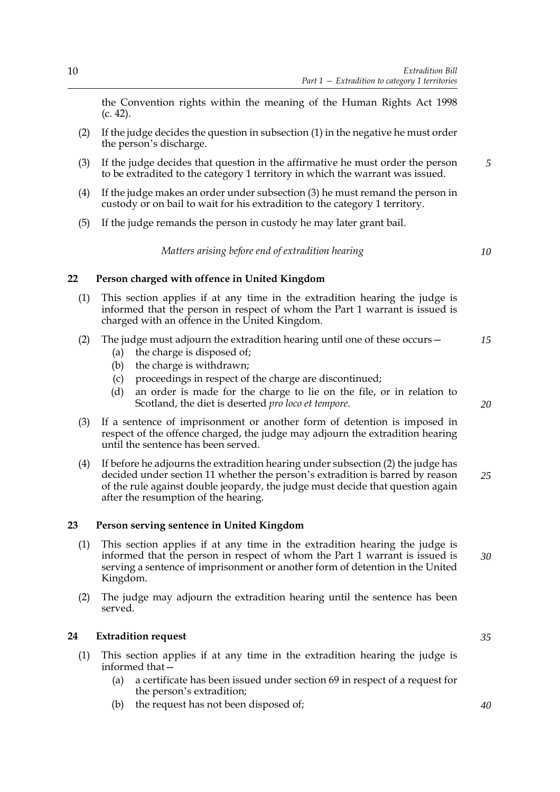the Convention rights within the meaning of the Human Rights Act 1998 (c. 42).

- (2) If the judge decides the question in subsection (1) in the negative he must order the person's discharge.
- (3) If the judge decides that question in the affirmative he must order the person to be extradited to the category 1 territory in which the warrant was issued. *5*
- (4) If the judge makes an order under subsection (3) he must remand the person in custody or on bail to wait for his extradition to the category 1 territory.
- (5) If the judge remands the person in custody he may later grant bail.

*Matters arising before end of extradition hearing*

*10*

## **22 Person charged with offence in United Kingdom**

- (1) This section applies if at any time in the extradition hearing the judge is informed that the person in respect of whom the Part 1 warrant is issued is charged with an offence in the United Kingdom.
- (2) The judge must adjourn the extradition hearing until one of these occurs— *15*
	- (a) the charge is disposed of;
	- (b) the charge is withdrawn;
	- (c) proceedings in respect of the charge are discontinued;
	- (d) an order is made for the charge to lie on the file, or in relation to Scotland, the diet is deserted *pro loco et tempore*.
- (3) If a sentence of imprisonment or another form of detention is imposed in respect of the offence charged, the judge may adjourn the extradition hearing until the sentence has been served.
- (4) If before he adjourns the extradition hearing under subsection (2) the judge has decided under section 11 whether the person's extradition is barred by reason of the rule against double jeopardy, the judge must decide that question again after the resumption of the hearing. *25*

## **23 Person serving sentence in United Kingdom**

- (1) This section applies if at any time in the extradition hearing the judge is informed that the person in respect of whom the Part 1 warrant is issued is serving a sentence of imprisonment or another form of detention in the United Kingdom.
- (2) The judge may adjourn the extradition hearing until the sentence has been served.

#### **24 Extradition request**

- (1) This section applies if at any time in the extradition hearing the judge is informed that—
	- (a) a certificate has been issued under section 69 in respect of a request for the person's extradition;
	- (b) the request has not been disposed of;

*35*

*20*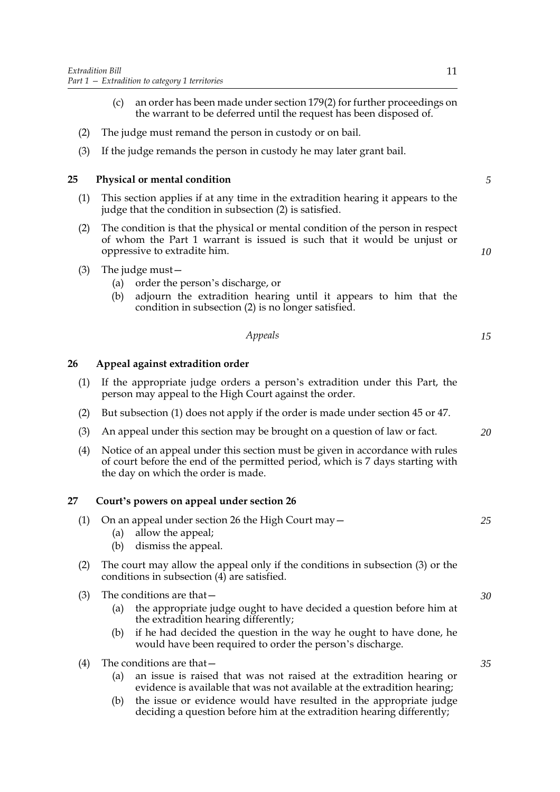- (c) an order has been made under section 179(2) for further proceedings on the warrant to be deferred until the request has been disposed of.
- (2) The judge must remand the person in custody or on bail.
- (3) If the judge remands the person in custody he may later grant bail.

## **25 Physical or mental condition**

- (1) This section applies if at any time in the extradition hearing it appears to the judge that the condition in subsection (2) is satisfied.
- (2) The condition is that the physical or mental condition of the person in respect of whom the Part 1 warrant is issued is such that it would be unjust or oppressive to extradite him.
- (3) The judge must—
	- (a) order the person's discharge, or
	- (b) adjourn the extradition hearing until it appears to him that the condition in subsection (2) is no longer satisfied.

*Appeals*

## <span id="page-18-0"></span>**26 Appeal against extradition order**

- (1) If the appropriate judge orders a person's extradition under this Part, the person may appeal to the High Court against the order.
- (2) But subsection (1) does not apply if the order is made under section 45 or 47.
- (3) An appeal under this section may be brought on a question of law or fact.
- (4) Notice of an appeal under this section must be given in accordance with rules of court before the end of the permitted period, which is 7 days starting with the day on which the order is made.

## <span id="page-18-1"></span>**27 Court's powers on appeal under section 26**

- (1) On an appeal under section 26 the High Court may— *25*
	- (a) allow the appeal;
	- (b) dismiss the appeal.
- (2) The court may allow the appeal only if the conditions in subsection (3) or the conditions in subsection (4) are satisfied.
- (3) The conditions are that—
	- (a) the appropriate judge ought to have decided a question before him at the extradition hearing differently;
	- (b) if he had decided the question in the way he ought to have done, he would have been required to order the person's discharge.
- (4) The conditions are that—
	- (a) an issue is raised that was not raised at the extradition hearing or evidence is available that was not available at the extradition hearing;
	- (b) the issue or evidence would have resulted in the appropriate judge deciding a question before him at the extradition hearing differently;

*5*

*10*

*15*

*20*

*30*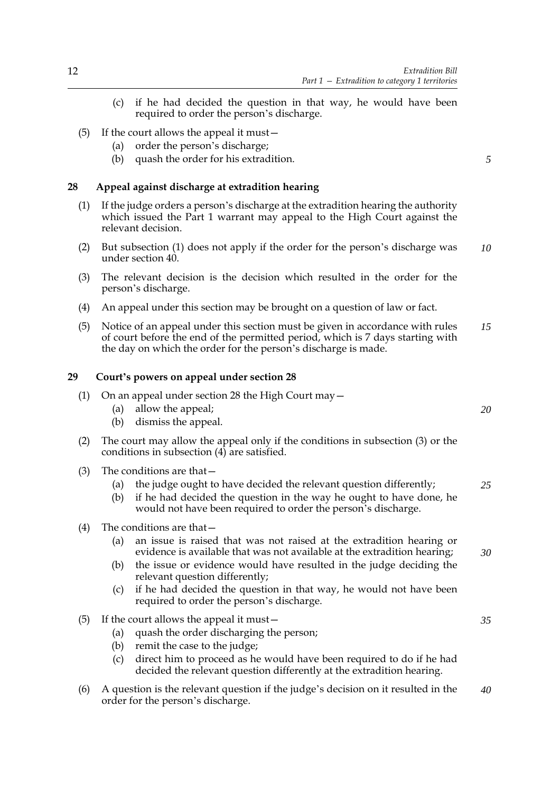- (c) if he had decided the question in that way, he would have been required to order the person's discharge.
- (5) If the court allows the appeal it must—
	- (a) order the person's discharge;
	- (b) quash the order for his extradition.

## <span id="page-19-0"></span>**28 Appeal against discharge at extradition hearing**

- (1) If the judge orders a person's discharge at the extradition hearing the authority which issued the Part 1 warrant may appeal to the High Court against the relevant decision.
- (2) But subsection (1) does not apply if the order for the person's discharge was under section 40. *10*
- (3) The relevant decision is the decision which resulted in the order for the person's discharge.
- (4) An appeal under this section may be brought on a question of law or fact.
- (5) Notice of an appeal under this section must be given in accordance with rules of court before the end of the permitted period, which is 7 days starting with the day on which the order for the person's discharge is made. *15*

#### **29 Court's powers on appeal under section 28**

- (1) On an appeal under section 28 the High Court may—
	- (a) allow the appeal;
	- (b) dismiss the appeal.
- (2) The court may allow the appeal only if the conditions in subsection (3) or the conditions in subsection  $(4)$  are satisfied.
- (3) The conditions are that—
	- (a) the judge ought to have decided the relevant question differently; *25*
	- (b) if he had decided the question in the way he ought to have done, he would not have been required to order the person's discharge.
- (4) The conditions are that—
	- (a) an issue is raised that was not raised at the extradition hearing or evidence is available that was not available at the extradition hearing;
	- (b) the issue or evidence would have resulted in the judge deciding the relevant question differently;
	- (c) if he had decided the question in that way, he would not have been required to order the person's discharge.
- (5) If the court allows the appeal it must—
	- (a) quash the order discharging the person;
	- (b) remit the case to the judge;
	- (c) direct him to proceed as he would have been required to do if he had decided the relevant question differently at the extradition hearing.
- (6) A question is the relevant question if the judge's decision on it resulted in the order for the person's discharge. *40*

*5*

*20*

*35*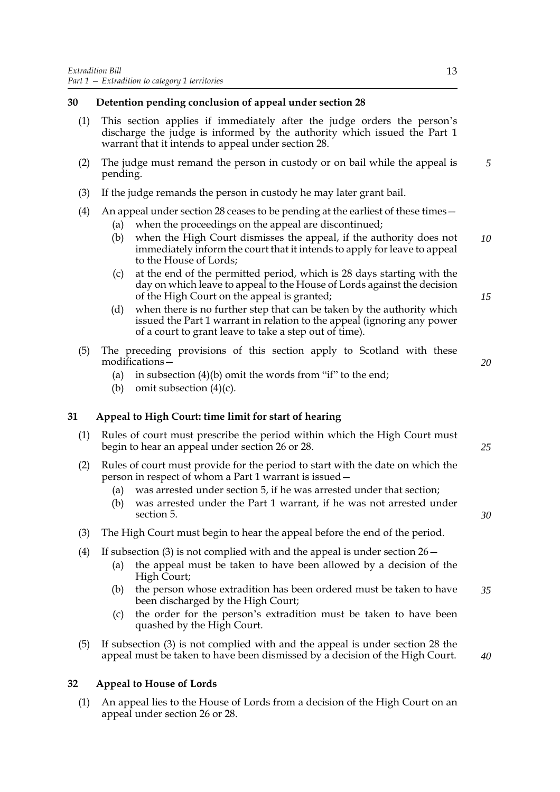## **30 Detention pending conclusion of appeal under section 28**

- (1) This section applies if immediately after the judge orders the person's discharge the judge is informed by the authority which issued the Part 1 warrant that it intends to appeal under section 28.
- (2) The judge must remand the person in custody or on bail while the appeal is pending. *5*
- (3) If the judge remands the person in custody he may later grant bail.

## (4) An appeal under section 28 ceases to be pending at the earliest of these times—

- (a) when the proceedings on the appeal are discontinued;
- (b) when the High Court dismisses the appeal, if the authority does not immediately inform the court that it intends to apply for leave to appeal to the House of Lords; *10*
- (c) at the end of the permitted period, which is 28 days starting with the day on which leave to appeal to the House of Lords against the decision of the High Court on the appeal is granted;
- (d) when there is no further step that can be taken by the authority which issued the Part 1 warrant in relation to the appeal (ignoring any power of a court to grant leave to take a step out of time).
- (5) The preceding provisions of this section apply to Scotland with these modifications—
	- (a) in subsection  $(4)(b)$  omit the words from "if" to the end;
	- (b) omit subsection  $(4)(c)$ .

## **31 Appeal to High Court: time limit for start of hearing**

- (1) Rules of court must prescribe the period within which the High Court must begin to hear an appeal under section 26 or 28.
- (2) Rules of court must provide for the period to start with the date on which the person in respect of whom a Part 1 warrant is issued—
	- (a) was arrested under section 5, if he was arrested under that section;
	- (b) was arrested under the Part 1 warrant, if he was not arrested under section 5.
- (3) The High Court must begin to hear the appeal before the end of the period.
- (4) If subsection (3) is not complied with and the appeal is under section  $26-$ 
	- (a) the appeal must be taken to have been allowed by a decision of the High Court;
	- (b) the person whose extradition has been ordered must be taken to have been discharged by the High Court; *35*
	- (c) the order for the person's extradition must be taken to have been quashed by the High Court.
- (5) If subsection (3) is not complied with and the appeal is under section 28 the appeal must be taken to have been dismissed by a decision of the High Court.

## <span id="page-20-0"></span>**32 Appeal to House of Lords**

(1) An appeal lies to the House of Lords from a decision of the High Court on an appeal under section 26 or 28.

*30*

*25*

*15*

*20*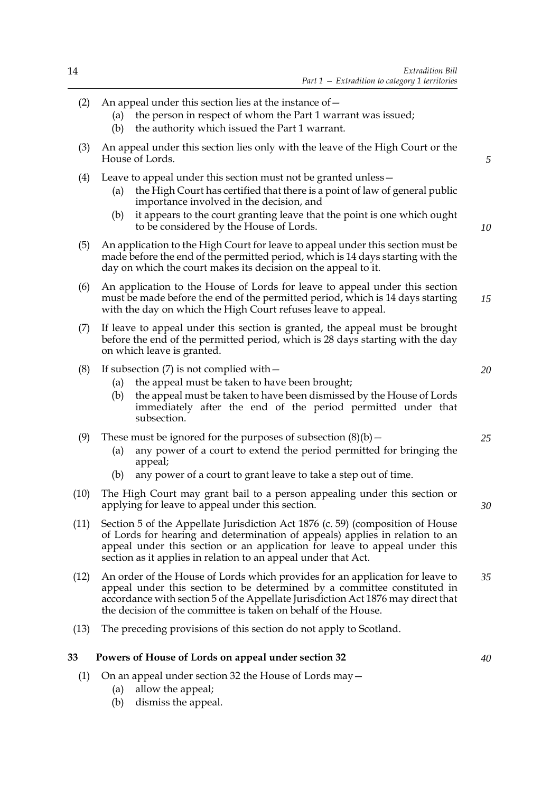- (2) An appeal under this section lies at the instance of  $-$ 
	- (a) the person in respect of whom the Part 1 warrant was issued;
	- (b) the authority which issued the Part 1 warrant.
- (3) An appeal under this section lies only with the leave of the High Court or the House of Lords.
- (4) Leave to appeal under this section must not be granted unless—
	- (a) the High Court has certified that there is a point of law of general public importance involved in the decision, and
	- (b) it appears to the court granting leave that the point is one which ought to be considered by the House of Lords.
- (5) An application to the High Court for leave to appeal under this section must be made before the end of the permitted period, which is 14 days starting with the day on which the court makes its decision on the appeal to it.
- (6) An application to the House of Lords for leave to appeal under this section must be made before the end of the permitted period, which is 14 days starting with the day on which the High Court refuses leave to appeal.
- (7) If leave to appeal under this section is granted, the appeal must be brought before the end of the permitted period, which is 28 days starting with the day on which leave is granted.
- (8) If subsection  $(7)$  is not complied with  $-$ 
	- (a) the appeal must be taken to have been brought;
	- (b) the appeal must be taken to have been dismissed by the House of Lords immediately after the end of the period permitted under that subsection.
- (9) These must be ignored for the purposes of subsection  $(8)(b)$  -
	- (a) any power of a court to extend the period permitted for bringing the appeal;
	- (b) any power of a court to grant leave to take a step out of time.
- (10) The High Court may grant bail to a person appealing under this section or applying for leave to appeal under this section.
- (11) Section 5 of the Appellate Jurisdiction Act 1876 (c. 59) (composition of House of Lords for hearing and determination of appeals) applies in relation to an appeal under this section or an application for leave to appeal under this section as it applies in relation to an appeal under that Act.
- (12) An order of the House of Lords which provides for an application for leave to appeal under this section to be determined by a committee constituted in accordance with section 5 of the Appellate Jurisdiction Act 1876 may direct that the decision of the committee is taken on behalf of the House. *35*
- (13) The preceding provisions of this section do not apply to Scotland.

#### **33 Powers of House of Lords on appeal under section 32**

- (1) On an appeal under section 32 the House of Lords may—
	- (a) allow the appeal;
	- (b) dismiss the appeal.

*20*

*5*

*10*

*15*

*25*

*30*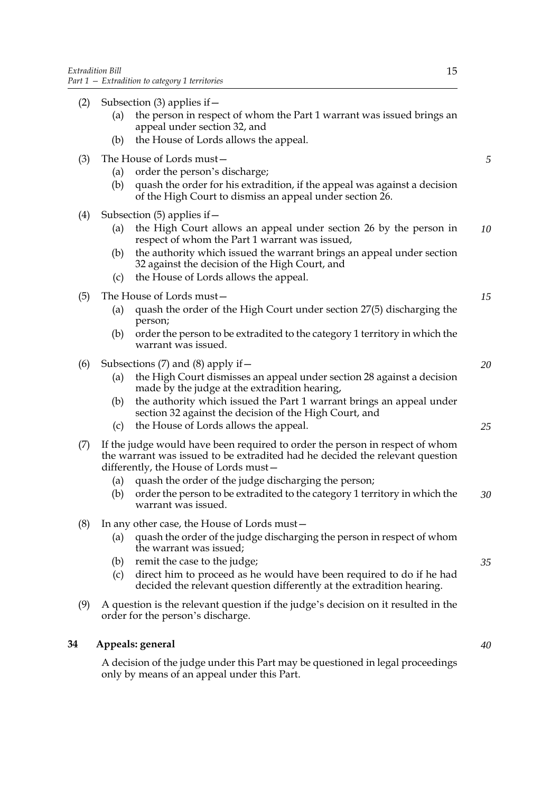(2) Subsection (3) applies if  $-$ (a) the person in respect of whom the Part 1 warrant was issued brings an appeal under section 32, and (b) the House of Lords allows the appeal. (3) The House of Lords must— (a) order the person's discharge; (b) quash the order for his extradition, if the appeal was against a decision of the High Court to dismiss an appeal under section 26. (4) Subsection (5) applies if— (a) the High Court allows an appeal under section 26 by the person in respect of whom the Part 1 warrant was issued, (b) the authority which issued the warrant brings an appeal under section 32 against the decision of the High Court, and (c) the House of Lords allows the appeal. (5) The House of Lords must— (a) quash the order of the High Court under section [27](#page-18-1)(5) discharging the person; (b) order the person to be extradited to the category 1 territory in which the warrant was issued. (6) Subsections (7) and (8) apply if  $-$ (a) the High Court dismisses an appeal under section 28 against a decision made by the judge at the extradition hearing, (b) the authority which issued the Part 1 warrant brings an appeal under section 32 against the decision of the High Court, and (c) the House of Lords allows the appeal. (7) If the judge would have been required to order the person in respect of whom the warrant was issued to be extradited had he decided the relevant question differently, the House of Lords must— (a) quash the order of the judge discharging the person; (b) order the person to be extradited to the category 1 territory in which the warrant was issued. (8) In any other case, the House of Lords must— (a) quash the order of the judge discharging the person in respect of whom the warrant was issued; (b) remit the case to the judge; (c) direct him to proceed as he would have been required to do if he had decided the relevant question differently at the extradition hearing. (9) A question is the relevant question if the judge's decision on it resulted in the order for the person's discharge. **34 Appeals: general** *5 10 15 20 25 30 35 40*

15

A decision of the judge under this Part may be questioned in legal proceedings only by means of an appeal under this Part.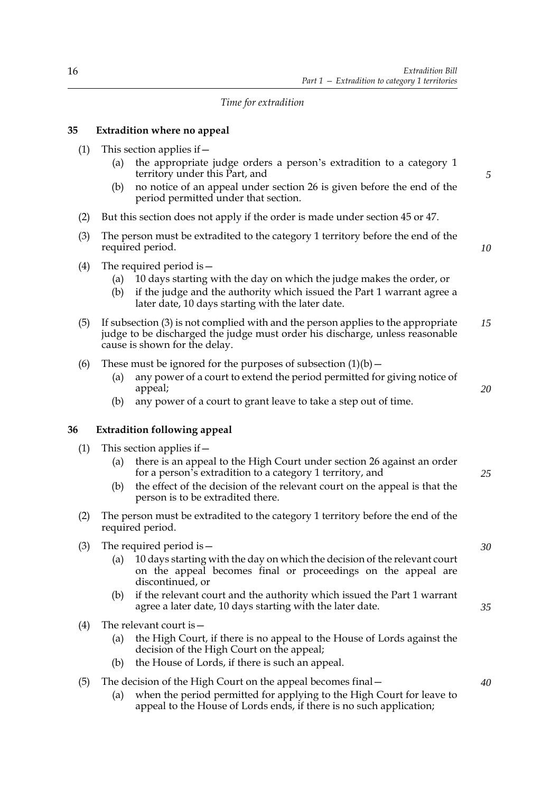## *Time for extradition*

## **35 Extradition where no appeal**

- (1) This section applies if  $-$ 
	- (a) the appropriate judge orders a person's extradition to a category 1 territory under this Part, and
	- (b) no notice of an appeal under section 26 is given before the end of the period permitted under that section.
- (2) But this section does not apply if the order is made under section 45 or 47.
- (3) The person must be extradited to the category 1 territory before the end of the required period.
- (4) The required period is—
	- (a) 10 days starting with the day on which the judge makes the order, or
	- (b) if the judge and the authority which issued the Part 1 warrant agree a later date, 10 days starting with the later date.
- (5) If subsection (3) is not complied with and the person applies to the appropriate judge to be discharged the judge must order his discharge, unless reasonable cause is shown for the delay. *15*
- (6) These must be ignored for the purposes of subsection  $(1)(b)$  -
	- (a) any power of a court to extend the period permitted for giving notice of appeal;
	- (b) any power of a court to grant leave to take a step out of time.

## **36 Extradition following appeal**

- (1) This section applies if  $-$ 
	- (a) there is an appeal to the High Court under section 26 against an order for a person's extradition to a category 1 territory, and
	- (b) the effect of the decision of the relevant court on the appeal is that the person is to be extradited there.
- (2) The person must be extradited to the category 1 territory before the end of the required period.
- (3) The required period is—
	- (a) 10 days starting with the day on which the decision of the relevant court on the appeal becomes final or proceedings on the appeal are discontinued, or
	- (b) if the relevant court and the authority which issued the Part 1 warrant agree a later date, 10 days starting with the later date.
- (4) The relevant court is—
	- (a) the High Court, if there is no appeal to the House of Lords against the decision of the High Court on the appeal;
	- (b) the House of Lords, if there is such an appeal.

(5) The decision of the High Court on the appeal becomes final—

(a) when the period permitted for applying to the High Court for leave to appeal to the House of Lords ends, if there is no such application;

*35*

*40*

*25*

*20*

*5*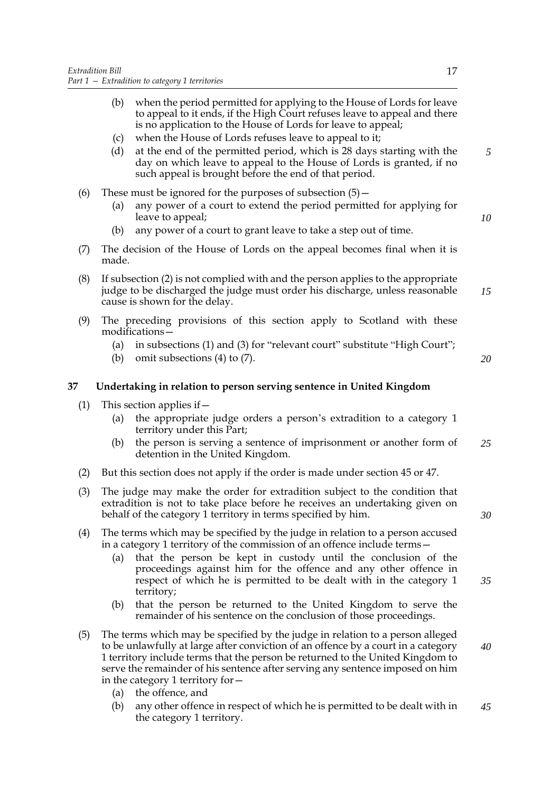- (b) when the period permitted for applying to the House of Lords for leave to appeal to it ends, if the High Court refuses leave to appeal and there is no application to the House of Lords for leave to appeal;
- (c) when the House of Lords refuses leave to appeal to it;
- (d) at the end of the permitted period, which is 28 days starting with the day on which leave to appeal to the House of Lords is granted, if no such appeal is brought before the end of that period.
- (6) These must be ignored for the purposes of subsection  $(5)$  -
	- (a) any power of a court to extend the period permitted for applying for leave to appeal;
	- (b) any power of a court to grant leave to take a step out of time.
- (7) The decision of the House of Lords on the appeal becomes final when it is made.
- (8) If subsection (2) is not complied with and the person applies to the appropriate judge to be discharged the judge must order his discharge, unless reasonable cause is shown for the delay. *15*
- (9) The preceding provisions of this section apply to Scotland with these modifications—
	- (a) in subsections (1) and (3) for "relevant court" substitute "High Court";
	- (b) omit subsections (4) to (7).

## **37 Undertaking in relation to person serving sentence in United Kingdom**

- (1) This section applies if  $-$ 
	- (a) the appropriate judge orders a person's extradition to a category 1 territory under this Part;
	- (b) the person is serving a sentence of imprisonment or another form of detention in the United Kingdom. *25*
- (2) But this section does not apply if the order is made under section 45 or 47.
- (3) The judge may make the order for extradition subject to the condition that extradition is not to take place before he receives an undertaking given on behalf of the category 1 territory in terms specified by him.
- (4) The terms which may be specified by the judge in relation to a person accused in a category 1 territory of the commission of an offence include terms—
	- (a) that the person be kept in custody until the conclusion of the proceedings against him for the offence and any other offence in respect of which he is permitted to be dealt with in the category 1 territory;
	- (b) that the person be returned to the United Kingdom to serve the remainder of his sentence on the conclusion of those proceedings.
- (5) The terms which may be specified by the judge in relation to a person alleged to be unlawfully at large after conviction of an offence by a court in a category 1 territory include terms that the person be returned to the United Kingdom to serve the remainder of his sentence after serving any sentence imposed on him in the category 1 territory for— *40*
	- (a) the offence, and
	- (b) any other offence in respect of which he is permitted to be dealt with in the category 1 territory. *45*

*5*

*10*

*20*

*30*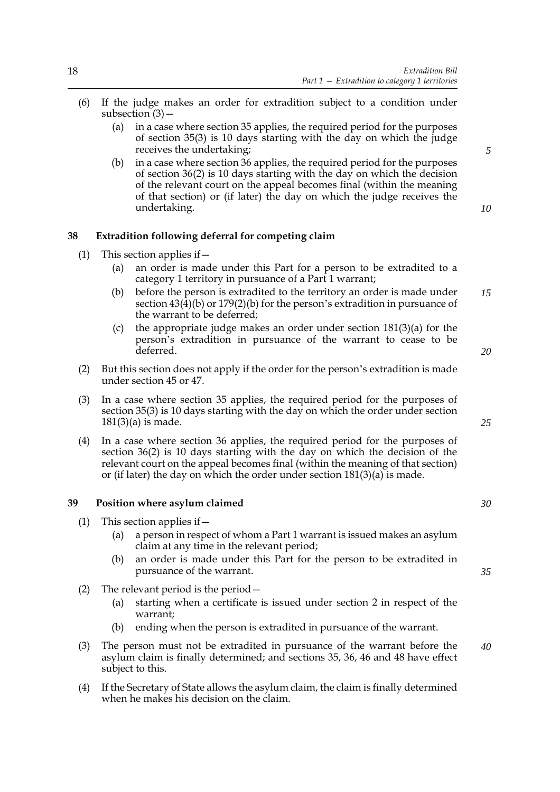- (6) If the judge makes an order for extradition subject to a condition under subsection  $(3)$  –
	- (a) in a case where section 35 applies, the required period for the purposes of section 35(3) is 10 days starting with the day on which the judge receives the undertaking;
	- (b) in a case where section 36 applies, the required period for the purposes of section 36(2) is 10 days starting with the day on which the decision of the relevant court on the appeal becomes final (within the meaning of that section) or (if later) the day on which the judge receives the undertaking.

*10*

*5*

## **38 Extradition following deferral for competing claim**

- (1) This section applies if—
	- (a) an order is made under this Part for a person to be extradited to a category 1 territory in pursuance of a Part 1 warrant;
	- (b) before the person is extradited to the territory an order is made under section  $43(\overline{4})(b)$  or  $179(2)(b)$  for the person's extradition in pursuance of the warrant to be deferred; *15*
	- (c) the appropriate judge makes an order under section 181(3)(a) for the person's extradition in pursuance of the warrant to cease to be deferred.
- (2) But this section does not apply if the order for the person's extradition is made under section 45 or 47.
- (3) In a case where section 35 applies, the required period for the purposes of section 35(3) is 10 days starting with the day on which the order under section 181(3)(a) is made.
- (4) In a case where section 36 applies, the required period for the purposes of section 36(2) is 10 days starting with the day on which the decision of the relevant court on the appeal becomes final (within the meaning of that section) or (if later) the day on which the order under section 181(3)(a) is made.

## **39 Position where asylum claimed**

- (1) This section applies if  $-$ 
	- (a) a person in respect of whom a Part 1 warrant is issued makes an asylum claim at any time in the relevant period;
	- (b) an order is made under this Part for the person to be extradited in pursuance of the warrant.
- (2) The relevant period is the period—
	- (a) starting when a certificate is issued under section 2 in respect of the warrant;
	- (b) ending when the person is extradited in pursuance of the warrant.
- (3) The person must not be extradited in pursuance of the warrant before the asylum claim is finally determined; and sections 35, 36, 46 and 48 have effect subject to this. *40*
- (4) If the Secretary of State allows the asylum claim, the claim is finally determined when he makes his decision on the claim.

*25*

*20*

*30*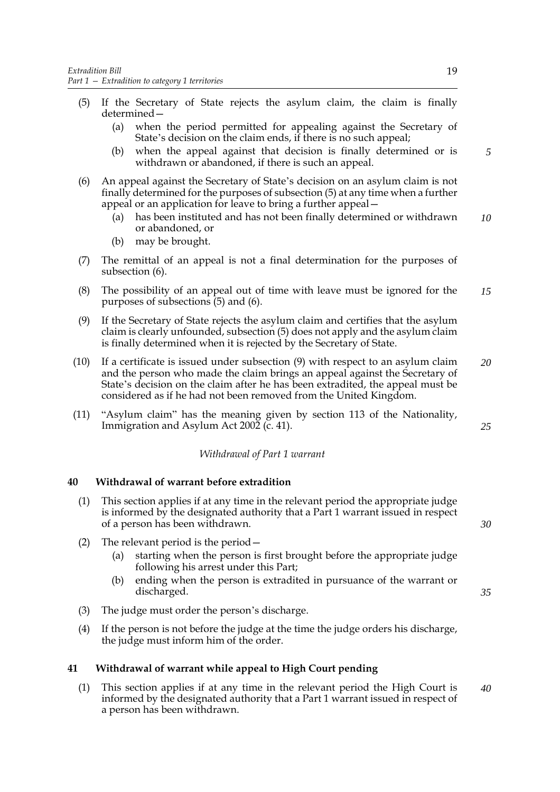- (5) If the Secretary of State rejects the asylum claim, the claim is finally determined—
	- (a) when the period permitted for appealing against the Secretary of State's decision on the claim ends, if there is no such appeal;
	- (b) when the appeal against that decision is finally determined or is withdrawn or abandoned, if there is such an appeal.
- (6) An appeal against the Secretary of State's decision on an asylum claim is not finally determined for the purposes of subsection (5) at any time when a further appeal or an application for leave to bring a further appeal—
	- (a) has been instituted and has not been finally determined or withdrawn or abandoned, or *10*
	- (b) may be brought.
- (7) The remittal of an appeal is not a final determination for the purposes of subsection (6).
- (8) The possibility of an appeal out of time with leave must be ignored for the purposes of subsections  $(5)$  and  $(6)$ . *15*
- (9) If the Secretary of State rejects the asylum claim and certifies that the asylum claim is clearly unfounded, subsection (5) does not apply and the asylum claim is finally determined when it is rejected by the Secretary of State.
- (10) If a certificate is issued under subsection (9) with respect to an asylum claim and the person who made the claim brings an appeal against the Secretary of State's decision on the claim after he has been extradited, the appeal must be considered as if he had not been removed from the United Kingdom. *20*
- (11) "Asylum claim" has the meaning given by section 113 of the Nationality, Immigration and Asylum Act 2002 (c. 41).

#### *Withdrawal of Part 1 warrant*

## **40 Withdrawal of warrant before extradition**

- (1) This section applies if at any time in the relevant period the appropriate judge is informed by the designated authority that a Part 1 warrant issued in respect of a person has been withdrawn.
- (2) The relevant period is the period—
	- (a) starting when the person is first brought before the appropriate judge following his arrest under this Part;
	- (b) ending when the person is extradited in pursuance of the warrant or discharged.
- (3) The judge must order the person's discharge.
- (4) If the person is not before the judge at the time the judge orders his discharge, the judge must inform him of the order.

#### **41 Withdrawal of warrant while appeal to High Court pending**

(1) This section applies if at any time in the relevant period the High Court is informed by the designated authority that a Part 1 warrant issued in respect of a person has been withdrawn. *40*

*5*

*30*

*25*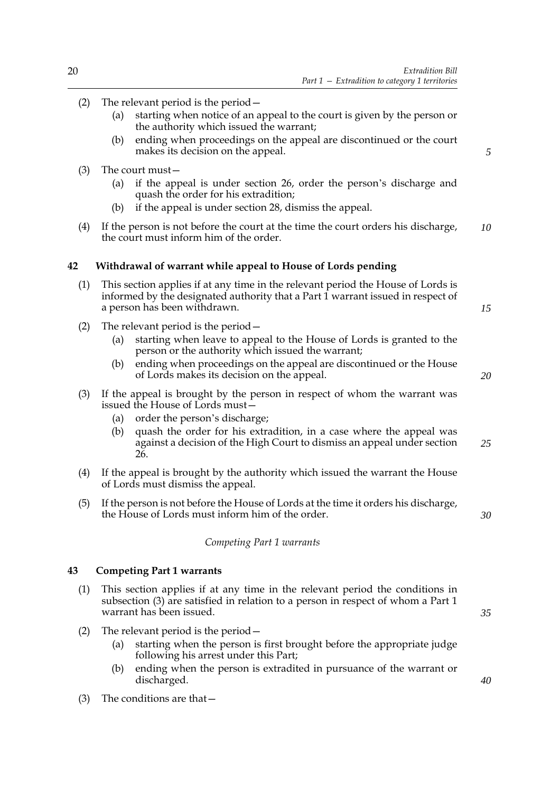|     | Part $1$ – Extradition to category 1 territories                                                                                                                                                                                                                                                                     |    |
|-----|----------------------------------------------------------------------------------------------------------------------------------------------------------------------------------------------------------------------------------------------------------------------------------------------------------------------|----|
| (2) | The relevant period is the period –<br>starting when notice of an appeal to the court is given by the person or<br>(a)<br>the authority which issued the warrant;                                                                                                                                                    |    |
|     | ending when proceedings on the appeal are discontinued or the court<br>(b)<br>makes its decision on the appeal.                                                                                                                                                                                                      | 5  |
| (3) | The court must-<br>if the appeal is under section 26, order the person's discharge and<br>(a)<br>quash the order for his extradition;                                                                                                                                                                                |    |
|     | if the appeal is under section 28, dismiss the appeal.<br>(b)                                                                                                                                                                                                                                                        |    |
| (4) | If the person is not before the court at the time the court orders his discharge,<br>the court must inform him of the order.                                                                                                                                                                                         | 10 |
| 42  | Withdrawal of warrant while appeal to House of Lords pending                                                                                                                                                                                                                                                         |    |
| (1) | This section applies if at any time in the relevant period the House of Lords is<br>informed by the designated authority that a Part 1 warrant issued in respect of<br>a person has been withdrawn.                                                                                                                  | 15 |
| (2) | The relevant period is the period –<br>starting when leave to appeal to the House of Lords is granted to the<br>(a)<br>person or the authority which issued the warrant;<br>ending when proceedings on the appeal are discontinued or the House<br>(b)<br>of Lords makes its decision on the appeal.                 | 20 |
| (3) | If the appeal is brought by the person in respect of whom the warrant was<br>issued the House of Lords must-<br>order the person's discharge;<br>(a)<br>quash the order for his extradition, in a case where the appeal was<br>(b)<br>against a decision of the High Court to dismiss an appeal under section<br>26. | 25 |
| (4) | If the appeal is brought by the authority which issued the warrant the House<br>of Lords must dismiss the appeal.                                                                                                                                                                                                    |    |
| (5) | If the person is not before the House of Lords at the time it orders his discharge,<br>the House of Lords must inform him of the order.                                                                                                                                                                              | 30 |
|     | Competing Part 1 warrants                                                                                                                                                                                                                                                                                            |    |
| 43  | <b>Competing Part 1 warrants</b>                                                                                                                                                                                                                                                                                     |    |
| (1) | This section applies if at any time in the relevant period the conditions in<br>subsection (3) are satisfied in relation to a person in respect of whom a Part 1<br>warrant has been issued.                                                                                                                         | 35 |

*Extradition Bill*

- (2) The relevant period is the period—
	- (a) starting when the person is first brought before the appropriate judge following his arrest under this Part;
	- (b) ending when the person is extradited in pursuance of the warrant or discharged.
- (3) The conditions are that—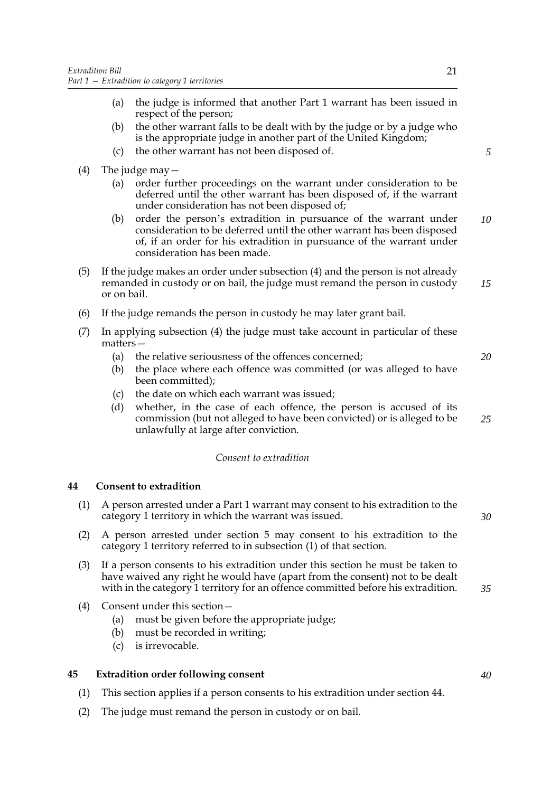- (a) the judge is informed that another Part 1 warrant has been issued in respect of the person;
- (b) the other warrant falls to be dealt with by the judge or by a judge who is the appropriate judge in another part of the United Kingdom;
- (c) the other warrant has not been disposed of.
- (4) The judge may—
	- (a) order further proceedings on the warrant under consideration to be deferred until the other warrant has been disposed of, if the warrant under consideration has not been disposed of;
	- (b) order the person's extradition in pursuance of the warrant under consideration to be deferred until the other warrant has been disposed of, if an order for his extradition in pursuance of the warrant under consideration has been made. *10*
- (5) If the judge makes an order under subsection (4) and the person is not already remanded in custody or on bail, the judge must remand the person in custody or on bail. *15*
- (6) If the judge remands the person in custody he may later grant bail.
- (7) In applying subsection (4) the judge must take account in particular of these matters—
	- (a) the relative seriousness of the offences concerned; *20*
	- (b) the place where each offence was committed (or was alleged to have been committed);
	- (c) the date on which each warrant was issued;
	- (d) whether, in the case of each offence, the person is accused of its commission (but not alleged to have been convicted) or is alleged to be unlawfully at large after conviction. *25*

#### *Consent to extradition*

## **44 Consent to extradition**

- (1) A person arrested under a Part 1 warrant may consent to his extradition to the category 1 territory in which the warrant was issued.
- (2) A person arrested under section 5 may consent to his extradition to the category 1 territory referred to in subsection (1) of that section.
- (3) If a person consents to his extradition under this section he must be taken to have waived any right he would have (apart from the consent) not to be dealt with in the category 1 territory for an offence committed before his extradition. *35*
- (4) Consent under this section—
	- (a) must be given before the appropriate judge;
	- (b) must be recorded in writing;
	- (c) is irrevocable.

#### **45 Extradition order following consent**

- (1) This section applies if a person consents to his extradition under section 44.
- (2) The judge must remand the person in custody or on bail.

*5*

*30*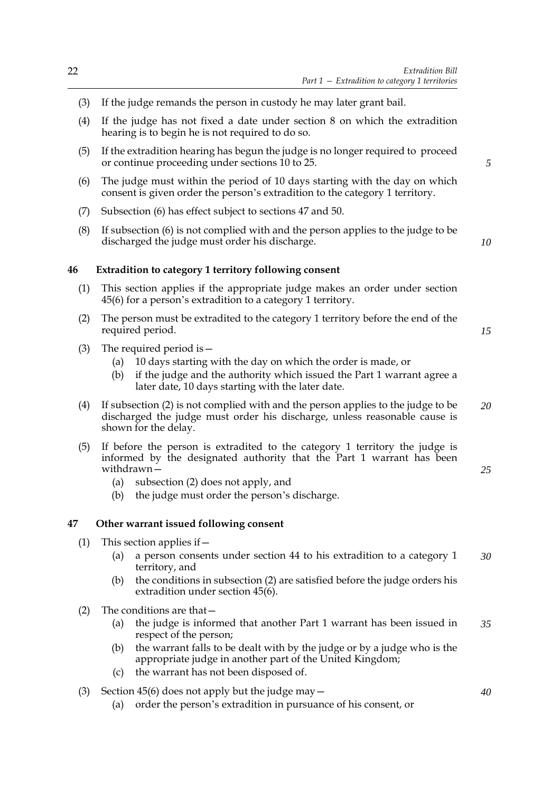- (3) If the judge remands the person in custody he may later grant bail.
- (4) If the judge has not fixed a date under section 8 on which the extradition hearing is to begin he is not required to do so.
- (5) If the extradition hearing has begun the judge is no longer required to proceed or continue proceeding under sections 10 to 25.
- (6) The judge must within the period of 10 days starting with the day on which consent is given order the person's extradition to the category 1 territory.
- (7) Subsection (6) has effect subject to sections 47 and 50.
- (8) If subsection (6) is not complied with and the person applies to the judge to be discharged the judge must order his discharge.

*10*

*15*

*25*

*5*

## **46 Extradition to category 1 territory following consent**

- (1) This section applies if the appropriate judge makes an order under section 45(6) for a person's extradition to a category 1 territory.
- (2) The person must be extradited to the category 1 territory before the end of the required period.
- (3) The required period is—
	- (a) 10 days starting with the day on which the order is made, or
	- (b) if the judge and the authority which issued the Part 1 warrant agree a later date, 10 days starting with the later date.
- (4) If subsection (2) is not complied with and the person applies to the judge to be discharged the judge must order his discharge, unless reasonable cause is shown for the delay. *20*
- (5) If before the person is extradited to the category 1 territory the judge is informed by the designated authority that the Part 1 warrant has been withdrawn—
	- (a) subsection (2) does not apply, and
	- (b) the judge must order the person's discharge.

## **47 Other warrant issued following consent**

- (1) This section applies if—
	- (a) a person consents under section 44 to his extradition to a category 1 territory, and *30*
	- (b) the conditions in subsection (2) are satisfied before the judge orders his extradition under section 45(6).
- (2) The conditions are that—
	- (a) the judge is informed that another Part 1 warrant has been issued in respect of the person; *35*
	- (b) the warrant falls to be dealt with by the judge or by a judge who is the appropriate judge in another part of the United Kingdom;
	- (c) the warrant has not been disposed of.
- (3) Section 45(6) does not apply but the judge may—
	- (a) order the person's extradition in pursuance of his consent, or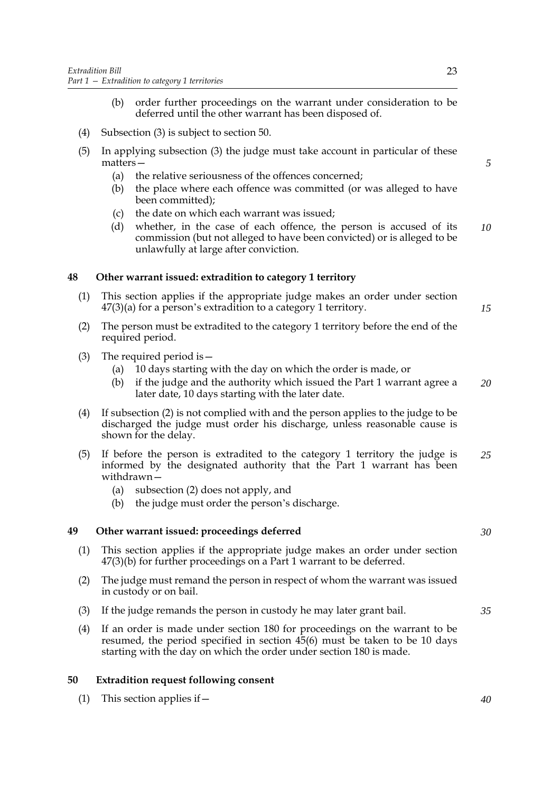- (b) order further proceedings on the warrant under consideration to be deferred until the other warrant has been disposed of.
- (4) Subsection (3) is subject to section 50.
- (5) In applying subsection (3) the judge must take account in particular of these matters—
	- (a) the relative seriousness of the offences concerned;
	- (b) the place where each offence was committed (or was alleged to have been committed);
	- (c) the date on which each warrant was issued;
	- (d) whether, in the case of each offence, the person is accused of its commission (but not alleged to have been convicted) or is alleged to be unlawfully at large after conviction. *10*

## **48 Other warrant issued: extradition to category 1 territory**

(1) This section applies if the appropriate judge makes an order under section 47(3)(a) for a person's extradition to a category 1 territory.

*15*

*5*

- (2) The person must be extradited to the category 1 territory before the end of the required period.
- (3) The required period is—
	- (a) 10 days starting with the day on which the order is made, or
	- (b) if the judge and the authority which issued the Part 1 warrant agree a later date, 10 days starting with the later date. *20*
- (4) If subsection (2) is not complied with and the person applies to the judge to be discharged the judge must order his discharge, unless reasonable cause is shown for the delay.
- (5) If before the person is extradited to the category 1 territory the judge is informed by the designated authority that the Part 1 warrant has been withdrawn— *25*
	- (a) subsection (2) does not apply, and
	- (b) the judge must order the person's discharge.

## **49 Other warrant issued: proceedings deferred**

- (1) This section applies if the appropriate judge makes an order under section 47(3)(b) for further proceedings on a Part 1 warrant to be deferred.
- (2) The judge must remand the person in respect of whom the warrant was issued in custody or on bail.
- (3) If the judge remands the person in custody he may later grant bail. *35*
- (4) If an order is made under section 180 for proceedings on the warrant to be resumed, the period specified in section 45(6) must be taken to be 10 days starting with the day on which the order under section 180 is made.

## **50 Extradition request following consent**

(1) This section applies if  $-$ 

*40*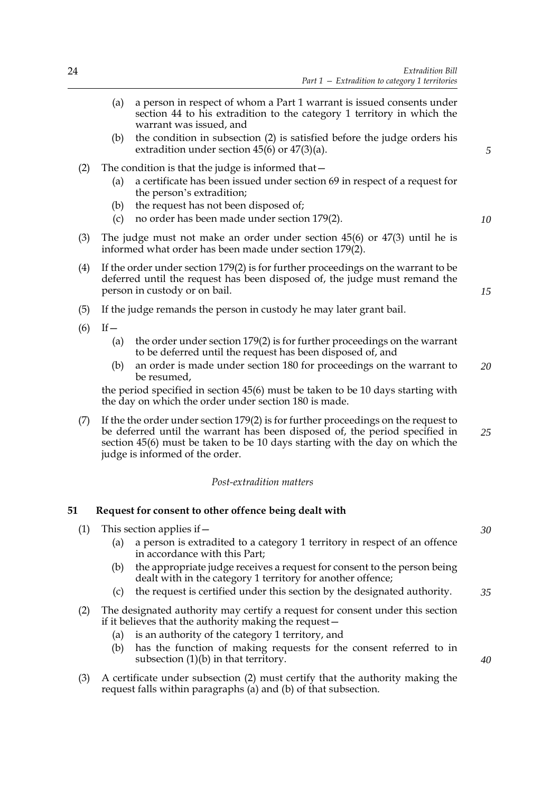- (a) a person in respect of whom a Part 1 warrant is issued consents under section 44 to his extradition to the category 1 territory in which the warrant was issued, and
- (b) the condition in subsection (2) is satisfied before the judge orders his extradition under section  $45(6)$  or  $47(3)(a)$ .
- (2) The condition is that the judge is informed that—
	- (a) a certificate has been issued under section 69 in respect of a request for the person's extradition;
	- (b) the request has not been disposed of;
	- (c) no order has been made under section 179(2).
- (3) The judge must not make an order under section 45(6) or 47(3) until he is informed what order has been made under section 179(2).
- (4) If the order under section 179(2) is for further proceedings on the warrant to be deferred until the request has been disposed of, the judge must remand the person in custody or on bail.
- (5) If the judge remands the person in custody he may later grant bail.
- $(6)$  If  $-$ 
	- (a) the order under section 179(2) is for further proceedings on the warrant to be deferred until the request has been disposed of, and
	- (b) an order is made under section 180 for proceedings on the warrant to be resumed, *20*

the period specified in section 45(6) must be taken to be 10 days starting with the day on which the order under section 180 is made.

(7) If the the order under section 179(2) is for further proceedings on the request to be deferred until the warrant has been disposed of, the period specified in section 45(6) must be taken to be 10 days starting with the day on which the judge is informed of the order. *25*

#### *Post-extradition matters*

## **51 Request for consent to other offence being dealt with**

- (1) This section applies if  $-$ 
	- (a) a person is extradited to a category 1 territory in respect of an offence in accordance with this Part;
	- (b) the appropriate judge receives a request for consent to the person being dealt with in the category 1 territory for another offence;
	- (c) the request is certified under this section by the designated authority. *35*
- (2) The designated authority may certify a request for consent under this section if it believes that the authority making the request—
	- (a) is an authority of the category 1 territory, and
	- (b) has the function of making requests for the consent referred to in subsection  $(1)(b)$  in that territory.
- (3) A certificate under subsection (2) must certify that the authority making the request falls within paragraphs (a) and (b) of that subsection.

*10*

*5*

*15*

*40*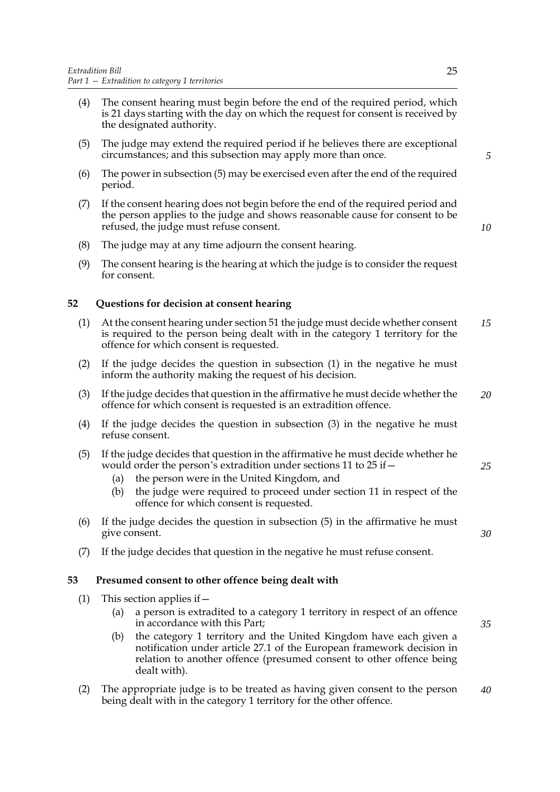- (4) The consent hearing must begin before the end of the required period, which is 21 days starting with the day on which the request for consent is received by the designated authority.
- (5) The judge may extend the required period if he believes there are exceptional circumstances; and this subsection may apply more than once.
- (6) The power in subsection (5) may be exercised even after the end of the required period.
- (7) If the consent hearing does not begin before the end of the required period and the person applies to the judge and shows reasonable cause for consent to be refused, the judge must refuse consent.
- (8) The judge may at any time adjourn the consent hearing.
- (9) The consent hearing is the hearing at which the judge is to consider the request for consent.

## **52 Questions for decision at consent hearing**

- (1) At the consent hearing under section 51 the judge must decide whether consent is required to the person being dealt with in the category 1 territory for the offence for which consent is requested. *15*
- (2) If the judge decides the question in subsection (1) in the negative he must inform the authority making the request of his decision.
- (3) If the judge decides that question in the affirmative he must decide whether the offence for which consent is requested is an extradition offence. *20*
- (4) If the judge decides the question in subsection (3) in the negative he must refuse consent.
- (5) If the judge decides that question in the affirmative he must decide whether he would order the person's extradition under sections 11 to 25 if—
	- (a) the person were in the United Kingdom, and
	- (b) the judge were required to proceed under section 11 in respect of the offence for which consent is requested.
- (6) If the judge decides the question in subsection (5) in the affirmative he must give consent.
- (7) If the judge decides that question in the negative he must refuse consent.

#### **53 Presumed consent to other offence being dealt with**

- (1) This section applies if—
	- (a) a person is extradited to a category 1 territory in respect of an offence in accordance with this Part;
	- (b) the category 1 territory and the United Kingdom have each given a notification under article 27.1 of the European framework decision in relation to another offence (presumed consent to other offence being dealt with).
- (2) The appropriate judge is to be treated as having given consent to the person being dealt with in the category 1 territory for the other offence. *40*

*5*

*10*

*35*

*25*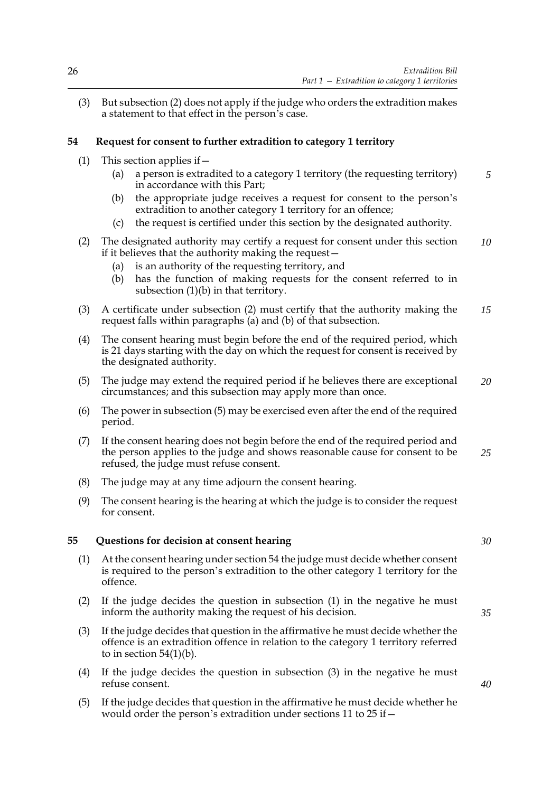(3) But subsection (2) does not apply if the judge who orders the extradition makes a statement to that effect in the person's case.

## **54 Request for consent to further extradition to category 1 territory**

- (1) This section applies if  $-$ 
	- (a) a person is extradited to a category 1 territory (the requesting territory) in accordance with this Part; *5*
	- (b) the appropriate judge receives a request for consent to the person's extradition to another category 1 territory for an offence;
	- (c) the request is certified under this section by the designated authority.
- (2) The designated authority may certify a request for consent under this section if it believes that the authority making the request— *10*
	- (a) is an authority of the requesting territory, and
	- (b) has the function of making requests for the consent referred to in subsection  $(1)(b)$  in that territory.
- (3) A certificate under subsection (2) must certify that the authority making the request falls within paragraphs (a) and (b) of that subsection. *15*
- (4) The consent hearing must begin before the end of the required period, which is 21 days starting with the day on which the request for consent is received by the designated authority.
- (5) The judge may extend the required period if he believes there are exceptional circumstances; and this subsection may apply more than once. *20*
- (6) The power in subsection (5) may be exercised even after the end of the required period.
- (7) If the consent hearing does not begin before the end of the required period and the person applies to the judge and shows reasonable cause for consent to be refused, the judge must refuse consent. *25*
- (8) The judge may at any time adjourn the consent hearing.
- (9) The consent hearing is the hearing at which the judge is to consider the request for consent.

## **55 Questions for decision at consent hearing**

- (1) At the consent hearing under section 54 the judge must decide whether consent is required to the person's extradition to the other category 1 territory for the offence.
- (2) If the judge decides the question in subsection (1) in the negative he must inform the authority making the request of his decision.
- (3) If the judge decides that question in the affirmative he must decide whether the offence is an extradition offence in relation to the category 1 territory referred to in section  $54(1)(b)$ .
- (4) If the judge decides the question in subsection (3) in the negative he must refuse consent.
- (5) If the judge decides that question in the affirmative he must decide whether he would order the person's extradition under sections 11 to 25 if—

*30*

*35*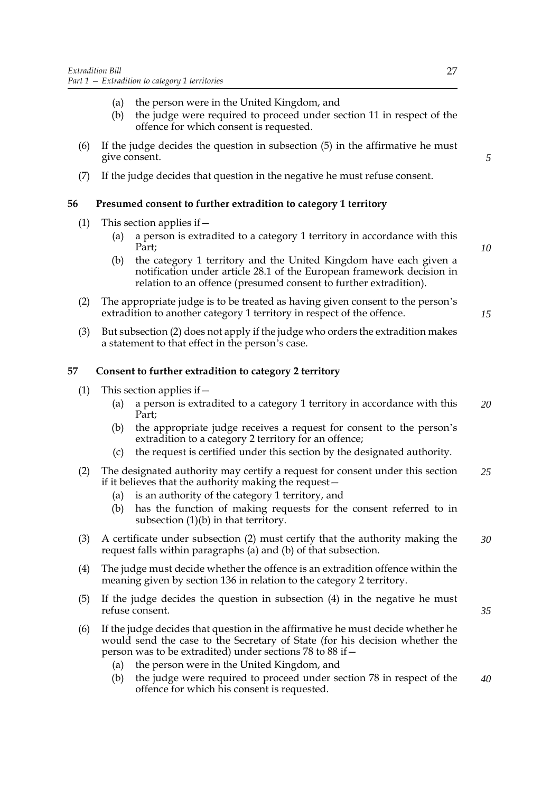- (a) the person were in the United Kingdom, and
- (b) the judge were required to proceed under section 11 in respect of the offence for which consent is requested.
- (6) If the judge decides the question in subsection (5) in the affirmative he must give consent.
- (7) If the judge decides that question in the negative he must refuse consent.

## **56 Presumed consent to further extradition to category 1 territory**

- (1) This section applies if  $-$ 
	- (a) a person is extradited to a category 1 territory in accordance with this Part;

*10*

*15*

*35*

*5*

- (b) the category 1 territory and the United Kingdom have each given a notification under article 28.1 of the European framework decision in relation to an offence (presumed consent to further extradition).
- (2) The appropriate judge is to be treated as having given consent to the person's extradition to another category 1 territory in respect of the offence.
- (3) But subsection (2) does not apply if the judge who orders the extradition makes a statement to that effect in the person's case.

## **57 Consent to further extradition to category 2 territory**

- (1) This section applies if—
	- (a) a person is extradited to a category 1 territory in accordance with this Part; *20*
	- (b) the appropriate judge receives a request for consent to the person's extradition to a category 2 territory for an offence;
	- (c) the request is certified under this section by the designated authority.
- (2) The designated authority may certify a request for consent under this section if it believes that the authority making the request— *25*
	- (a) is an authority of the category 1 territory, and
	- (b) has the function of making requests for the consent referred to in subsection  $(1)(b)$  in that territory.
- (3) A certificate under subsection (2) must certify that the authority making the request falls within paragraphs (a) and (b) of that subsection. *30*
- (4) The judge must decide whether the offence is an extradition offence within the meaning given by section 136 in relation to the category 2 territory.
- (5) If the judge decides the question in subsection (4) in the negative he must refuse consent.
- (6) If the judge decides that question in the affirmative he must decide whether he would send the case to the Secretary of State (for his decision whether the person was to be extradited) under sections 78 to 88 if—
	- (a) the person were in the United Kingdom, and
	- (b) the judge were required to proceed under section 78 in respect of the offence for which his consent is requested. *40*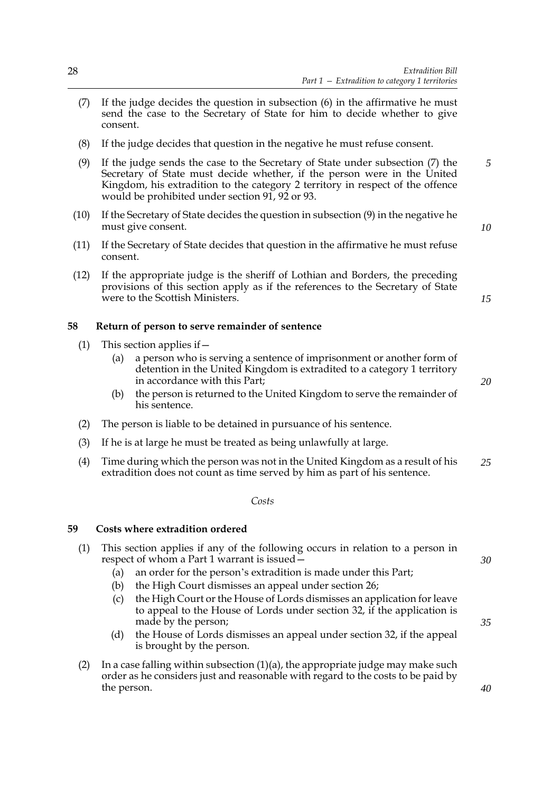- (7) If the judge decides the question in subsection (6) in the affirmative he must send the case to the Secretary of State for him to decide whether to give consent.
- (8) If the judge decides that question in the negative he must refuse consent.
- (9) If the judge sends the case to the Secretary of State under subsection (7) the Secretary of State must decide whether, if the person were in the United Kingdom, his extradition to the category 2 territory in respect of the offence would be prohibited under section 91, 92 or 93.
- (10) If the Secretary of State decides the question in subsection (9) in the negative he must give consent.
- (11) If the Secretary of State decides that question in the affirmative he must refuse consent.
- (12) If the appropriate judge is the sheriff of Lothian and Borders, the preceding provisions of this section apply as if the references to the Secretary of State were to the Scottish Ministers.

## **58 Return of person to serve remainder of sentence**

- (1) This section applies if—
	- (a) a person who is serving a sentence of imprisonment or another form of detention in the United Kingdom is extradited to a category 1 territory in accordance with this Part;
	- (b) the person is returned to the United Kingdom to serve the remainder of his sentence.
- (2) The person is liable to be detained in pursuance of his sentence.
- (3) If he is at large he must be treated as being unlawfully at large.
- (4) Time during which the person was not in the United Kingdom as a result of his extradition does not count as time served by him as part of his sentence. *25*

#### *Costs*

#### **59 Costs where extradition ordered**

| respect of whom a Part 1 warrant is issued -<br>an order for the person's extradition is made under this Part;<br>(a)<br>the High Court dismisses an appeal under section 26;<br>(b)<br>the High Court or the House of Lords dismisses an application for leave<br>(C)<br>to appeal to the House of Lords under section 32, if the application is<br>made by the person;<br>the House of Lords dismisses an appeal under section 32, if the appeal<br>(d)<br>is brought by the person. | (1) | This section applies if any of the following occurs in relation to a person in |    |
|----------------------------------------------------------------------------------------------------------------------------------------------------------------------------------------------------------------------------------------------------------------------------------------------------------------------------------------------------------------------------------------------------------------------------------------------------------------------------------------|-----|--------------------------------------------------------------------------------|----|
|                                                                                                                                                                                                                                                                                                                                                                                                                                                                                        |     |                                                                                | 30 |
|                                                                                                                                                                                                                                                                                                                                                                                                                                                                                        |     |                                                                                |    |
|                                                                                                                                                                                                                                                                                                                                                                                                                                                                                        |     |                                                                                |    |
|                                                                                                                                                                                                                                                                                                                                                                                                                                                                                        |     |                                                                                | 35 |
|                                                                                                                                                                                                                                                                                                                                                                                                                                                                                        |     |                                                                                |    |

(2) In a case falling within subsection  $(1)(a)$ , the appropriate judge may make such order as he considers just and reasonable with regard to the costs to be paid by the person.

*40*

*5*

*10*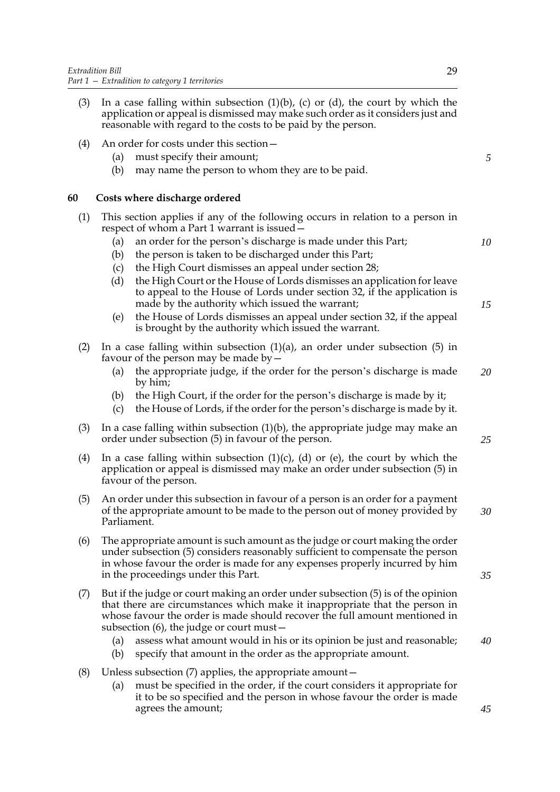- (3) In a case falling within subsection  $(1)(b)$ , (c) or (d), the court by which the application or appeal is dismissed may make such order as it considers just and reasonable with regard to the costs to be paid by the person.
- (4) An order for costs under this section—
	- (a) must specify their amount;
	- (b) may name the person to whom they are to be paid.

## **60 Costs where discharge ordered**

- (1) This section applies if any of the following occurs in relation to a person in respect of whom a Part 1 warrant is issued—
	- (a) an order for the person's discharge is made under this Part;
	- (b) the person is taken to be discharged under this Part;
	- (c) the High Court dismisses an appeal under section 28;
	- (d) the High Court or the House of Lords dismisses an application for leave to appeal to the House of Lords under section 32, if the application is made by the authority which issued the warrant;
	- (e) the House of Lords dismisses an appeal under section 32, if the appeal is brought by the authority which issued the warrant.
- (2) In a case falling within subsection  $(1)(a)$ , an order under subsection  $(5)$  in favour of the person may be made by—
	- (a) the appropriate judge, if the order for the person's discharge is made by him; *20*
	- (b) the High Court, if the order for the person's discharge is made by it;
	- (c) the House of Lords, if the order for the person's discharge is made by it.
- (3) In a case falling within subsection  $(1)(b)$ , the appropriate judge may make an order under subsection (5) in favour of the person.
- (4) In a case falling within subsection  $(1)(c)$ ,  $(d)$  or  $(e)$ , the court by which the application or appeal is dismissed may make an order under subsection (5) in favour of the person.
- (5) An order under this subsection in favour of a person is an order for a payment of the appropriate amount to be made to the person out of money provided by Parliament.
- (6) The appropriate amount is such amount as the judge or court making the order under subsection (5) considers reasonably sufficient to compensate the person in whose favour the order is made for any expenses properly incurred by him in the proceedings under this Part.
- (7) But if the judge or court making an order under subsection (5) is of the opinion that there are circumstances which make it inappropriate that the person in whose favour the order is made should recover the full amount mentioned in subsection (6), the judge or court must—
	- (a) assess what amount would in his or its opinion be just and reasonable; *40*
	- (b) specify that amount in the order as the appropriate amount.
- (8) Unless subsection (7) applies, the appropriate amount—
	- (a) must be specified in the order, if the court considers it appropriate for it to be so specified and the person in whose favour the order is made agrees the amount;

*25*

*35*

*30*

*15*

*10*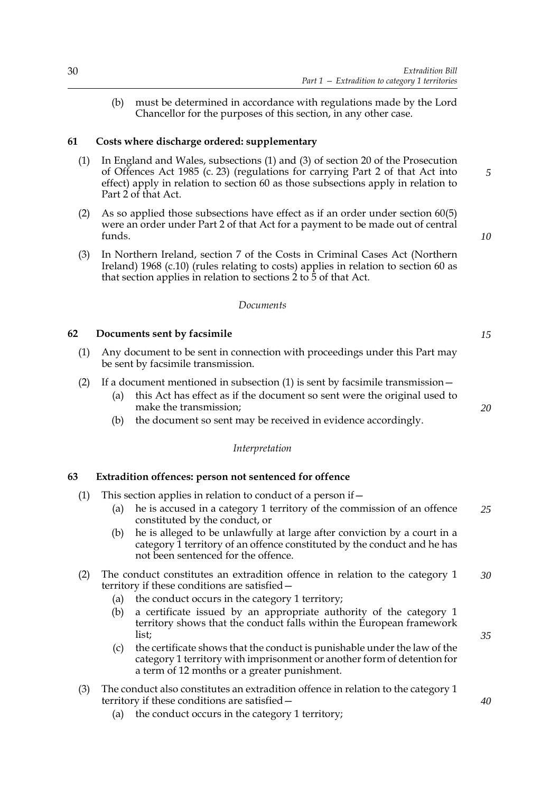(b) must be determined in accordance with regulations made by the Lord Chancellor for the purposes of this section, in any other case.

## **61 Costs where discharge ordered: supplementary**

- (1) In England and Wales, subsections (1) and (3) of section 20 of the Prosecution of Offences Act 1985 (c. 23) (regulations for carrying Part 2 of that Act into effect) apply in relation to section 60 as those subsections apply in relation to Part 2 of that Act.
- (2) As so applied those subsections have effect as if an order under section  $60(5)$ were an order under Part 2 of that Act for a payment to be made out of central funds.
- (3) In Northern Ireland, section 7 of the Costs in Criminal Cases Act (Northern Ireland) 1968 (c.10) (rules relating to costs) applies in relation to section 60 as that section applies in relation to sections 2 to 5 of that Act.

#### *Documents*

#### **62 Documents sent by facsimile**

- (1) Any document to be sent in connection with proceedings under this Part may be sent by facsimile transmission.
- (2) If a document mentioned in subsection (1) is sent by facsimile transmission—
	- (a) this Act has effect as if the document so sent were the original used to make the transmission;
	- (b) the document so sent may be received in evidence accordingly.

#### *Interpretation*

#### **63 Extradition offences: person not sentenced for offence**

- (1) This section applies in relation to conduct of a person if  $-$ 
	- (a) he is accused in a category 1 territory of the commission of an offence constituted by the conduct, or *25*
	- (b) he is alleged to be unlawfully at large after conviction by a court in a category 1 territory of an offence constituted by the conduct and he has not been sentenced for the offence.
- (2) The conduct constitutes an extradition offence in relation to the category 1 territory if these conditions are satisfied— *30*
	- (a) the conduct occurs in the category 1 territory;
	- (b) a certificate issued by an appropriate authority of the category 1 territory shows that the conduct falls within the European framework list;
	- (c) the certificate shows that the conduct is punishable under the law of the category 1 territory with imprisonment or another form of detention for a term of 12 months or a greater punishment.
- (3) The conduct also constitutes an extradition offence in relation to the category 1 territory if these conditions are satisfied—
	- (a) the conduct occurs in the category 1 territory;

*15*

*5*

*10*

*20*

*35*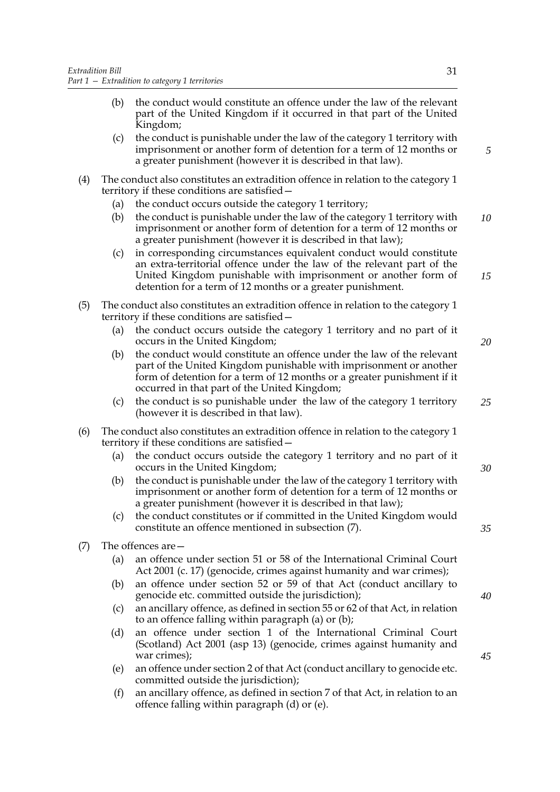- (b) the conduct would constitute an offence under the law of the relevant part of the United Kingdom if it occurred in that part of the United Kingdom;
- (c) the conduct is punishable under the law of the category 1 territory with imprisonment or another form of detention for a term of 12 months or a greater punishment (however it is described in that law).
- (4) The conduct also constitutes an extradition offence in relation to the category 1 territory if these conditions are satisfied—
	- (a) the conduct occurs outside the category 1 territory;
	- (b) the conduct is punishable under the law of the category 1 territory with imprisonment or another form of detention for a term of 12 months or a greater punishment (however it is described in that law); *10*
	- (c) in corresponding circumstances equivalent conduct would constitute an extra-territorial offence under the law of the relevant part of the United Kingdom punishable with imprisonment or another form of detention for a term of 12 months or a greater punishment.
- (5) The conduct also constitutes an extradition offence in relation to the category 1 territory if these conditions are satisfied—
	- (a) the conduct occurs outside the category 1 territory and no part of it occurs in the United Kingdom;
	- (b) the conduct would constitute an offence under the law of the relevant part of the United Kingdom punishable with imprisonment or another form of detention for a term of 12 months or a greater punishment if it occurred in that part of the United Kingdom;
	- (c) the conduct is so punishable under the law of the category 1 territory (however it is described in that law). *25*
- (6) The conduct also constitutes an extradition offence in relation to the category 1 territory if these conditions are satisfied—
	- (a) the conduct occurs outside the category 1 territory and no part of it occurs in the United Kingdom;
	- (b) the conduct is punishable under the law of the category 1 territory with imprisonment or another form of detention for a term of 12 months or a greater punishment (however it is described in that law);
	- (c) the conduct constitutes or if committed in the United Kingdom would constitute an offence mentioned in subsection (7).
- (7) The offences are—
	- (a) an offence under section 51 or 58 of the International Criminal Court Act 2001 (c. 17) (genocide, crimes against humanity and war crimes);
	- (b) an offence under section 52 or 59 of that Act (conduct ancillary to genocide etc. committed outside the jurisdiction);
	- (c) an ancillary offence, as defined in section 55 or 62 of that Act, in relation to an offence falling within paragraph (a) or (b);
	- (d) an offence under section 1 of the International Criminal Court (Scotland) Act 2001 (asp 13) (genocide, crimes against humanity and war crimes);
	- (e) an offence under section 2 of that Act (conduct ancillary to genocide etc. committed outside the jurisdiction);
	- (f) an ancillary offence, as defined in section 7 of that Act, in relation to an offence falling within paragraph (d) or (e).

*5*

*15*

*20*

*30*

*35*

*40*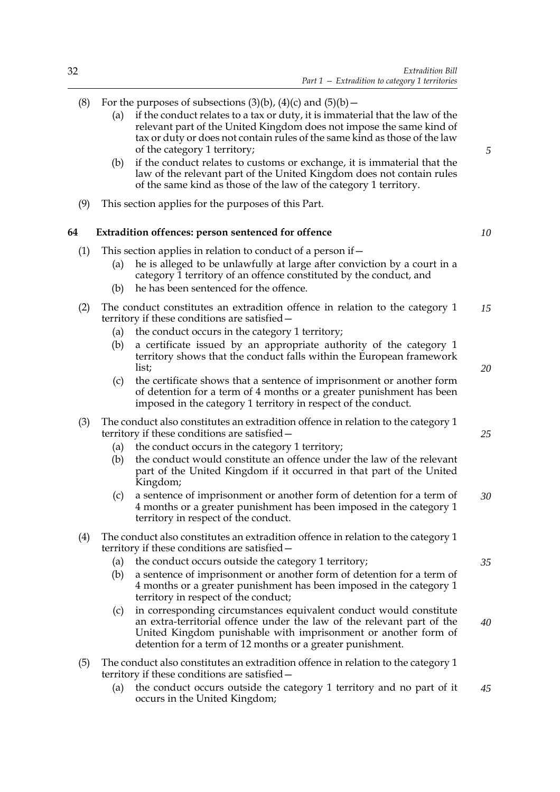- (8) For the purposes of subsections  $(3)(b)$ ,  $(4)(c)$  and  $(5)(b)$  -
	- (a) if the conduct relates to a tax or duty, it is immaterial that the law of the relevant part of the United Kingdom does not impose the same kind of tax or duty or does not contain rules of the same kind as those of the law of the category 1 territory;
	- (b) if the conduct relates to customs or exchange, it is immaterial that the law of the relevant part of the United Kingdom does not contain rules of the same kind as those of the law of the category 1 territory.
- (9) This section applies for the purposes of this Part.

## **64 Extradition offences: person sentenced for offence**

- (1) This section applies in relation to conduct of a person if  $-$ 
	- (a) he is alleged to be unlawfully at large after conviction by a court in a category 1 territory of an offence constituted by the conduct, and
	- (b) he has been sentenced for the offence.
- (2) The conduct constitutes an extradition offence in relation to the category 1 territory if these conditions are satisfied— *15*
	- (a) the conduct occurs in the category 1 territory;
	- (b) a certificate issued by an appropriate authority of the category 1 territory shows that the conduct falls within the European framework list;
	- (c) the certificate shows that a sentence of imprisonment or another form of detention for a term of 4 months or a greater punishment has been imposed in the category 1 territory in respect of the conduct.
- (3) The conduct also constitutes an extradition offence in relation to the category 1 territory if these conditions are satisfied—
	- (a) the conduct occurs in the category 1 territory;
	- (b) the conduct would constitute an offence under the law of the relevant part of the United Kingdom if it occurred in that part of the United Kingdom;
	- (c) a sentence of imprisonment or another form of detention for a term of 4 months or a greater punishment has been imposed in the category 1 territory in respect of the conduct. *30*
- (4) The conduct also constitutes an extradition offence in relation to the category 1 territory if these conditions are satisfied—
	- (a) the conduct occurs outside the category 1 territory;
	- (b) a sentence of imprisonment or another form of detention for a term of 4 months or a greater punishment has been imposed in the category 1 territory in respect of the conduct;
	- (c) in corresponding circumstances equivalent conduct would constitute an extra-territorial offence under the law of the relevant part of the United Kingdom punishable with imprisonment or another form of detention for a term of 12 months or a greater punishment. *40*
- (5) The conduct also constitutes an extradition offence in relation to the category 1 territory if these conditions are satisfied—
	- (a) the conduct occurs outside the category 1 territory and no part of it occurs in the United Kingdom; *45*

*20*

*5*

*10*

*25*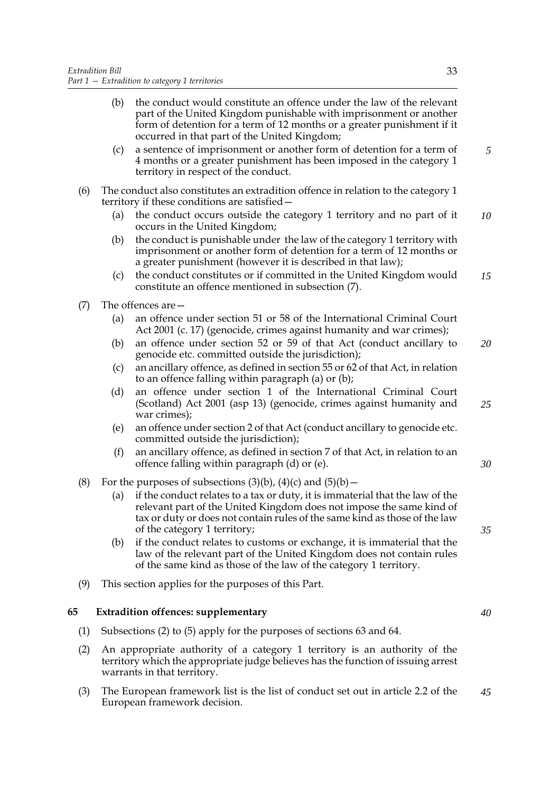- (c) a sentence of imprisonment or another form of detention for a term of 4 months or a greater punishment has been imposed in the category 1 territory in respect of the conduct.
- (6) The conduct also constitutes an extradition offence in relation to the category 1 territory if these conditions are satisfied—
	- (a) the conduct occurs outside the category 1 territory and no part of it occurs in the United Kingdom; *10*
	- (b) the conduct is punishable under the law of the category 1 territory with imprisonment or another form of detention for a term of 12 months or a greater punishment (however it is described in that law);
	- (c) the conduct constitutes or if committed in the United Kingdom would constitute an offence mentioned in subsection (7). *15*
- (7) The offences are—
	- (a) an offence under section 51 or 58 of the International Criminal Court Act 2001 (c. 17) (genocide, crimes against humanity and war crimes);
	- (b) an offence under section 52 or 59 of that Act (conduct ancillary to genocide etc. committed outside the jurisdiction); *20*
	- (c) an ancillary offence, as defined in section 55 or 62 of that Act, in relation to an offence falling within paragraph (a) or (b);
	- (d) an offence under section 1 of the International Criminal Court (Scotland) Act 2001 (asp 13) (genocide, crimes against humanity and war crimes); *25*
	- (e) an offence under section 2 of that Act (conduct ancillary to genocide etc. committed outside the jurisdiction);
	- (f) an ancillary offence, as defined in section 7 of that Act, in relation to an offence falling within paragraph (d) or (e).
- (8) For the purposes of subsections  $(3)(b)$ ,  $(4)(c)$  and  $(5)(b)$  -
	- (a) if the conduct relates to a tax or duty, it is immaterial that the law of the relevant part of the United Kingdom does not impose the same kind of tax or duty or does not contain rules of the same kind as those of the law of the category 1 territory;
	- (b) if the conduct relates to customs or exchange, it is immaterial that the law of the relevant part of the United Kingdom does not contain rules of the same kind as those of the law of the category 1 territory.
- (9) This section applies for the purposes of this Part.

## **65 Extradition offences: supplementary**

- (1) Subsections (2) to (5) apply for the purposes of sections 63 and 64.
- (2) An appropriate authority of a category 1 territory is an authority of the territory which the appropriate judge believes has the function of issuing arrest warrants in that territory.
- (3) The European framework list is the list of conduct set out in article 2.2 of the European framework decision. *45*

*5*

*40*

*30*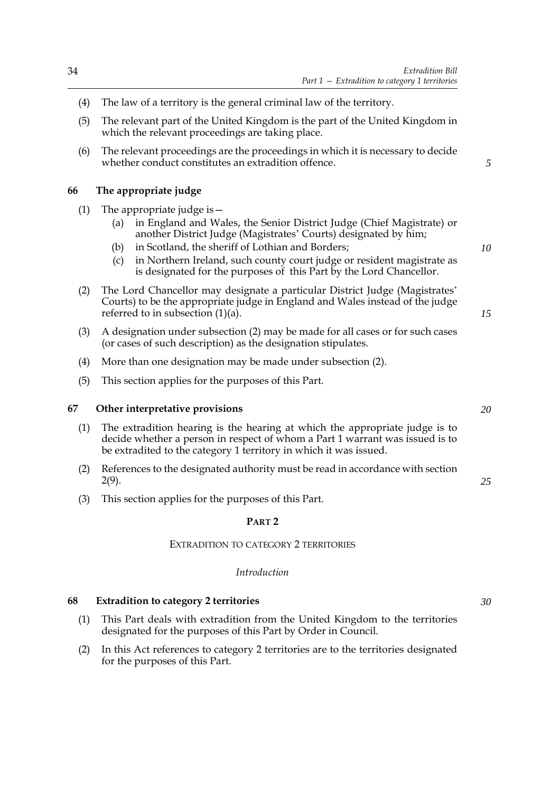| (4) | The law of a territory is the general criminal law of the territory.                                                                                                                                                                                                                                                                                                                               |    |
|-----|----------------------------------------------------------------------------------------------------------------------------------------------------------------------------------------------------------------------------------------------------------------------------------------------------------------------------------------------------------------------------------------------------|----|
| (5) | The relevant part of the United Kingdom is the part of the United Kingdom in<br>which the relevant proceedings are taking place.                                                                                                                                                                                                                                                                   |    |
| (6) | The relevant proceedings are the proceedings in which it is necessary to decide<br>whether conduct constitutes an extradition offence.                                                                                                                                                                                                                                                             | 5  |
| 66  | The appropriate judge                                                                                                                                                                                                                                                                                                                                                                              |    |
| (1) | The appropriate judge is $-$<br>in England and Wales, the Senior District Judge (Chief Magistrate) or<br>(a)<br>another District Judge (Magistrates' Courts) designated by him;<br>in Scotland, the sheriff of Lothian and Borders;<br>(b)<br>in Northern Ireland, such county court judge or resident magistrate as<br>(c)<br>is designated for the purposes of this Part by the Lord Chancellor. | 10 |
| (2) | The Lord Chancellor may designate a particular District Judge (Magistrates'<br>Courts) to be the appropriate judge in England and Wales instead of the judge<br>referred to in subsection $(1)(a)$ .                                                                                                                                                                                               | 15 |
| (3) | A designation under subsection (2) may be made for all cases or for such cases<br>(or cases of such description) as the designation stipulates.                                                                                                                                                                                                                                                    |    |
| (4) | More than one designation may be made under subsection (2).                                                                                                                                                                                                                                                                                                                                        |    |
| (5) | This section applies for the purposes of this Part.                                                                                                                                                                                                                                                                                                                                                |    |
| 67  | Other interpretative provisions                                                                                                                                                                                                                                                                                                                                                                    | 20 |
| (1) | The extradition hearing is the hearing at which the appropriate judge is to<br>decide whether a person in respect of whom a Part 1 warrant was issued is to<br>be extradited to the category 1 territory in which it was issued.                                                                                                                                                                   |    |
| (2) | References to the designated authority must be read in accordance with section<br>$2(9)$ .                                                                                                                                                                                                                                                                                                         | 25 |
| (3) | This section applies for the purposes of this Part.                                                                                                                                                                                                                                                                                                                                                |    |
|     | PART <sub>2</sub>                                                                                                                                                                                                                                                                                                                                                                                  |    |
|     | EXTRADITION TO CATEGORY 2 TERRITORIES                                                                                                                                                                                                                                                                                                                                                              |    |
|     |                                                                                                                                                                                                                                                                                                                                                                                                    |    |

## *Introduction*

# **68 Extradition to category 2 territories**

- (1) This Part deals with extradition from the United Kingdom to the territories designated for the purposes of this Part by Order in Council.
- (2) In this Act references to category 2 territories are to the territories designated for the purposes of this Part.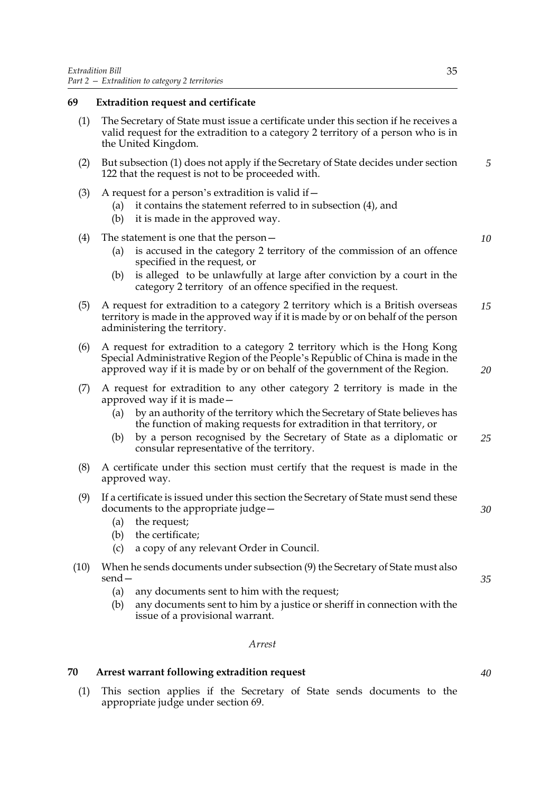## **69 Extradition request and certificate**

- (1) The Secretary of State must issue a certificate under this section if he receives a valid request for the extradition to a category 2 territory of a person who is in the United Kingdom.
- (2) But subsection (1) does not apply if the Secretary of State decides under section 122 that the request is not to be proceeded with. *5*
- (3) A request for a person's extradition is valid if  $-$ 
	- (a) it contains the statement referred to in subsection (4), and
	- (b) it is made in the approved way.
- (4) The statement is one that the person—
	- (a) is accused in the category 2 territory of the commission of an offence specified in the request, or
	- (b) is alleged to be unlawfully at large after conviction by a court in the category 2 territory of an offence specified in the request.
- (5) A request for extradition to a category 2 territory which is a British overseas territory is made in the approved way if it is made by or on behalf of the person administering the territory. *15*
- (6) A request for extradition to a category 2 territory which is the Hong Kong Special Administrative Region of the People's Republic of China is made in the approved way if it is made by or on behalf of the government of the Region.
- (7) A request for extradition to any other category 2 territory is made in the approved way if it is made—
	- (a) by an authority of the territory which the Secretary of State believes has the function of making requests for extradition in that territory, or
	- (b) by a person recognised by the Secretary of State as a diplomatic or consular representative of the territory. *25*
- (8) A certificate under this section must certify that the request is made in the approved way.
- (9) If a certificate is issued under this section the Secretary of State must send these documents to the appropriate judge—
	- (a) the request;
	- (b) the certificate;
	- (c) a copy of any relevant Order in Council.
- (10) When he sends documents under subsection (9) the Secretary of State must also send—
	- (a) any documents sent to him with the request;
	- (b) any documents sent to him by a justice or sheriff in connection with the issue of a provisional warrant.

#### *Arrest*

#### **70 Arrest warrant following extradition request**

(1) This section applies if the Secretary of State sends documents to the appropriate judge under section 69.

*10*

*20*

*30*

*35*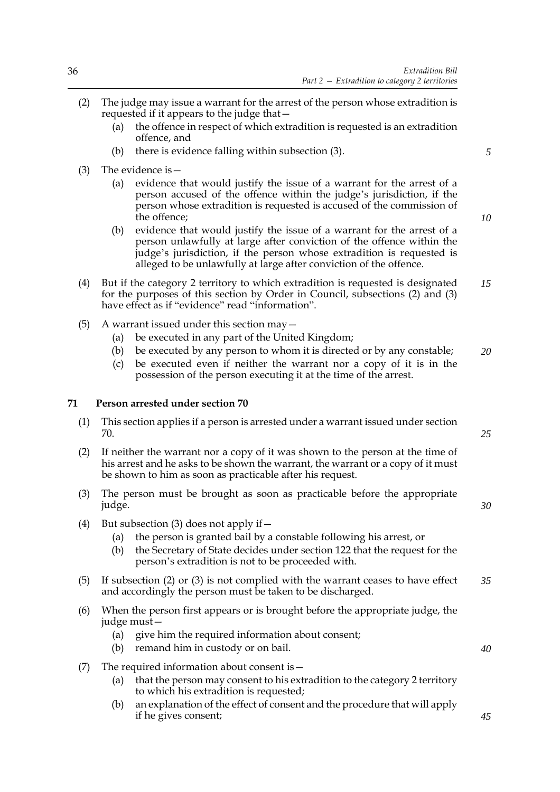- (2) The judge may issue a warrant for the arrest of the person whose extradition is requested if it appears to the judge that—
	- (a) the offence in respect of which extradition is requested is an extradition offence, and
	- (b) there is evidence falling within subsection (3).
- (3) The evidence is—
	- (a) evidence that would justify the issue of a warrant for the arrest of a person accused of the offence within the judge's jurisdiction, if the person whose extradition is requested is accused of the commission of the offence;
	- (b) evidence that would justify the issue of a warrant for the arrest of a person unlawfully at large after conviction of the offence within the judge's jurisdiction, if the person whose extradition is requested is alleged to be unlawfully at large after conviction of the offence.
- (4) But if the category 2 territory to which extradition is requested is designated for the purposes of this section by Order in Council, subsections (2) and (3) have effect as if "evidence" read "information". *15*
- (5) A warrant issued under this section may—
	- (a) be executed in any part of the United Kingdom;
	- (b) be executed by any person to whom it is directed or by any constable; *20*
	- (c) be executed even if neither the warrant nor a copy of it is in the possession of the person executing it at the time of the arrest.

## **71 Person arrested under section 70**

- (1) This section applies if a person is arrested under a warrant issued under section 70.
- (2) If neither the warrant nor a copy of it was shown to the person at the time of his arrest and he asks to be shown the warrant, the warrant or a copy of it must be shown to him as soon as practicable after his request.
- (3) The person must be brought as soon as practicable before the appropriate judge.
- (4) But subsection (3) does not apply if  $-$ 
	- (a) the person is granted bail by a constable following his arrest, or
	- (b) the Secretary of State decides under section 122 that the request for the person's extradition is not to be proceeded with.
- (5) If subsection (2) or (3) is not complied with the warrant ceases to have effect and accordingly the person must be taken to be discharged. *35*
- (6) When the person first appears or is brought before the appropriate judge, the judge must—
	- (a) give him the required information about consent;
	- (b) remand him in custody or on bail.
- (7) The required information about consent is—
	- (a) that the person may consent to his extradition to the category 2 territory to which his extradition is requested;
	- (b) an explanation of the effect of consent and the procedure that will apply if he gives consent;

*10*

*5*

*25*

*30*

*40*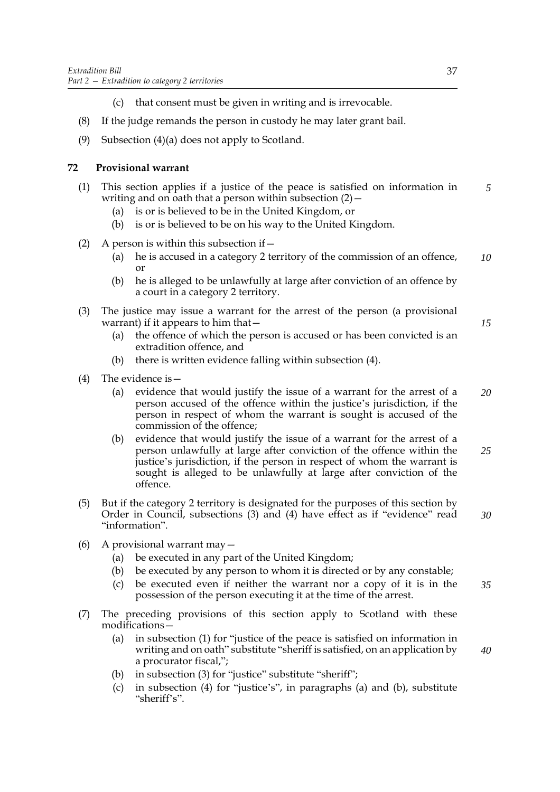- that consent must be given in writing and is irrevocable.
- (8) If the judge remands the person in custody he may later grant bail.
- (9) Subsection (4)(a) does not apply to Scotland.

# **72 Provisional warrant**

- (1) This section applies if a justice of the peace is satisfied on information in writing and on oath that a person within subsection  $(2)$  -*5*
	- (a) is or is believed to be in the United Kingdom, or
	- (b) is or is believed to be on his way to the United Kingdom.
- (2) A person is within this subsection if  $-$ 
	- (a) he is accused in a category 2 territory of the commission of an offence, or *10*
	- (b) he is alleged to be unlawfully at large after conviction of an offence by a court in a category 2 territory.
- (3) The justice may issue a warrant for the arrest of the person (a provisional warrant) if it appears to him that—
	- (a) the offence of which the person is accused or has been convicted is an extradition offence, and
	- (b) there is written evidence falling within subsection (4).
- (4) The evidence is—
	- (a) evidence that would justify the issue of a warrant for the arrest of a person accused of the offence within the justice's jurisdiction, if the person in respect of whom the warrant is sought is accused of the commission of the offence; *20*
	- (b) evidence that would justify the issue of a warrant for the arrest of a person unlawfully at large after conviction of the offence within the justice's jurisdiction, if the person in respect of whom the warrant is sought is alleged to be unlawfully at large after conviction of the offence. *25*
- (5) But if the category 2 territory is designated for the purposes of this section by Order in Council, subsections (3) and (4) have effect as if "evidence" read "information". *30*
- (6) A provisional warrant may—
	- (a) be executed in any part of the United Kingdom;
	- (b) be executed by any person to whom it is directed or by any constable;
	- (c) be executed even if neither the warrant nor a copy of it is in the possession of the person executing it at the time of the arrest. *35*
- (7) The preceding provisions of this section apply to Scotland with these modifications—
	- (a) in subsection (1) for "justice of the peace is satisfied on information in writing and on oath" substitute "sheriff is satisfied, on an application by a procurator fiscal,";
	- (b) in subsection (3) for "justice" substitute "sheriff";
	- (c) in subsection (4) for "justice's", in paragraphs (a) and (b), substitute "sheriff's".

*40*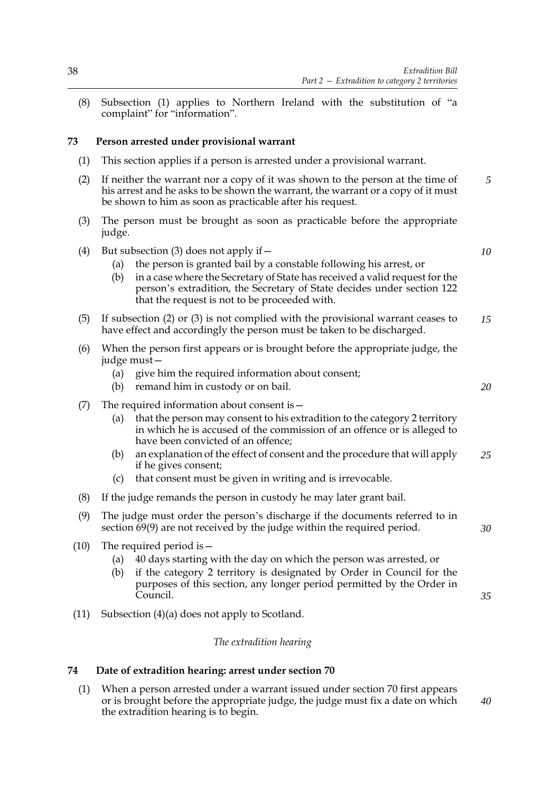(8) Subsection (1) applies to Northern Ireland with the substitution of "a complaint" for "information".

## **73 Person arrested under provisional warrant**

- (1) This section applies if a person is arrested under a provisional warrant.
- (2) If neither the warrant nor a copy of it was shown to the person at the time of his arrest and he asks to be shown the warrant, the warrant or a copy of it must be shown to him as soon as practicable after his request. *5*
- (3) The person must be brought as soon as practicable before the appropriate judge.
- (4) But subsection (3) does not apply if  $-$ 
	- (a) the person is granted bail by a constable following his arrest, or
	- (b) in a case where the Secretary of State has received a valid request for the person's extradition, the Secretary of State decides under section 122 that the request is not to be proceeded with.
- (5) If subsection (2) or (3) is not complied with the provisional warrant ceases to have effect and accordingly the person must be taken to be discharged. *15*
- (6) When the person first appears or is brought before the appropriate judge, the judge must—
	- (a) give him the required information about consent;
	- (b) remand him in custody or on bail.
- (7) The required information about consent is—
	- (a) that the person may consent to his extradition to the category 2 territory in which he is accused of the commission of an offence or is alleged to have been convicted of an offence;
	- (b) an explanation of the effect of consent and the procedure that will apply if he gives consent; *25*
	- (c) that consent must be given in writing and is irrevocable.
- (8) If the judge remands the person in custody he may later grant bail.
- (9) The judge must order the person's discharge if the documents referred to in section  $69(9)$  are not received by the judge within the required period.
- (10) The required period is—
	- (a) 40 days starting with the day on which the person was arrested, or
	- (b) if the category 2 territory is designated by Order in Council for the purposes of this section, any longer period permitted by the Order in Council.
- (11) Subsection (4)(a) does not apply to Scotland.

#### *The extradition hearing*

## **74 Date of extradition hearing: arrest under section 70**

(1) When a person arrested under a warrant issued under section 70 first appears or is brought before the appropriate judge, the judge must fix a date on which the extradition hearing is to begin. *40*

*20*

*30*

*35*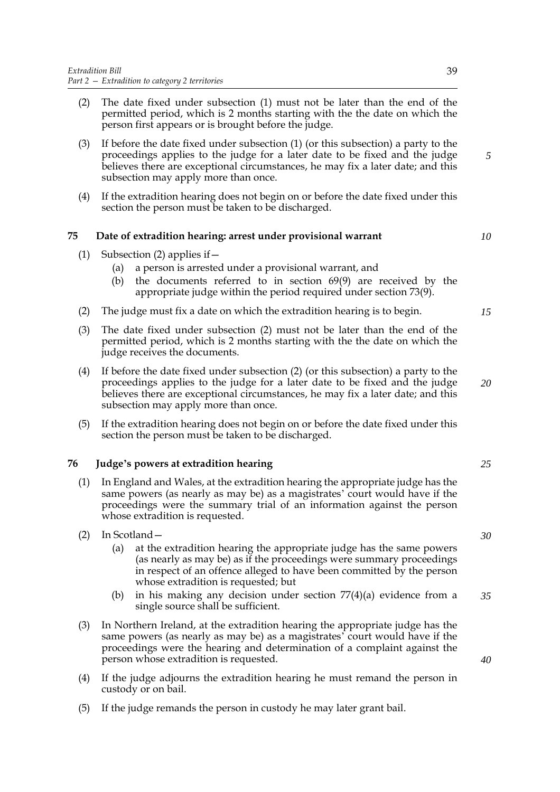- (2) The date fixed under subsection (1) must not be later than the end of the permitted period, which is 2 months starting with the the date on which the person first appears or is brought before the judge.
- (3) If before the date fixed under subsection (1) (or this subsection) a party to the proceedings applies to the judge for a later date to be fixed and the judge believes there are exceptional circumstances, he may fix a later date; and this subsection may apply more than once.
- (4) If the extradition hearing does not begin on or before the date fixed under this section the person must be taken to be discharged.

## **75 Date of extradition hearing: arrest under provisional warrant**

- (1) Subsection (2) applies if  $-$ 
	- (a) a person is arrested under a provisional warrant, and
	- (b) the documents referred to in section 69(9) are received by the appropriate judge within the period required under section 73(9).
- (2) The judge must fix a date on which the extradition hearing is to begin.
- (3) The date fixed under subsection (2) must not be later than the end of the permitted period, which is 2 months starting with the the date on which the judge receives the documents.
- (4) If before the date fixed under subsection (2) (or this subsection) a party to the proceedings applies to the judge for a later date to be fixed and the judge believes there are exceptional circumstances, he may fix a later date; and this subsection may apply more than once.
- (5) If the extradition hearing does not begin on or before the date fixed under this section the person must be taken to be discharged.

## **76 Judge's powers at extradition hearing**

- (1) In England and Wales, at the extradition hearing the appropriate judge has the same powers (as nearly as may be) as a magistrates' court would have if the proceedings were the summary trial of an information against the person whose extradition is requested.
- (2) In Scotland—
	- (a) at the extradition hearing the appropriate judge has the same powers (as nearly as may be) as if the proceedings were summary proceedings in respect of an offence alleged to have been committed by the person whose extradition is requested; but
	- (b) in his making any decision under section 77(4)(a) evidence from a single source shall be sufficient. *35*
- (3) In Northern Ireland, at the extradition hearing the appropriate judge has the same powers (as nearly as may be) as a magistrates' court would have if the proceedings were the hearing and determination of a complaint against the person whose extradition is requested.
- (4) If the judge adjourns the extradition hearing he must remand the person in custody or on bail.
- (5) If the judge remands the person in custody he may later grant bail.

*30*

*15*

*10*

*5*

*25*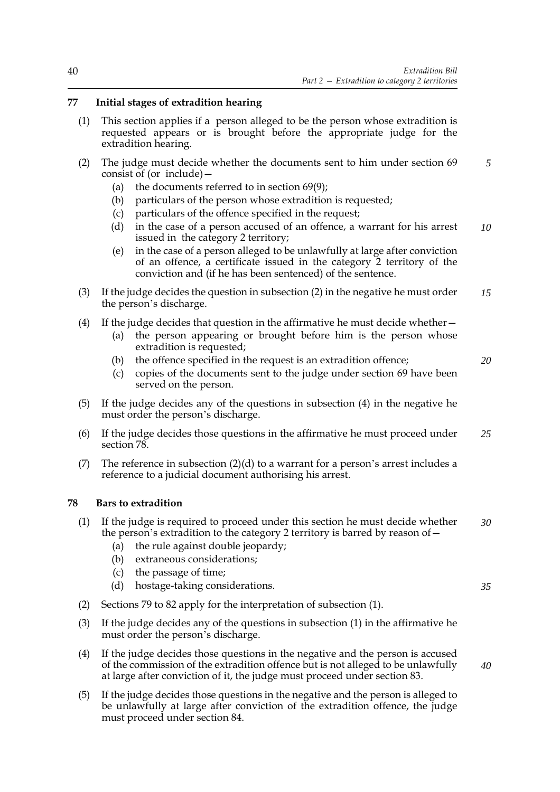## **77 Initial stages of extradition hearing**

- (1) This section applies if a person alleged to be the person whose extradition is requested appears or is brought before the appropriate judge for the extradition hearing.
- (2) The judge must decide whether the documents sent to him under section 69 consist of (or include)— *5*
	- (a) the documents referred to in section  $69(9)$ ;
	- (b) particulars of the person whose extradition is requested;
	- (c) particulars of the offence specified in the request;
	- (d) in the case of a person accused of an offence, a warrant for his arrest issued in the category 2 territory; *10*
	- (e) in the case of a person alleged to be unlawfully at large after conviction of an offence, a certificate issued in the category 2 territory of the conviction and (if he has been sentenced) of the sentence.
- (3) If the judge decides the question in subsection (2) in the negative he must order the person's discharge. *15*
- (4) If the judge decides that question in the affirmative he must decide whether  $-$ 
	- (a) the person appearing or brought before him is the person whose extradition is requested;
	- (b) the offence specified in the request is an extradition offence;
	- (c) copies of the documents sent to the judge under section 69 have been served on the person.
- (5) If the judge decides any of the questions in subsection (4) in the negative he must order the person's discharge.
- (6) If the judge decides those questions in the affirmative he must proceed under section 78. *25*
- (7) The reference in subsection  $(2)(d)$  to a warrant for a person's arrest includes a reference to a judicial document authorising his arrest.

## **78 Bars to extradition**

- (1) If the judge is required to proceed under this section he must decide whether the person's extradition to the category 2 territory is barred by reason of— *30*
	- (a) the rule against double jeopardy;
	- (b) extraneous considerations;
	- (c) the passage of time;
	- (d) hostage-taking considerations.
- (2) Sections 79 to 82 apply for the interpretation of subsection (1).
- (3) If the judge decides any of the questions in subsection (1) in the affirmative he must order the person's discharge.
- (4) If the judge decides those questions in the negative and the person is accused of the commission of the extradition offence but is not alleged to be unlawfully at large after conviction of it, the judge must proceed under section 83.
- (5) If the judge decides those questions in the negative and the person is alleged to be unlawfully at large after conviction of the extradition offence, the judge must proceed under section 84.

*35*

*40*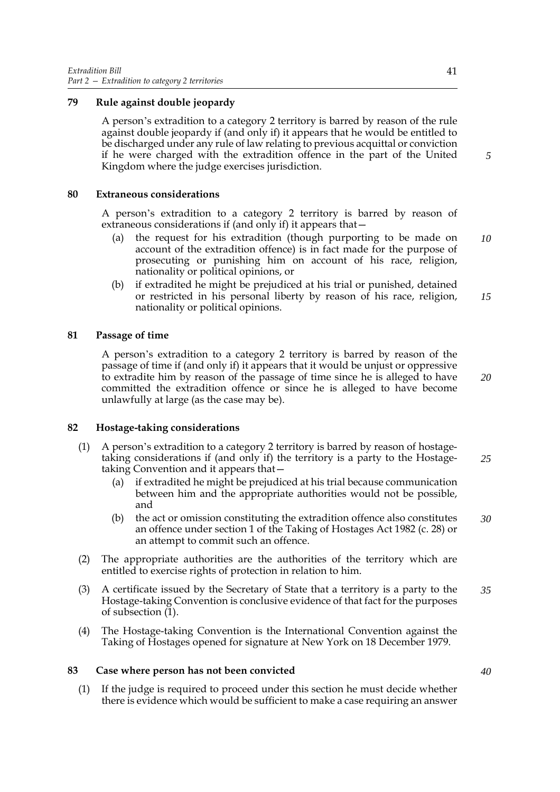## **79 Rule against double jeopardy**

A person's extradition to a category 2 territory is barred by reason of the rule against double jeopardy if (and only if) it appears that he would be entitled to be discharged under any rule of law relating to previous acquittal or conviction if he were charged with the extradition offence in the part of the United Kingdom where the judge exercises jurisdiction.

## **80 Extraneous considerations**

A person's extradition to a category 2 territory is barred by reason of extraneous considerations if (and only if) it appears that—

- (a) the request for his extradition (though purporting to be made on account of the extradition offence) is in fact made for the purpose of prosecuting or punishing him on account of his race, religion, nationality or political opinions, or *10*
- (b) if extradited he might be prejudiced at his trial or punished, detained or restricted in his personal liberty by reason of his race, religion, nationality or political opinions.

#### **81 Passage of time**

A person's extradition to a category 2 territory is barred by reason of the passage of time if (and only if) it appears that it would be unjust or oppressive to extradite him by reason of the passage of time since he is alleged to have committed the extradition offence or since he is alleged to have become unlawfully at large (as the case may be).

## **82 Hostage-taking considerations**

- (1) A person's extradition to a category 2 territory is barred by reason of hostagetaking considerations if (and only if) the territory is a party to the Hostagetaking Convention and it appears that— *25*
	- (a) if extradited he might be prejudiced at his trial because communication between him and the appropriate authorities would not be possible, and
	- (b) the act or omission constituting the extradition offence also constitutes an offence under section 1 of the Taking of Hostages Act 1982 (c. 28) or an attempt to commit such an offence. *30*
- (2) The appropriate authorities are the authorities of the territory which are entitled to exercise rights of protection in relation to him.
- (3) A certificate issued by the Secretary of State that a territory is a party to the Hostage-taking Convention is conclusive evidence of that fact for the purposes of subsection (1). *35*
- (4) The Hostage-taking Convention is the International Convention against the Taking of Hostages opened for signature at New York on 18 December 1979.

#### **83 Case where person has not been convicted**

(1) If the judge is required to proceed under this section he must decide whether there is evidence which would be sufficient to make a case requiring an answer *5*

*15*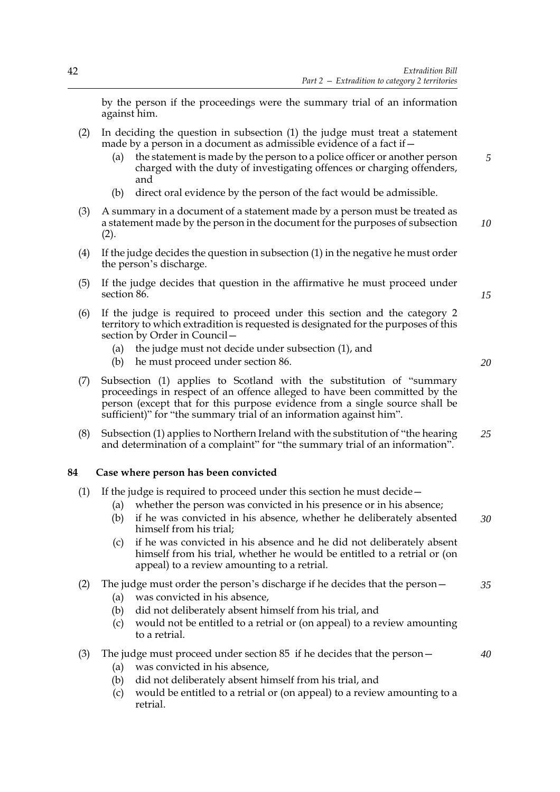by the person if the proceedings were the summary trial of an information against him.

- (2) In deciding the question in subsection (1) the judge must treat a statement made by a person in a document as admissible evidence of a fact if—
	- (a) the statement is made by the person to a police officer or another person charged with the duty of investigating offences or charging offenders, and *5*
	- (b) direct oral evidence by the person of the fact would be admissible.
- (3) A summary in a document of a statement made by a person must be treated as a statement made by the person in the document for the purposes of subsection  $(2).$ *10*
- (4) If the judge decides the question in subsection (1) in the negative he must order the person's discharge.
- (5) If the judge decides that question in the affirmative he must proceed under section 86.

*15*

*20*

*40*

- (6) If the judge is required to proceed under this section and the category 2 territory to which extradition is requested is designated for the purposes of this section by Order in Council—
	- (a) the judge must not decide under subsection (1), and
	- (b) he must proceed under section 86.
- (7) Subsection (1) applies to Scotland with the substitution of "summary proceedings in respect of an offence alleged to have been committed by the person (except that for this purpose evidence from a single source shall be sufficient)" for "the summary trial of an information against him".
- (8) Subsection (1) applies to Northern Ireland with the substitution of "the hearing and determination of a complaint" for "the summary trial of an information". *25*

#### **84 Case where person has been convicted**

- (1) If the judge is required to proceed under this section he must decide—
	- (a) whether the person was convicted in his presence or in his absence;
		- (b) if he was convicted in his absence, whether he deliberately absented himself from his trial; *30*
		- (c) if he was convicted in his absence and he did not deliberately absent himself from his trial, whether he would be entitled to a retrial or (on appeal) to a review amounting to a retrial.

#### (2) The judge must order the person's discharge if he decides that the person— *35*

- (a) was convicted in his absence,
- (b) did not deliberately absent himself from his trial, and
- (c) would not be entitled to a retrial or (on appeal) to a review amounting to a retrial.

## (3) The judge must proceed under section 85 if he decides that the person—

- (a) was convicted in his absence,
- (b) did not deliberately absent himself from his trial, and
- (c) would be entitled to a retrial or (on appeal) to a review amounting to a retrial.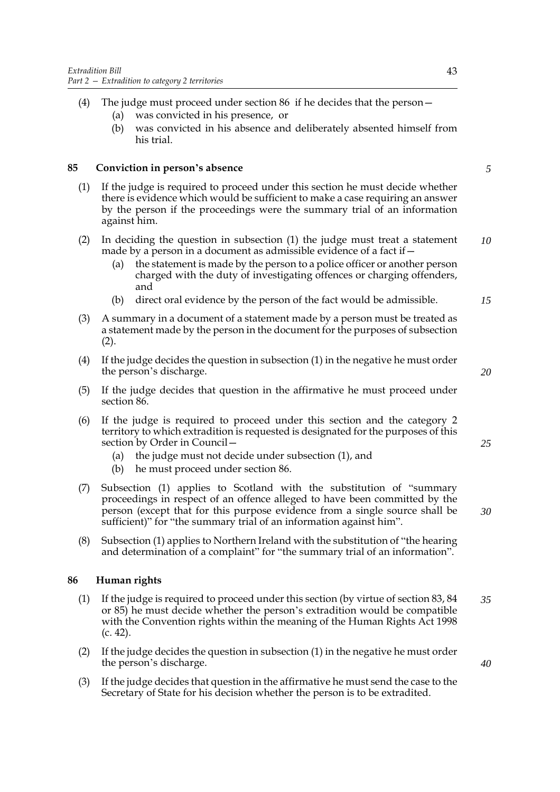- (4) The judge must proceed under section 86 if he decides that the person—
	- (a) was convicted in his presence, or
	- (b) was convicted in his absence and deliberately absented himself from his trial.

## **85 Conviction in person's absence**

- (1) If the judge is required to proceed under this section he must decide whether there is evidence which would be sufficient to make a case requiring an answer by the person if the proceedings were the summary trial of an information against him.
- (2) In deciding the question in subsection (1) the judge must treat a statement made by a person in a document as admissible evidence of a fact if – *10*
	- (a) the statement is made by the person to a police officer or another person charged with the duty of investigating offences or charging offenders, and
	- (b) direct oral evidence by the person of the fact would be admissible.
- (3) A summary in a document of a statement made by a person must be treated as a statement made by the person in the document for the purposes of subsection  $(2).$
- (4) If the judge decides the question in subsection (1) in the negative he must order the person's discharge.
- (5) If the judge decides that question in the affirmative he must proceed under section 86.
- (6) If the judge is required to proceed under this section and the category 2 territory to which extradition is requested is designated for the purposes of this section by Order in Council—
	- (a) the judge must not decide under subsection (1), and
	- (b) he must proceed under section 86.
- (7) Subsection (1) applies to Scotland with the substitution of "summary proceedings in respect of an offence alleged to have been committed by the person (except that for this purpose evidence from a single source shall be sufficient)" for "the summary trial of an information against him".
- (8) Subsection (1) applies to Northern Ireland with the substitution of "the hearing and determination of a complaint" for "the summary trial of an information".

## **86 Human rights**

- (1) If the judge is required to proceed under this section (by virtue of section 83, 84 or 85) he must decide whether the person's extradition would be compatible with the Convention rights within the meaning of the Human Rights Act 1998 (c. 42). *35*
- (2) If the judge decides the question in subsection (1) in the negative he must order the person's discharge.
- (3) If the judge decides that question in the affirmative he must send the case to the Secretary of State for his decision whether the person is to be extradited.

*5*

*15*

*20*

*25*

*40*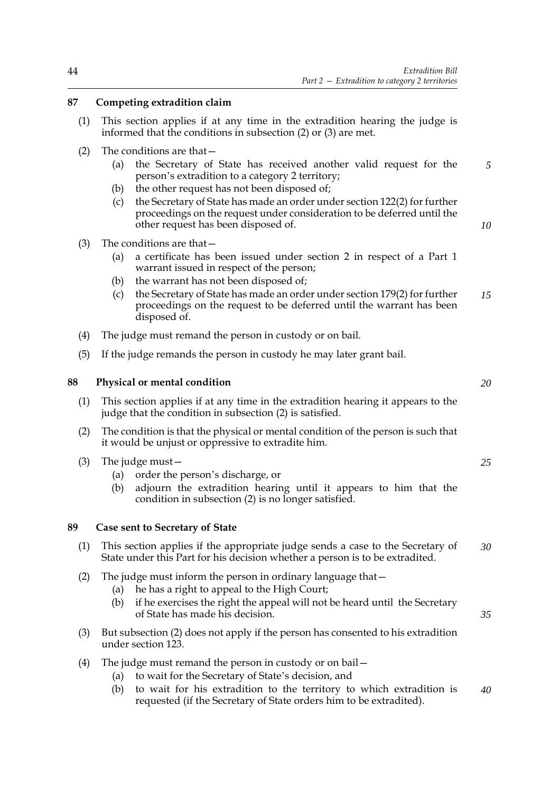## **87 Competing extradition claim**

- (1) This section applies if at any time in the extradition hearing the judge is informed that the conditions in subsection (2) or (3) are met.
- (2) The conditions are that—
	- (a) the Secretary of State has received another valid request for the person's extradition to a category 2 territory; *5*
	- (b) the other request has not been disposed of;
	- (c) the Secretary of State has made an order under section 122(2) for further proceedings on the request under consideration to be deferred until the other request has been disposed of.
- (3) The conditions are that—
	- (a) a certificate has been issued under section 2 in respect of a Part 1 warrant issued in respect of the person;
	- (b) the warrant has not been disposed of;
	- (c) the Secretary of State has made an order under section 179(2) for further proceedings on the request to be deferred until the warrant has been disposed of. *15*
- (4) The judge must remand the person in custody or on bail.
- (5) If the judge remands the person in custody he may later grant bail.

#### **88 Physical or mental condition**

- (1) This section applies if at any time in the extradition hearing it appears to the judge that the condition in subsection (2) is satisfied.
- (2) The condition is that the physical or mental condition of the person is such that it would be unjust or oppressive to extradite him.
- (3) The judge must—
	- (a) order the person's discharge, or
	- (b) adjourn the extradition hearing until it appears to him that the condition in subsection (2) is no longer satisfied.

## **89 Case sent to Secretary of State**

- (1) This section applies if the appropriate judge sends a case to the Secretary of State under this Part for his decision whether a person is to be extradited. *30*
- (2) The judge must inform the person in ordinary language that—
	- (a) he has a right to appeal to the High Court;
	- (b) if he exercises the right the appeal will not be heard until the Secretary of State has made his decision.
- (3) But subsection (2) does not apply if the person has consented to his extradition under section 123.
- (4) The judge must remand the person in custody or on bail—
	- (a) to wait for the Secretary of State's decision, and
	- (b) to wait for his extradition to the territory to which extradition is requested (if the Secretary of State orders him to be extradited). *40*

*20*

*25*

*35*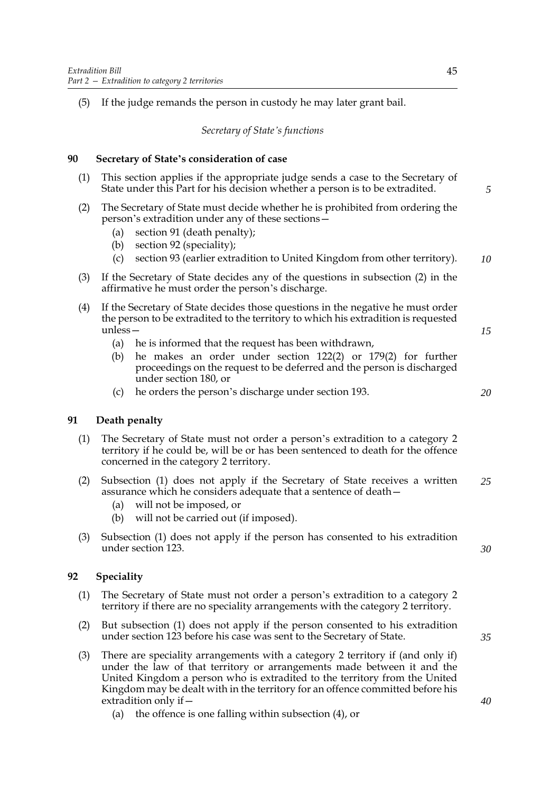(5) If the judge remands the person in custody he may later grant bail.

## *Secretary of State's functions*

#### **90 Secretary of State's consideration of case**

- (1) This section applies if the appropriate judge sends a case to the Secretary of State under this Part for his decision whether a person is to be extradited.
- (2) The Secretary of State must decide whether he is prohibited from ordering the person's extradition under any of these sections—
	- (a) section 91 (death penalty);
	- (b) section 92 (speciality);
	- (c) section 93 (earlier extradition to United Kingdom from other territory). *10*
- (3) If the Secretary of State decides any of the questions in subsection (2) in the affirmative he must order the person's discharge.
- (4) If the Secretary of State decides those questions in the negative he must order the person to be extradited to the territory to which his extradition is requested unless—
	- (a) he is informed that the request has been withdrawn,
	- (b) he makes an order under section 122(2) or 179(2) for further proceedings on the request to be deferred and the person is discharged under section 180, or
	- (c) he orders the person's discharge under section 193.

## **91 Death penalty**

- (1) The Secretary of State must not order a person's extradition to a category 2 territory if he could be, will be or has been sentenced to death for the offence concerned in the category 2 territory.
- (2) Subsection (1) does not apply if the Secretary of State receives a written assurance which he considers adequate that a sentence of death— *25*
	- (a) will not be imposed, or
	- (b) will not be carried out (if imposed).
- (3) Subsection (1) does not apply if the person has consented to his extradition under section 123.

## **92 Speciality**

- (1) The Secretary of State must not order a person's extradition to a category 2 territory if there are no speciality arrangements with the category 2 territory.
- (2) But subsection (1) does not apply if the person consented to his extradition under section 123 before his case was sent to the Secretary of State.
- (3) There are speciality arrangements with a category 2 territory if (and only if) under the law of that territory or arrangements made between it and the United Kingdom a person who is extradited to the territory from the United Kingdom may be dealt with in the territory for an offence committed before his extradition only if—
	- (a) the offence is one falling within subsection (4), or

*30*

*15*

*20*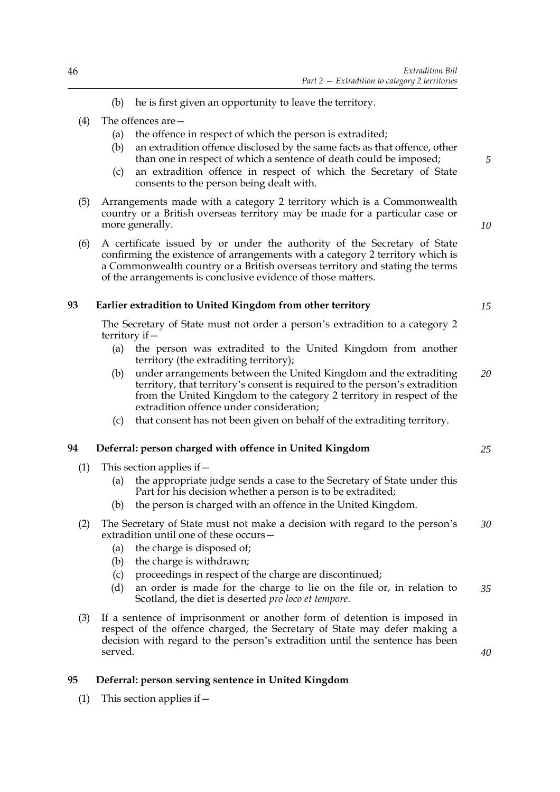- (b) he is first given an opportunity to leave the territory.
- (4) The offences are—
	- (a) the offence in respect of which the person is extradited;
	- (b) an extradition offence disclosed by the same facts as that offence, other than one in respect of which a sentence of death could be imposed;
	- (c) an extradition offence in respect of which the Secretary of State consents to the person being dealt with.
- (5) Arrangements made with a category 2 territory which is a Commonwealth country or a British overseas territory may be made for a particular case or more generally.
- (6) A certificate issued by or under the authority of the Secretary of State confirming the existence of arrangements with a category 2 territory which is a Commonwealth country or a British overseas territory and stating the terms of the arrangements is conclusive evidence of those matters.

#### **93 Earlier extradition to United Kingdom from other territory**

The Secretary of State must not order a person's extradition to a category 2 territory if—

- (a) the person was extradited to the United Kingdom from another territory (the extraditing territory);
- (b) under arrangements between the United Kingdom and the extraditing territory, that territory's consent is required to the person's extradition from the United Kingdom to the category 2 territory in respect of the extradition offence under consideration; *20*
- (c) that consent has not been given on behalf of the extraditing territory.

#### **94 Deferral: person charged with offence in United Kingdom**

- (1) This section applies if  $-$ 
	- (a) the appropriate judge sends a case to the Secretary of State under this Part for his decision whether a person is to be extradited;
	- (b) the person is charged with an offence in the United Kingdom.
- (2) The Secretary of State must not make a decision with regard to the person's extradition until one of these occurs— *30*
	- (a) the charge is disposed of;
	- (b) the charge is withdrawn;
	- (c) proceedings in respect of the charge are discontinued;
	- (d) an order is made for the charge to lie on the file or, in relation to Scotland, the diet is deserted *pro loco et tempore*. *35*
- (3) If a sentence of imprisonment or another form of detention is imposed in respect of the offence charged, the Secretary of State may defer making a decision with regard to the person's extradition until the sentence has been served.

## **95 Deferral: person serving sentence in United Kingdom**

(1) This section applies if  $-$ 

*5*

*10*

*15*

*25*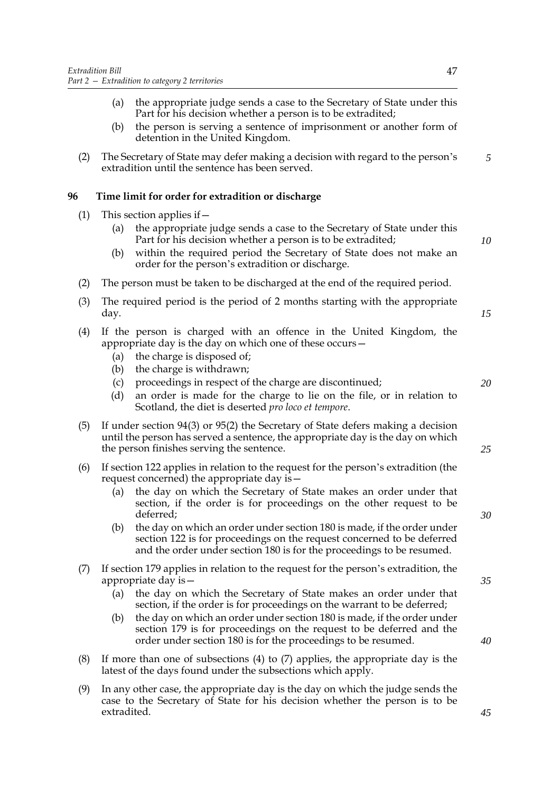- (a) the appropriate judge sends a case to the Secretary of State under this Part for his decision whether a person is to be extradited;
- (b) the person is serving a sentence of imprisonment or another form of detention in the United Kingdom.
- (2) The Secretary of State may defer making a decision with regard to the person's extradition until the sentence has been served.

## **96 Time limit for order for extradition or discharge**

- (1) This section applies if—
	- (a) the appropriate judge sends a case to the Secretary of State under this Part for his decision whether a person is to be extradited;
	- (b) within the required period the Secretary of State does not make an order for the person's extradition or discharge.
- (2) The person must be taken to be discharged at the end of the required period.
- (3) The required period is the period of 2 months starting with the appropriate day.
- (4) If the person is charged with an offence in the United Kingdom, the appropriate day is the day on which one of these occurs—
	- (a) the charge is disposed of;
	- (b) the charge is withdrawn;
	- (c) proceedings in respect of the charge are discontinued;
	- (d) an order is made for the charge to lie on the file, or in relation to Scotland, the diet is deserted *pro loco et tempore*.
- (5) If under section 94(3) or 95(2) the Secretary of State defers making a decision until the person has served a sentence, the appropriate day is the day on which the person finishes serving the sentence.
- (6) If section 122 applies in relation to the request for the person's extradition (the request concerned) the appropriate day is—
	- (a) the day on which the Secretary of State makes an order under that section, if the order is for proceedings on the other request to be deferred;
	- (b) the day on which an order under section 180 is made, if the order under section 122 is for proceedings on the request concerned to be deferred and the order under section 180 is for the proceedings to be resumed.
- (7) If section 179 applies in relation to the request for the person's extradition, the appropriate day is—
	- (a) the day on which the Secretary of State makes an order under that section, if the order is for proceedings on the warrant to be deferred;
	- (b) the day on which an order under section 180 is made, if the order under section 179 is for proceedings on the request to be deferred and the order under section 180 is for the proceedings to be resumed.
- (8) If more than one of subsections (4) to (7) applies, the appropriate day is the latest of the days found under the subsections which apply.
- (9) In any other case, the appropriate day is the day on which the judge sends the case to the Secretary of State for his decision whether the person is to be extradited.

*35*

*20*

*25*

*30*

*15*

*5*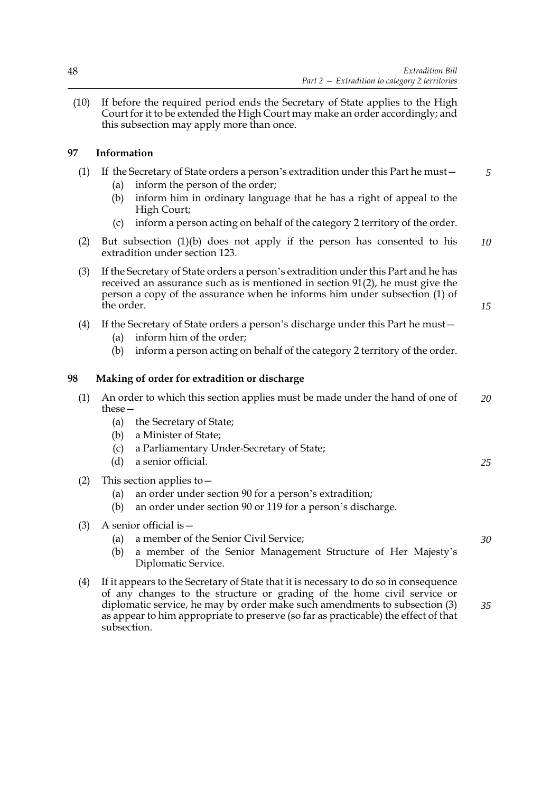(10) If before the required period ends the Secretary of State applies to the High Court for it to be extended the High Court may make an order accordingly; and this subsection may apply more than once.

## **97 Information**

- (1) If the Secretary of State orders a person's extradition under this Part he must— *5*
	- (a) inform the person of the order;
	- (b) inform him in ordinary language that he has a right of appeal to the High Court;
	- (c) inform a person acting on behalf of the category 2 territory of the order.
- (2) But subsection (1)(b) does not apply if the person has consented to his extradition under section 123. *10*
- (3) If the Secretary of State orders a person's extradition under this Part and he has received an assurance such as is mentioned in section 91(2), he must give the person a copy of the assurance when he informs him under subsection (1) of the order.
- (4) If the Secretary of State orders a person's discharge under this Part he must—
	- (a) inform him of the order;
	- (b) inform a person acting on behalf of the category 2 territory of the order.

## **98 Making of order for extradition or discharge**

- (1) An order to which this section applies must be made under the hand of one of these— *20*
	- (a) the Secretary of State;
	- (b) a Minister of State;
	- (c) a Parliamentary Under-Secretary of State;
	- (d) a senior official.
- (2) This section applies to—
	- (a) an order under section 90 for a person's extradition;
	- (b) an order under section 90 or 119 for a person's discharge.
- (3) A senior official is—
	- (a) a member of the Senior Civil Service;
	- (b) a member of the Senior Management Structure of Her Majesty's Diplomatic Service.
- (4) If it appears to the Secretary of State that it is necessary to do so in consequence of any changes to the structure or grading of the home civil service or diplomatic service, he may by order make such amendments to subsection (3) as appear to him appropriate to preserve (so far as practicable) the effect of that subsection.

*30*

*35*

*25*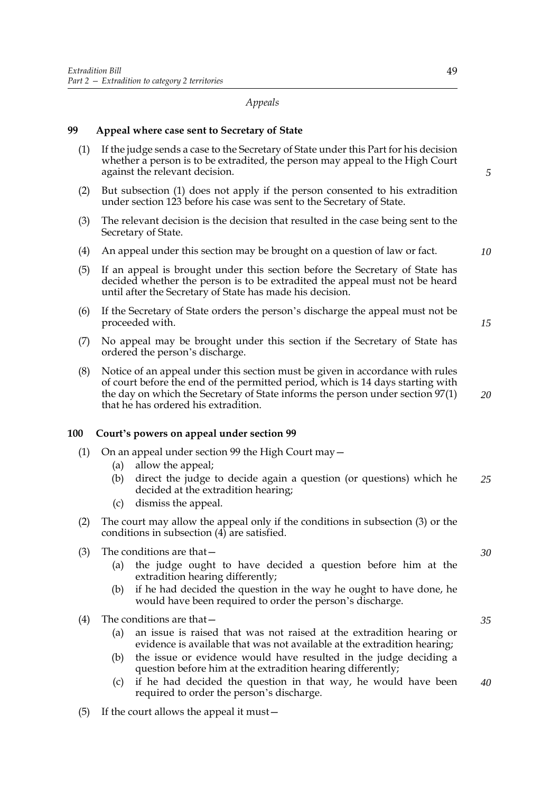## *Appeals*

#### **99 Appeal where case sent to Secretary of State**

- (1) If the judge sends a case to the Secretary of State under this Part for his decision whether a person is to be extradited, the person may appeal to the High Court against the relevant decision.
- (2) But subsection (1) does not apply if the person consented to his extradition under section 123 before his case was sent to the Secretary of State.
- (3) The relevant decision is the decision that resulted in the case being sent to the Secretary of State.
- (4) An appeal under this section may be brought on a question of law or fact.
- (5) If an appeal is brought under this section before the Secretary of State has decided whether the person is to be extradited the appeal must not be heard until after the Secretary of State has made his decision.
- (6) If the Secretary of State orders the person's discharge the appeal must not be proceeded with.
- (7) No appeal may be brought under this section if the Secretary of State has ordered the person's discharge.
- (8) Notice of an appeal under this section must be given in accordance with rules of court before the end of the permitted period, which is 14 days starting with the day on which the Secretary of State informs the person under section 97(1) that he has ordered his extradition.

#### <span id="page-56-0"></span>**100 Court's powers on appeal under section 99**

- (1) On an appeal under section 99 the High Court may—
	- (a) allow the appeal;
	- (b) direct the judge to decide again a question (or questions) which he decided at the extradition hearing; *25*
	- (c) dismiss the appeal.
- (2) The court may allow the appeal only if the conditions in subsection (3) or the conditions in subsection  $(4)$  are satisfied.
- (3) The conditions are that—
	- (a) the judge ought to have decided a question before him at the extradition hearing differently;
	- (b) if he had decided the question in the way he ought to have done, he would have been required to order the person's discharge.
- (4) The conditions are that—
	- (a) an issue is raised that was not raised at the extradition hearing or evidence is available that was not available at the extradition hearing;
	- (b) the issue or evidence would have resulted in the judge deciding a question before him at the extradition hearing differently;
	- (c) if he had decided the question in that way, he would have been required to order the person's discharge. *40*
- (5) If the court allows the appeal it must—

*5*

*10*

*15*

*20*

*30*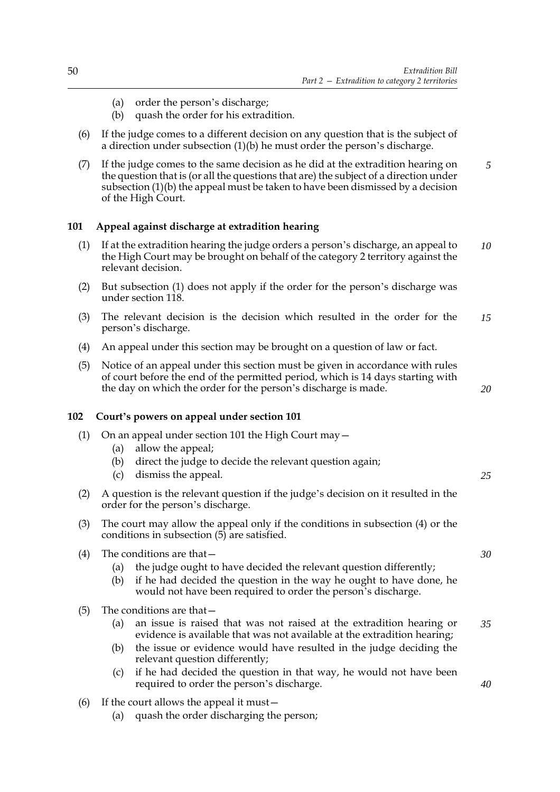- (a) order the person's discharge;
- (b) quash the order for his extradition.
- (6) If the judge comes to a different decision on any question that is the subject of a direction under subsection (1)(b) he must order the person's discharge.
- (7) If the judge comes to the same decision as he did at the extradition hearing on the question that is (or all the questions that are) the subject of a direction under subsection (1)(b) the appeal must be taken to have been dismissed by a decision of the High Court. *5*

#### **101 Appeal against discharge at extradition hearing**

- (1) If at the extradition hearing the judge orders a person's discharge, an appeal to the High Court may be brought on behalf of the category 2 territory against the relevant decision. *10*
- (2) But subsection (1) does not apply if the order for the person's discharge was under section 118.
- (3) The relevant decision is the decision which resulted in the order for the person's discharge. *15*
- (4) An appeal under this section may be brought on a question of law or fact.
- (5) Notice of an appeal under this section must be given in accordance with rules of court before the end of the permitted period, which is 14 days starting with the day on which the order for the person's discharge is made.

#### **102 Court's powers on appeal under section 101**

- (1) On an appeal under section 101 the High Court may—
	- (a) allow the appeal;
	- (b) direct the judge to decide the relevant question again;
	- (c) dismiss the appeal.
- (2) A question is the relevant question if the judge's decision on it resulted in the order for the person's discharge.
- (3) The court may allow the appeal only if the conditions in subsection (4) or the conditions in subsection (5) are satisfied.
- (4) The conditions are that—
	- (a) the judge ought to have decided the relevant question differently;
	- (b) if he had decided the question in the way he ought to have done, he would not have been required to order the person's discharge.
- (5) The conditions are that—
	- (a) an issue is raised that was not raised at the extradition hearing or evidence is available that was not available at the extradition hearing; *35*
	- (b) the issue or evidence would have resulted in the judge deciding the relevant question differently;
	- (c) if he had decided the question in that way, he would not have been required to order the person's discharge.
- (6) If the court allows the appeal it must—
	- (a) quash the order discharging the person;

*30*

*40*

*25*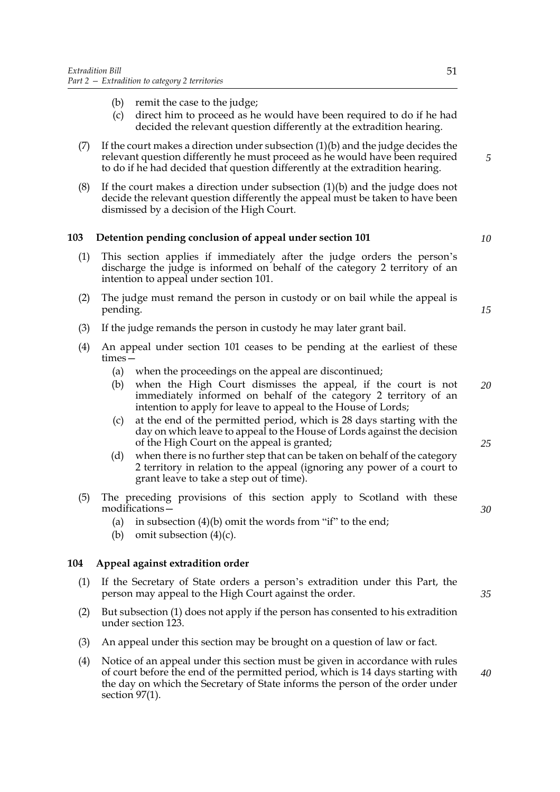- (b) remit the case to the judge;
- (c) direct him to proceed as he would have been required to do if he had decided the relevant question differently at the extradition hearing.
- (7) If the court makes a direction under subsection  $(1)(b)$  and the judge decides the relevant question differently he must proceed as he would have been required to do if he had decided that question differently at the extradition hearing.
- (8) If the court makes a direction under subsection (1)(b) and the judge does not decide the relevant question differently the appeal must be taken to have been dismissed by a decision of the High Court.

## **103 Detention pending conclusion of appeal under section 101**

- (1) This section applies if immediately after the judge orders the person's discharge the judge is informed on behalf of the category 2 territory of an intention to appeal under section 101.
- (2) The judge must remand the person in custody or on bail while the appeal is pending.
- (3) If the judge remands the person in custody he may later grant bail.
- (4) An appeal under section 101 ceases to be pending at the earliest of these times—
	- (a) when the proceedings on the appeal are discontinued;
	- (b) when the High Court dismisses the appeal, if the court is not immediately informed on behalf of the category 2 territory of an intention to apply for leave to appeal to the House of Lords; *20*
	- (c) at the end of the permitted period, which is 28 days starting with the day on which leave to appeal to the House of Lords against the decision of the High Court on the appeal is granted;
	- (d) when there is no further step that can be taken on behalf of the category 2 territory in relation to the appeal (ignoring any power of a court to grant leave to take a step out of time).
- (5) The preceding provisions of this section apply to Scotland with these modifications—
	- (a) in subsection  $(4)(b)$  omit the words from "if" to the end;
		- (b) omit subsection  $(4)(c)$ .

## **104 Appeal against extradition order**

- (1) If the Secretary of State orders a person's extradition under this Part, the person may appeal to the High Court against the order.
- (2) But subsection (1) does not apply if the person has consented to his extradition under section 123.
- (3) An appeal under this section may be brought on a question of law or fact.
- (4) Notice of an appeal under this section must be given in accordance with rules of court before the end of the permitted period, which is 14 days starting with the day on which the Secretary of State informs the person of the order under section 97(1).

*5*

*10*

*15*

*25*

*30*

*35*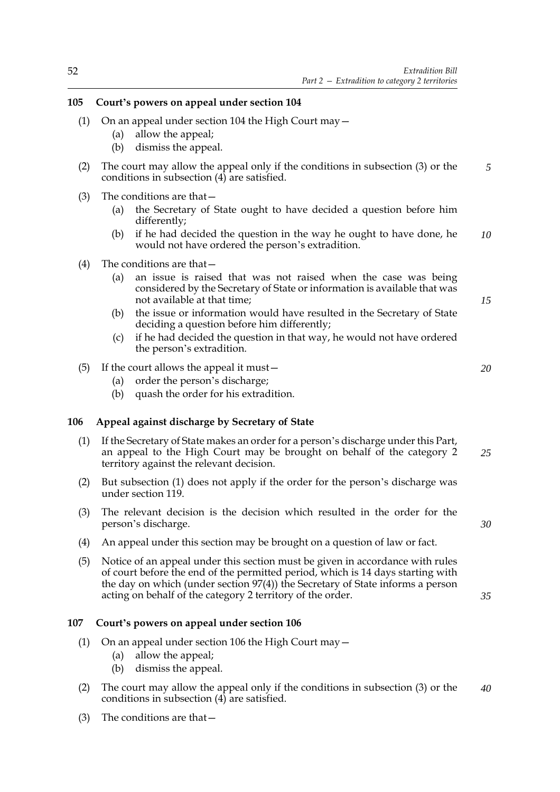## <span id="page-59-0"></span>**105 Court's powers on appeal under section 104**

- (1) On an appeal under section 104 the High Court may  $-$ 
	- (a) allow the appeal;
	- (b) dismiss the appeal.
- (2) The court may allow the appeal only if the conditions in subsection (3) or the conditions in subsection (4) are satisfied. *5*
- (3) The conditions are that—
	- (a) the Secretary of State ought to have decided a question before him differently;
	- (b) if he had decided the question in the way he ought to have done, he would not have ordered the person's extradition. *10*
- (4) The conditions are that—
	- (a) an issue is raised that was not raised when the case was being considered by the Secretary of State or information is available that was not available at that time;
	- (b) the issue or information would have resulted in the Secretary of State deciding a question before him differently;
	- (c) if he had decided the question in that way, he would not have ordered the person's extradition.
- (5) If the court allows the appeal it must—
	- (a) order the person's discharge;
	- (b) quash the order for his extradition.

#### **106 Appeal against discharge by Secretary of State**

- (1) If the Secretary of State makes an order for a person's discharge under this Part, an appeal to the High Court may be brought on behalf of the category 2 territory against the relevant decision. *25*
- (2) But subsection (1) does not apply if the order for the person's discharge was under section 119.
- (3) The relevant decision is the decision which resulted in the order for the person's discharge.
- (4) An appeal under this section may be brought on a question of law or fact.
- (5) Notice of an appeal under this section must be given in accordance with rules of court before the end of the permitted period, which is 14 days starting with the day on which (under section 97(4)) the Secretary of State informs a person acting on behalf of the category 2 territory of the order.

#### **107 Court's powers on appeal under section 106**

- (1) On an appeal under section 106 the High Court may—
	- (a) allow the appeal;
	- (b) dismiss the appeal.
- (2) The court may allow the appeal only if the conditions in subsection (3) or the conditions in subsection (4) are satisfied. *40*
- (3) The conditions are that—

*20*

*15*

*30*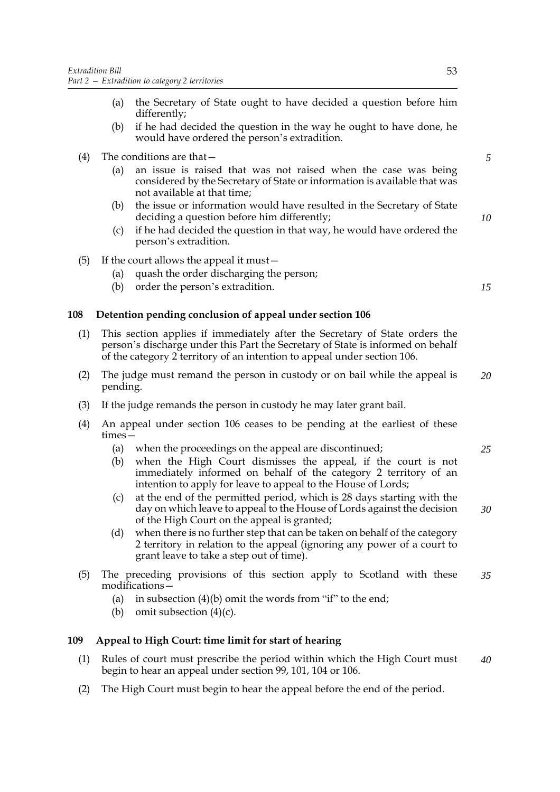- (a) the Secretary of State ought to have decided a question before him differently;
- (b) if he had decided the question in the way he ought to have done, he would have ordered the person's extradition.
- (4) The conditions are that—
	- (a) an issue is raised that was not raised when the case was being considered by the Secretary of State or information is available that was not available at that time;
	- (b) the issue or information would have resulted in the Secretary of State deciding a question before him differently;
	- (c) if he had decided the question in that way, he would have ordered the person's extradition.
- (5) If the court allows the appeal it must—
	- (a) quash the order discharging the person;
	- (b) order the person's extradition.

## **108 Detention pending conclusion of appeal under section 106**

- (1) This section applies if immediately after the Secretary of State orders the person's discharge under this Part the Secretary of State is informed on behalf of the category 2 territory of an intention to appeal under section 106.
- (2) The judge must remand the person in custody or on bail while the appeal is pending. *20*
- (3) If the judge remands the person in custody he may later grant bail.
- (4) An appeal under section 106 ceases to be pending at the earliest of these times—
	- (a) when the proceedings on the appeal are discontinued;
	- (b) when the High Court dismisses the appeal, if the court is not immediately informed on behalf of the category 2 territory of an intention to apply for leave to appeal to the House of Lords;
	- (c) at the end of the permitted period, which is 28 days starting with the day on which leave to appeal to the House of Lords against the decision of the High Court on the appeal is granted;
	- (d) when there is no further step that can be taken on behalf of the category 2 territory in relation to the appeal (ignoring any power of a court to grant leave to take a step out of time).
- (5) The preceding provisions of this section apply to Scotland with these modifications— *35*
	- (a) in subsection  $(4)(b)$  omit the words from "if" to the end;
	- (b) omit subsection  $(4)(c)$ .

## **109 Appeal to High Court: time limit for start of hearing**

- (1) Rules of court must prescribe the period within which the High Court must begin to hear an appeal under section 99, 101, 104 or 106. *40*
- (2) The High Court must begin to hear the appeal before the end of the period.

*5*

*10*

*15*

*25*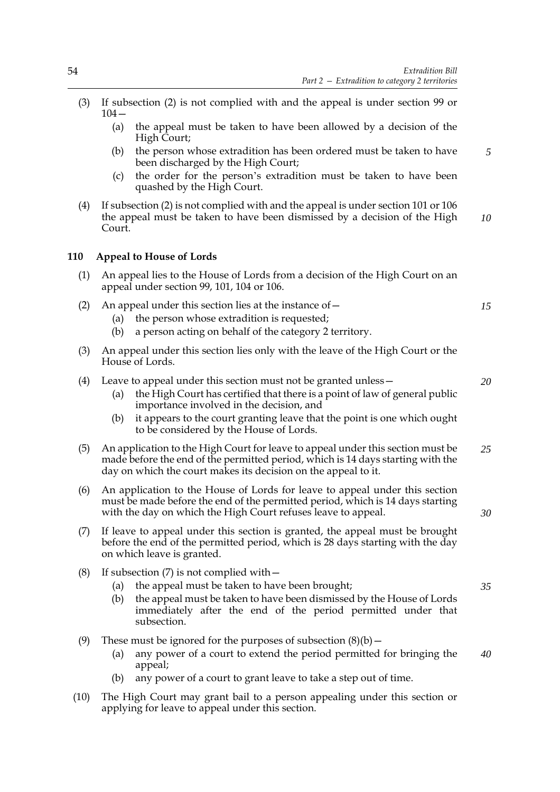- (3) If subsection (2) is not complied with and the appeal is under section 99 or 104—
	- (a) the appeal must be taken to have been allowed by a decision of the High Court;
	- (b) the person whose extradition has been ordered must be taken to have been discharged by the High Court;
	- (c) the order for the person's extradition must be taken to have been quashed by the High Court.
- (4) If subsection (2) is not complied with and the appeal is under section 101 or 106 the appeal must be taken to have been dismissed by a decision of the High Court. *10*

#### **110 Appeal to House of Lords**

(1) An appeal lies to the House of Lords from a decision of the High Court on an appeal under section 99, 101, 104 or 106.

| (2) An appeal under this section lies at the instance of $-$ |  |
|--------------------------------------------------------------|--|
|--------------------------------------------------------------|--|

- (a) the person whose extradition is requested;
- (b) a person acting on behalf of the category 2 territory.
- (3) An appeal under this section lies only with the leave of the High Court or the House of Lords.

#### (4) Leave to appeal under this section must not be granted unless— *20*

- (a) the High Court has certified that there is a point of law of general public importance involved in the decision, and
- (b) it appears to the court granting leave that the point is one which ought to be considered by the House of Lords.
- (5) An application to the High Court for leave to appeal under this section must be made before the end of the permitted period, which is 14 days starting with the day on which the court makes its decision on the appeal to it. *25*
- (6) An application to the House of Lords for leave to appeal under this section must be made before the end of the permitted period, which is 14 days starting with the day on which the High Court refuses leave to appeal.
- (7) If leave to appeal under this section is granted, the appeal must be brought before the end of the permitted period, which is 28 days starting with the day on which leave is granted.
- (8) If subsection  $(7)$  is not complied with  $-$ 
	- (a) the appeal must be taken to have been brought;
	- (b) the appeal must be taken to have been dismissed by the House of Lords immediately after the end of the period permitted under that subsection.
- (9) These must be ignored for the purposes of subsection  $(8)(b)$  -
	- (a) any power of a court to extend the period permitted for bringing the appeal; *40*
	- (b) any power of a court to grant leave to take a step out of time.
- (10) The High Court may grant bail to a person appealing under this section or applying for leave to appeal under this section.

*5*

*30*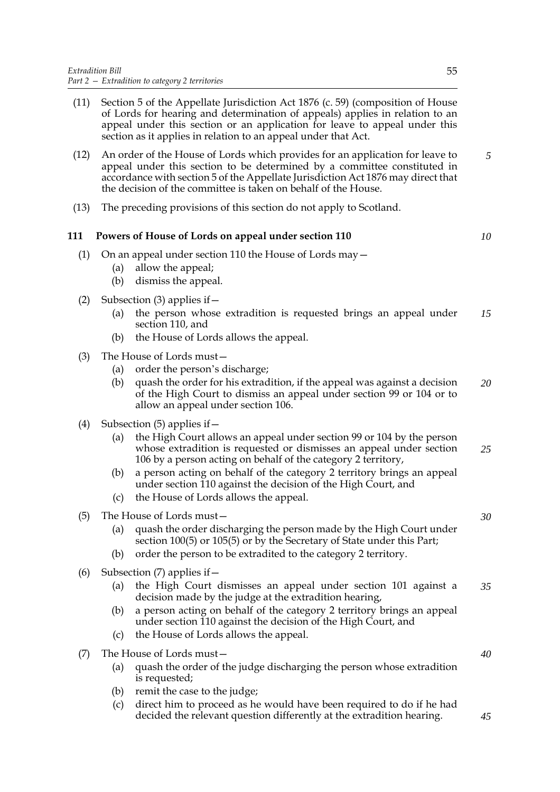- (11) Section 5 of the Appellate Jurisdiction Act 1876 (c. 59) (composition of House of Lords for hearing and determination of appeals) applies in relation to an appeal under this section or an application for leave to appeal under this section as it applies in relation to an appeal under that Act.
- (12) An order of the House of Lords which provides for an application for leave to appeal under this section to be determined by a committee constituted in accordance with section 5 of the Appellate Jurisdiction Act 1876 may direct that the decision of the committee is taken on behalf of the House.
- (13) The preceding provisions of this section do not apply to Scotland.

## **111 Powers of House of Lords on appeal under section 110**

- (1) On an appeal under section 110 the House of Lords may—
	- (a) allow the appeal;
	- (b) dismiss the appeal.
- (2) Subsection (3) applies if  $-$ 
	- (a) the person whose extradition is requested brings an appeal under section 110, and *15*
	- (b) the House of Lords allows the appeal.
- (3) The House of Lords must—
	- (a) order the person's discharge;
	- (b) quash the order for his extradition, if the appeal was against a decision of the High Court to dismiss an appeal under section 99 or 104 or to allow an appeal under section 106. *20*
- (4) Subsection (5) applies if—
	- (a) the High Court allows an appeal under section 99 or 104 by the person whose extradition is requested or dismisses an appeal under section 106 by a person acting on behalf of the category 2 territory, *25*
	- (b) a person acting on behalf of the category 2 territory brings an appeal under section 110 against the decision of the High Court, and
	- (c) the House of Lords allows the appeal.
- (5) The House of Lords must—
	- (a) quash the order discharging the person made by the High Court under section [100](#page-56-0)(5) or [105](#page-59-0)(5) or by the Secretary of State under this Part;
	- (b) order the person to be extradited to the category 2 territory.
- (6) Subsection  $(7)$  applies if  $-$ 
	- (a) the High Court dismisses an appeal under section 101 against a decision made by the judge at the extradition hearing, *35*
	- (b) a person acting on behalf of the category 2 territory brings an appeal under section 110 against the decision of the High Court, and
	- (c) the House of Lords allows the appeal.
- (7) The House of Lords must—
	- (a) quash the order of the judge discharging the person whose extradition is requested;
	- (b) remit the case to the judge;
	- (c) direct him to proceed as he would have been required to do if he had decided the relevant question differently at the extradition hearing.

*5*

*10*

*30*

*40*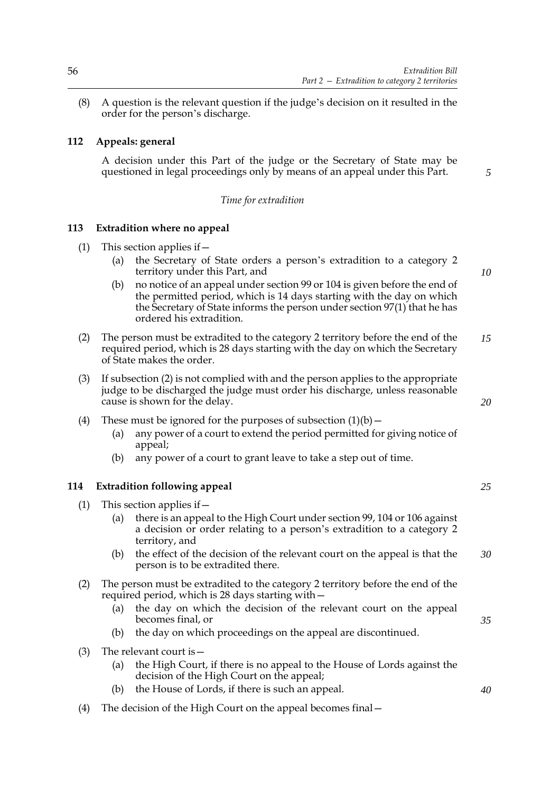(8) A question is the relevant question if the judge's decision on it resulted in the order for the person's discharge.

## **112 Appeals: general**

A decision under this Part of the judge or the Secretary of State may be questioned in legal proceedings only by means of an appeal under this Part.

#### *Time for extradition*

## **113 Extradition where no appeal**

- (1) This section applies if  $-$ 
	- (a) the Secretary of State orders a person's extradition to a category 2 territory under this Part, and
	- (b) no notice of an appeal under section 99 or 104 is given before the end of the permitted period, which is 14 days starting with the day on which the Secretary of State informs the person under section 97(1) that he has ordered his extradition.
- (2) The person must be extradited to the category 2 territory before the end of the required period, which is 28 days starting with the day on which the Secretary of State makes the order. *15*
- (3) If subsection (2) is not complied with and the person applies to the appropriate judge to be discharged the judge must order his discharge, unless reasonable cause is shown for the delay.
- (4) These must be ignored for the purposes of subsection  $(1)(b)$ 
	- (a) any power of a court to extend the period permitted for giving notice of appeal;
	- (b) any power of a court to grant leave to take a step out of time.

#### **114 Extradition following appeal**

- (1) This section applies if  $-$ 
	- (a) there is an appeal to the High Court under section 99, 104 or 106 against a decision or order relating to a person's extradition to a category 2 territory, and
	- (b) the effect of the decision of the relevant court on the appeal is that the person is to be extradited there. *30*

#### (2) The person must be extradited to the category 2 territory before the end of the required period, which is 28 days starting with—

- (a) the day on which the decision of the relevant court on the appeal becomes final, or
- (b) the day on which proceedings on the appeal are discontinued.
- (3) The relevant court is—
	- (a) the High Court, if there is no appeal to the House of Lords against the decision of the High Court on the appeal;
	- (b) the House of Lords, if there is such an appeal.
- (4) The decision of the High Court on the appeal becomes final—

*10*

*5*

*20*

*25*

*35*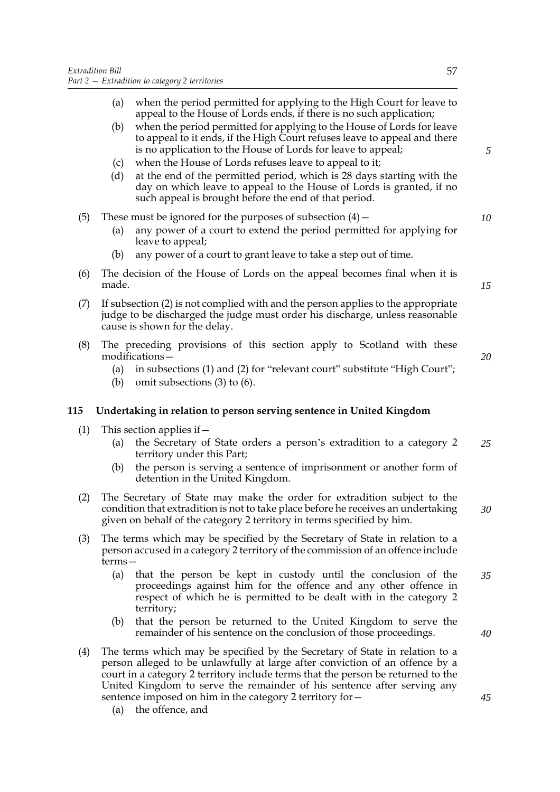- (b) when the period permitted for applying to the House of Lords for leave to appeal to it ends, if the High Court refuses leave to appeal and there is no application to the House of Lords for leave to appeal;
- (c) when the House of Lords refuses leave to appeal to it;
- (d) at the end of the permitted period, which is 28 days starting with the day on which leave to appeal to the House of Lords is granted, if no such appeal is brought before the end of that period.
- (5) These must be ignored for the purposes of subsection  $(4)$  -
	- (a) any power of a court to extend the period permitted for applying for leave to appeal;
	- (b) any power of a court to grant leave to take a step out of time.
- (6) The decision of the House of Lords on the appeal becomes final when it is made.
- (7) If subsection (2) is not complied with and the person applies to the appropriate judge to be discharged the judge must order his discharge, unless reasonable cause is shown for the delay.
- (8) The preceding provisions of this section apply to Scotland with these modifications—
	- (a) in subsections (1) and (2) for "relevant court" substitute "High Court";
	- (b) omit subsections (3) to (6).

## **115 Undertaking in relation to person serving sentence in United Kingdom**

- (1) This section applies if  $-$ 
	- (a) the Secretary of State orders a person's extradition to a category 2 territory under this Part; *25*
	- (b) the person is serving a sentence of imprisonment or another form of detention in the United Kingdom.
- (2) The Secretary of State may make the order for extradition subject to the condition that extradition is not to take place before he receives an undertaking given on behalf of the category 2 territory in terms specified by him.
- (3) The terms which may be specified by the Secretary of State in relation to a person accused in a category 2 territory of the commission of an offence include terms—
	- (a) that the person be kept in custody until the conclusion of the proceedings against him for the offence and any other offence in respect of which he is permitted to be dealt with in the category 2 territory;
	- (b) that the person be returned to the United Kingdom to serve the remainder of his sentence on the conclusion of those proceedings.
- (4) The terms which may be specified by the Secretary of State in relation to a person alleged to be unlawfully at large after conviction of an offence by a court in a category 2 territory include terms that the person be returned to the United Kingdom to serve the remainder of his sentence after serving any sentence imposed on him in the category 2 territory for —
	- (a) the offence, and

*5*

*10*

*15*

*20*

*35*

*30*

*40*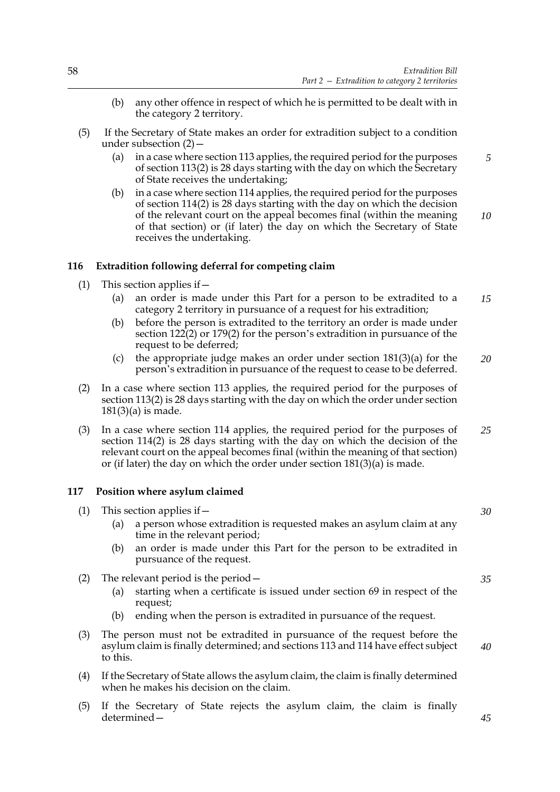- (b) any other offence in respect of which he is permitted to be dealt with in the category 2 territory.
- (5) If the Secretary of State makes an order for extradition subject to a condition under subsection (2)—
	- (a) in a case where section 113 applies, the required period for the purposes of section 113(2) is 28 days starting with the day on which the Secretary of State receives the undertaking; *5*
	- (b) in a case where section 114 applies, the required period for the purposes of section 114(2) is 28 days starting with the day on which the decision of the relevant court on the appeal becomes final (within the meaning of that section) or (if later) the day on which the Secretary of State receives the undertaking. *10*

## **116 Extradition following deferral for competing claim**

- (1) This section applies if—
	- (a) an order is made under this Part for a person to be extradited to a category 2 territory in pursuance of a request for his extradition; *15*
	- (b) before the person is extradited to the territory an order is made under section 122(2) or 179(2) for the person's extradition in pursuance of the request to be deferred;
	- (c) the appropriate judge makes an order under section 181(3)(a) for the person's extradition in pursuance of the request to cease to be deferred. *20*
- (2) In a case where section 113 applies, the required period for the purposes of section 113(2) is 28 days starting with the day on which the order under section 181(3)(a) is made.
- (3) In a case where section 114 applies, the required period for the purposes of section 114(2) is 28 days starting with the day on which the decision of the relevant court on the appeal becomes final (within the meaning of that section) or (if later) the day on which the order under section 181(3)(a) is made. *25*

## **117 Position where asylum claimed**

- (1) This section applies if—
	- (a) a person whose extradition is requested makes an asylum claim at any time in the relevant period;
	- (b) an order is made under this Part for the person to be extradited in pursuance of the request.
- (2) The relevant period is the period—
	- (a) starting when a certificate is issued under section 69 in respect of the request;
	- (b) ending when the person is extradited in pursuance of the request.
- (3) The person must not be extradited in pursuance of the request before the asylum claim is finally determined; and sections 113 and 114 have effect subject to this. *40*
- (4) If the Secretary of State allows the asylum claim, the claim is finally determined when he makes his decision on the claim.
- (5) If the Secretary of State rejects the asylum claim, the claim is finally determined—

*30*

*35*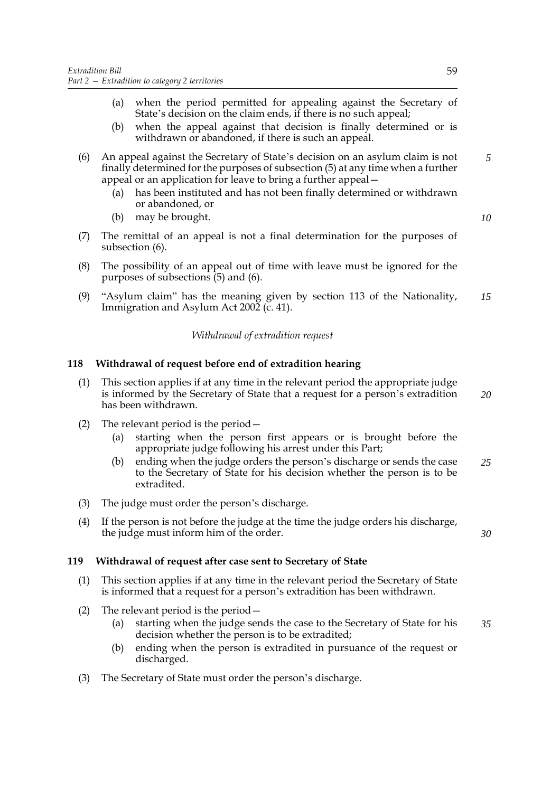- (a) when the period permitted for appealing against the Secretary of State's decision on the claim ends, if there is no such appeal;
- (b) when the appeal against that decision is finally determined or is withdrawn or abandoned, if there is such an appeal.
- (6) An appeal against the Secretary of State's decision on an asylum claim is not finally determined for the purposes of subsection (5) at any time when a further appeal or an application for leave to bring a further appeal—
	- (a) has been instituted and has not been finally determined or withdrawn or abandoned, or
	- (b) may be brought.
- (7) The remittal of an appeal is not a final determination for the purposes of subsection (6).
- (8) The possibility of an appeal out of time with leave must be ignored for the purposes of subsections (5) and (6).
- (9) "Asylum claim" has the meaning given by section 113 of the Nationality, Immigration and Asylum Act 2002 (c. 41). *15*

## *Withdrawal of extradition request*

## **118 Withdrawal of request before end of extradition hearing**

- (1) This section applies if at any time in the relevant period the appropriate judge is informed by the Secretary of State that a request for a person's extradition has been withdrawn. *20*
- (2) The relevant period is the period—
	- (a) starting when the person first appears or is brought before the appropriate judge following his arrest under this Part;
	- (b) ending when the judge orders the person's discharge or sends the case to the Secretary of State for his decision whether the person is to be extradited. *25*
- (3) The judge must order the person's discharge.
- (4) If the person is not before the judge at the time the judge orders his discharge, the judge must inform him of the order.

# *30*

## **119 Withdrawal of request after case sent to Secretary of State**

- (1) This section applies if at any time in the relevant period the Secretary of State is informed that a request for a person's extradition has been withdrawn.
- (2) The relevant period is the period—
	- (a) starting when the judge sends the case to the Secretary of State for his decision whether the person is to be extradited; *35*
	- (b) ending when the person is extradited in pursuance of the request or discharged.
- (3) The Secretary of State must order the person's discharge.

*10*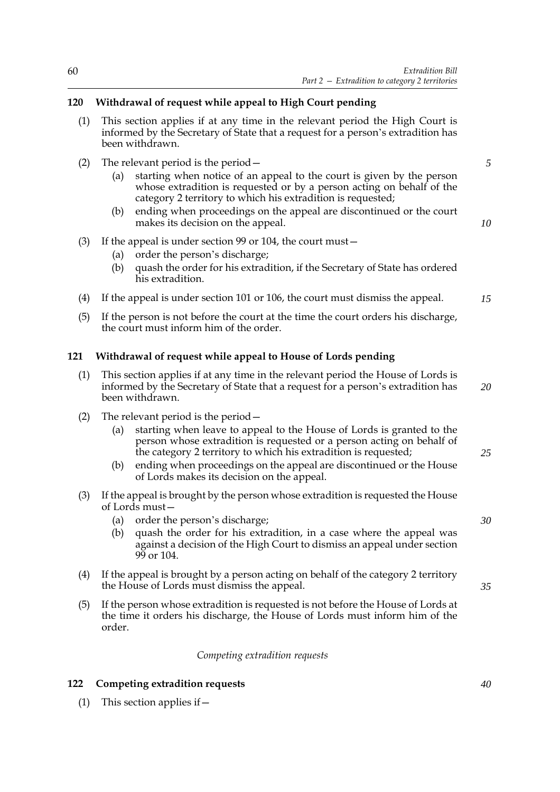## **120 Withdrawal of request while appeal to High Court pending**

- (1) This section applies if at any time in the relevant period the High Court is informed by the Secretary of State that a request for a person's extradition has been withdrawn.
- (2) The relevant period is the period—
	- (a) starting when notice of an appeal to the court is given by the person whose extradition is requested or by a person acting on behalf of the category 2 territory to which his extradition is requested;
	- (b) ending when proceedings on the appeal are discontinued or the court makes its decision on the appeal.
- (3) If the appeal is under section 99 or 104, the court must—
	- (a) order the person's discharge;
	- (b) quash the order for his extradition, if the Secretary of State has ordered his extradition.
- (4) If the appeal is under section 101 or 106, the court must dismiss the appeal.
- (5) If the person is not before the court at the time the court orders his discharge, the court must inform him of the order.

## **121 Withdrawal of request while appeal to House of Lords pending**

- (1) This section applies if at any time in the relevant period the House of Lords is informed by the Secretary of State that a request for a person's extradition has been withdrawn.
- (2) The relevant period is the period—
	- (a) starting when leave to appeal to the House of Lords is granted to the person whose extradition is requested or a person acting on behalf of the category 2 territory to which his extradition is requested;
	- (b) ending when proceedings on the appeal are discontinued or the House of Lords makes its decision on the appeal.
- (3) If the appeal is brought by the person whose extradition is requested the House of Lords must—
	- (a) order the person's discharge;
	- (b) quash the order for his extradition, in a case where the appeal was against a decision of the High Court to dismiss an appeal under section 99 or 104.
- (4) If the appeal is brought by a person acting on behalf of the category 2 territory the House of Lords must dismiss the appeal.
- (5) If the person whose extradition is requested is not before the House of Lords at the time it orders his discharge, the House of Lords must inform him of the order.

*Competing extradition requests*

## **122 Competing extradition requests**

(1) This section applies if  $-$ 

*30*

*40*

*10*

*5*

*15*

*20*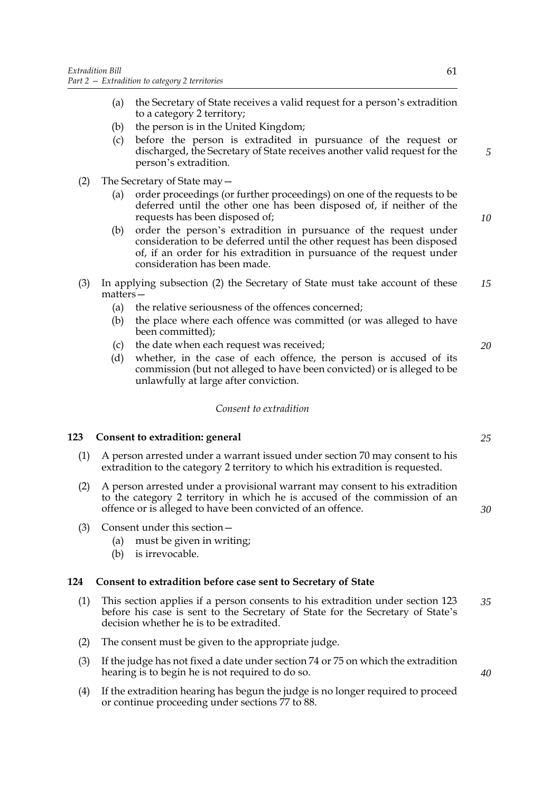- (a) the Secretary of State receives a valid request for a person's extradition to a category 2 territory;
- (b) the person is in the United Kingdom;
- (c) before the person is extradited in pursuance of the request or discharged, the Secretary of State receives another valid request for the person's extradition.
- (2) The Secretary of State may—
	- (a) order proceedings (or further proceedings) on one of the requests to be deferred until the other one has been disposed of, if neither of the requests has been disposed of;
	- (b) order the person's extradition in pursuance of the request under consideration to be deferred until the other request has been disposed of, if an order for his extradition in pursuance of the request under consideration has been made.
- (3) In applying subsection (2) the Secretary of State must take account of these matters— *15*
	- (a) the relative seriousness of the offences concerned;
	- (b) the place where each offence was committed (or was alleged to have been committed);
	- (c) the date when each request was received;
	- (d) whether, in the case of each offence, the person is accused of its commission (but not alleged to have been convicted) or is alleged to be unlawfully at large after conviction.

#### *Consent to extradition*

#### **123 Consent to extradition: general**

- (1) A person arrested under a warrant issued under section 70 may consent to his extradition to the category 2 territory to which his extradition is requested.
- (2) A person arrested under a provisional warrant may consent to his extradition to the category 2 territory in which he is accused of the commission of an offence or is alleged to have been convicted of an offence.
- (3) Consent under this section—
	- (a) must be given in writing;
	- (b) is irrevocable.

#### **124 Consent to extradition before case sent to Secretary of State**

- (1) This section applies if a person consents to his extradition under section 123 before his case is sent to the Secretary of State for the Secretary of State's decision whether he is to be extradited. *35*
- (2) The consent must be given to the appropriate judge.
- (3) If the judge has not fixed a date under section 74 or 75 on which the extradition hearing is to begin he is not required to do so.
- (4) If the extradition hearing has begun the judge is no longer required to proceed or continue proceeding under sections 77 to 88.

*20*

*5*

*10*

*25*

*30*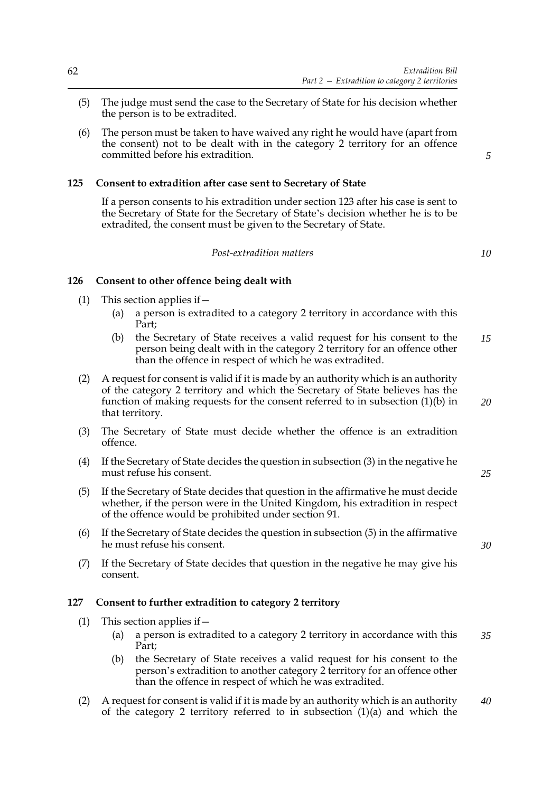- (5) The judge must send the case to the Secretary of State for his decision whether the person is to be extradited.
- (6) The person must be taken to have waived any right he would have (apart from the consent) not to be dealt with in the category 2 territory for an offence committed before his extradition.

#### **125 Consent to extradition after case sent to Secretary of State**

If a person consents to his extradition under section 123 after his case is sent to the Secretary of State for the Secretary of State's decision whether he is to be extradited, the consent must be given to the Secretary of State.

### *Post-extradition matters*

*10*

*20*

*25*

*30*

*5*

## **126 Consent to other offence being dealt with**

- (1) This section applies if—
	- (a) a person is extradited to a category 2 territory in accordance with this Part;
	- (b) the Secretary of State receives a valid request for his consent to the person being dealt with in the category 2 territory for an offence other than the offence in respect of which he was extradited. *15*
- (2) A request for consent is valid if it is made by an authority which is an authority of the category 2 territory and which the Secretary of State believes has the function of making requests for the consent referred to in subsection (1)(b) in that territory.
- (3) The Secretary of State must decide whether the offence is an extradition offence.
- (4) If the Secretary of State decides the question in subsection (3) in the negative he must refuse his consent.
- (5) If the Secretary of State decides that question in the affirmative he must decide whether, if the person were in the United Kingdom, his extradition in respect of the offence would be prohibited under section 91.
- (6) If the Secretary of State decides the question in subsection (5) in the affirmative he must refuse his consent.
- (7) If the Secretary of State decides that question in the negative he may give his consent.

#### **127 Consent to further extradition to category 2 territory**

- (1) This section applies if—
	- (a) a person is extradited to a category 2 territory in accordance with this Part; *35*
	- (b) the Secretary of State receives a valid request for his consent to the person's extradition to another category 2 territory for an offence other than the offence in respect of which he was extradited.
- (2) A request for consent is valid if it is made by an authority which is an authority of the category 2 territory referred to in subsection  $(1)(a)$  and which the *40*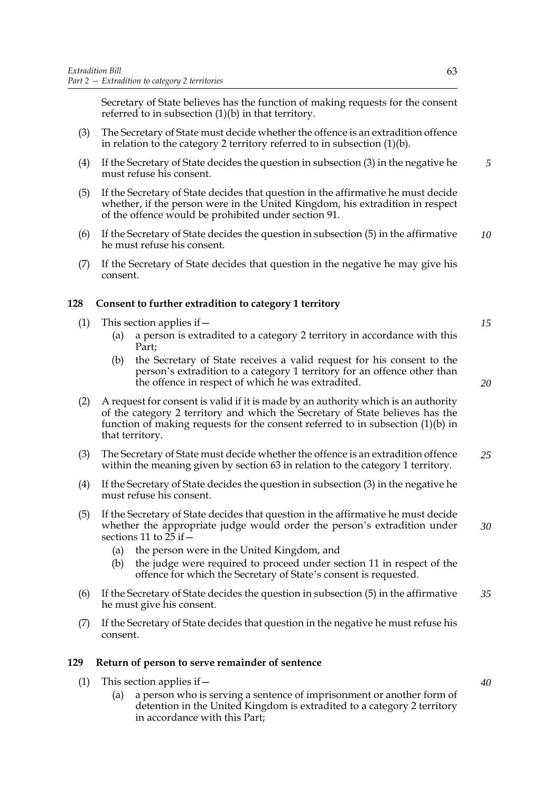Secretary of State believes has the function of making requests for the consent referred to in subsection  $(1)(b)$  in that territory.

- (3) The Secretary of State must decide whether the offence is an extradition offence in relation to the category 2 territory referred to in subsection (1)(b).
- (4) If the Secretary of State decides the question in subsection (3) in the negative he must refuse his consent. *5*
- (5) If the Secretary of State decides that question in the affirmative he must decide whether, if the person were in the United Kingdom, his extradition in respect of the offence would be prohibited under section 91.
- (6) If the Secretary of State decides the question in subsection (5) in the affirmative he must refuse his consent. *10*
- (7) If the Secretary of State decides that question in the negative he may give his consent.

## **128 Consent to further extradition to category 1 territory**

- (1) This section applies if—
	- (a) a person is extradited to a category 2 territory in accordance with this Part;
	- (b) the Secretary of State receives a valid request for his consent to the person's extradition to a category 1 territory for an offence other than the offence in respect of which he was extradited.
- (2) A request for consent is valid if it is made by an authority which is an authority of the category 2 territory and which the Secretary of State believes has the function of making requests for the consent referred to in subsection (1)(b) in that territory.
- (3) The Secretary of State must decide whether the offence is an extradition offence within the meaning given by section 63 in relation to the category 1 territory. *25*
- (4) If the Secretary of State decides the question in subsection (3) in the negative he must refuse his consent.
- (5) If the Secretary of State decides that question in the affirmative he must decide whether the appropriate judge would order the person's extradition under sections 11 to  $25$  if  $-$ *30*
	- (a) the person were in the United Kingdom, and
	- (b) the judge were required to proceed under section 11 in respect of the offence for which the Secretary of State's consent is requested.
- (6) If the Secretary of State decides the question in subsection (5) in the affirmative he must give his consent. *35*
- (7) If the Secretary of State decides that question in the negative he must refuse his consent.

## **129 Return of person to serve remainder of sentence**

- (1) This section applies if  $-$ 
	- (a) a person who is serving a sentence of imprisonment or another form of detention in the United Kingdom is extradited to a category 2 territory in accordance with this Part;

*40*

*15*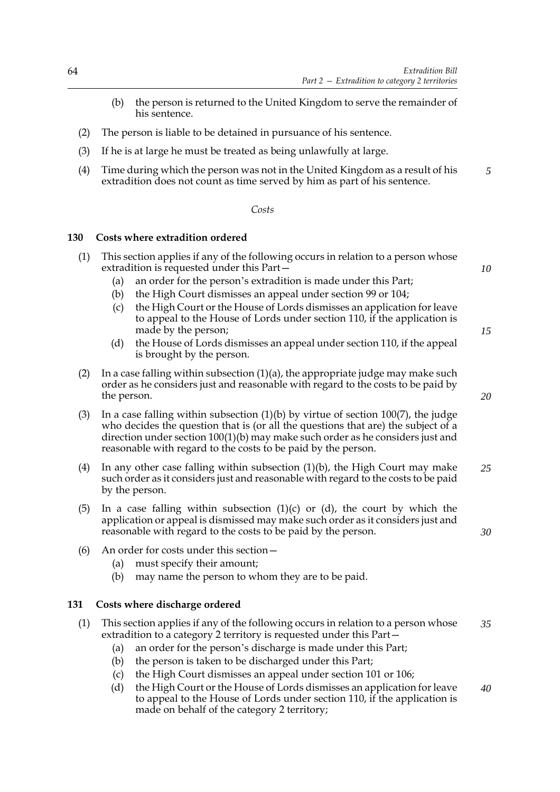- (b) the person is returned to the United Kingdom to serve the remainder of his sentence.
- (2) The person is liable to be detained in pursuance of his sentence.
- (3) If he is at large he must be treated as being unlawfully at large.
- (4) Time during which the person was not in the United Kingdom as a result of his extradition does not count as time served by him as part of his sentence.

#### *Costs*

#### **130 Costs where extradition ordered**

- (1) This section applies if any of the following occurs in relation to a person whose extradition is requested under this Part—
	- (a) an order for the person's extradition is made under this Part;
	- (b) the High Court dismisses an appeal under section 99 or 104;
	- (c) the High Court or the House of Lords dismisses an application for leave to appeal to the House of Lords under section 110, if the application is made by the person;
	- (d) the House of Lords dismisses an appeal under section 110, if the appeal is brought by the person.
- (2) In a case falling within subsection  $(1)(a)$ , the appropriate judge may make such order as he considers just and reasonable with regard to the costs to be paid by the person.
- (3) In a case falling within subsection  $(1)(b)$  by virtue of section [100](#page-56-0)(7), the judge who decides the question that is (or all the questions that are) the subject of a direction under section [100](#page-56-0)(1)(b) may make such order as he considers just and reasonable with regard to the costs to be paid by the person.
- (4) In any other case falling within subsection (1)(b), the High Court may make such order as it considers just and reasonable with regard to the costs to be paid by the person. *25*
- (5) In a case falling within subsection (1)(c) or (d), the court by which the application or appeal is dismissed may make such order as it considers just and reasonable with regard to the costs to be paid by the person.
- (6) An order for costs under this section—
	- (a) must specify their amount;
	- (b) may name the person to whom they are to be paid.

#### **131 Costs where discharge ordered**

- (1) This section applies if any of the following occurs in relation to a person whose extradition to a category 2 territory is requested under this Part— *35*
	- (a) an order for the person's discharge is made under this Part;
	- (b) the person is taken to be discharged under this Part;
	- (c) the High Court dismisses an appeal under section 101 or 106;
	- (d) the High Court or the House of Lords dismisses an application for leave to appeal to the House of Lords under section 110, if the application is made on behalf of the category 2 territory; *40*

*10*

*15*

*20*

*30*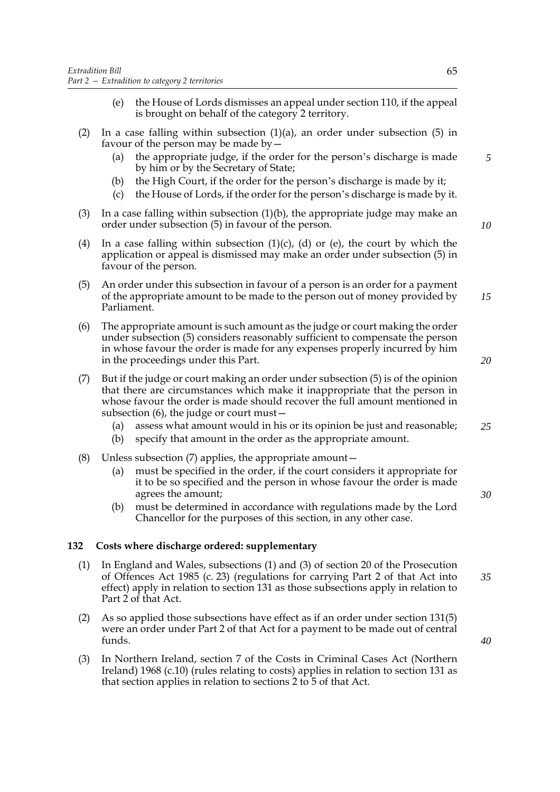- (e) the House of Lords dismisses an appeal under section 110, if the appeal is brought on behalf of the category 2 territory.
- (2) In a case falling within subsection  $(1)(a)$ , an order under subsection (5) in favour of the person may be made by  $-$ 
	- (a) the appropriate judge, if the order for the person's discharge is made by him or by the Secretary of State;
	- (b) the High Court, if the order for the person's discharge is made by it;
	- (c) the House of Lords, if the order for the person's discharge is made by it.
- (3) In a case falling within subsection  $(1)(b)$ , the appropriate judge may make an order under subsection (5) in favour of the person.
- (4) In a case falling within subsection  $(1)(c)$ ,  $(d)$  or  $(e)$ , the court by which the application or appeal is dismissed may make an order under subsection (5) in favour of the person.
- (5) An order under this subsection in favour of a person is an order for a payment of the appropriate amount to be made to the person out of money provided by Parliament.
- (6) The appropriate amount is such amount as the judge or court making the order under subsection (5) considers reasonably sufficient to compensate the person in whose favour the order is made for any expenses properly incurred by him in the proceedings under this Part.
- (7) But if the judge or court making an order under subsection (5) is of the opinion that there are circumstances which make it inappropriate that the person in whose favour the order is made should recover the full amount mentioned in subsection (6), the judge or court must—
	- (a) assess what amount would in his or its opinion be just and reasonable; *25*
	- (b) specify that amount in the order as the appropriate amount.
- (8) Unless subsection (7) applies, the appropriate amount—
	- (a) must be specified in the order, if the court considers it appropriate for it to be so specified and the person in whose favour the order is made agrees the amount;
	- (b) must be determined in accordance with regulations made by the Lord Chancellor for the purposes of this section, in any other case.

#### **132 Costs where discharge ordered: supplementary**

- (1) In England and Wales, subsections (1) and (3) of section 20 of the Prosecution of Offences Act 1985 (c. 23) (regulations for carrying Part 2 of that Act into effect) apply in relation to section 131 as those subsections apply in relation to Part 2 of that Act.
- (2) As so applied those subsections have effect as if an order under section 131(5) were an order under Part 2 of that Act for a payment to be made out of central funds.
- (3) In Northern Ireland, section 7 of the Costs in Criminal Cases Act (Northern Ireland) 1968 (c.10) (rules relating to costs) applies in relation to section 131 as that section applies in relation to sections 2 to 5 of that Act.

*5*

*10*

*15*

*20*

*30*

*40*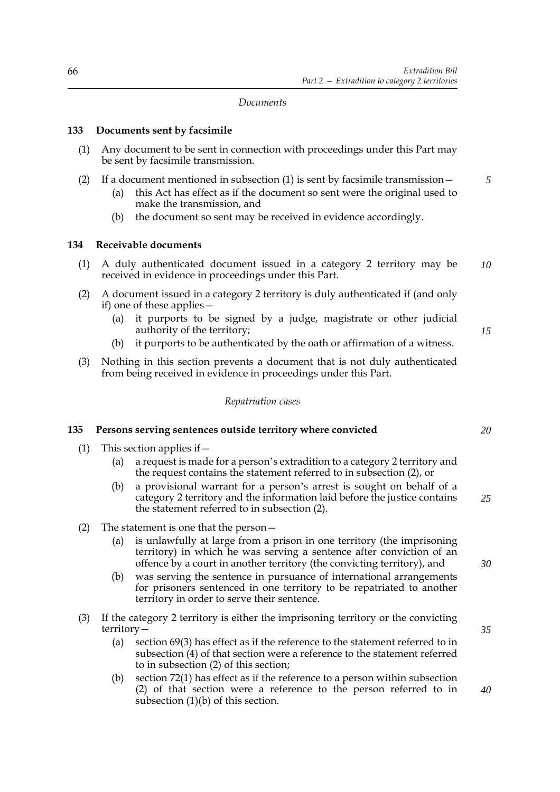#### *Documents*

### **133 Documents sent by facsimile**

- (1) Any document to be sent in connection with proceedings under this Part may be sent by facsimile transmission.
- (2) If a document mentioned in subsection  $(1)$  is sent by facsimile transmission *5*
	- (a) this Act has effect as if the document so sent were the original used to make the transmission, and
	- (b) the document so sent may be received in evidence accordingly.

#### **134 Receivable documents**

- (1) A duly authenticated document issued in a category 2 territory may be received in evidence in proceedings under this Part. *10*
- (2) A document issued in a category 2 territory is duly authenticated if (and only if) one of these applies—
	- (a) it purports to be signed by a judge, magistrate or other judicial authority of the territory;
	- (b) it purports to be authenticated by the oath or affirmation of a witness.
- (3) Nothing in this section prevents a document that is not duly authenticated from being received in evidence in proceedings under this Part.

#### *Repatriation cases*

#### **135 Persons serving sentences outside territory where convicted**

- (1) This section applies if  $-$ 
	- (a) a request is made for a person's extradition to a category 2 territory and the request contains the statement referred to in subsection (2), or
	- (b) a provisional warrant for a person's arrest is sought on behalf of a category 2 territory and the information laid before the justice contains the statement referred to in subsection (2). *25*
- (2) The statement is one that the person—
	- (a) is unlawfully at large from a prison in one territory (the imprisoning territory) in which he was serving a sentence after conviction of an offence by a court in another territory (the convicting territory), and
	- (b) was serving the sentence in pursuance of international arrangements for prisoners sentenced in one territory to be repatriated to another territory in order to serve their sentence.
- (3) If the category 2 territory is either the imprisoning territory or the convicting territory—
	- (a) section 69(3) has effect as if the reference to the statement referred to in subsection (4) of that section were a reference to the statement referred to in subsection (2) of this section;
	- (b) section 72(1) has effect as if the reference to a person within subsection (2) of that section were a reference to the person referred to in subsection (1)(b) of this section.

*15*

*20*

*30*

*35*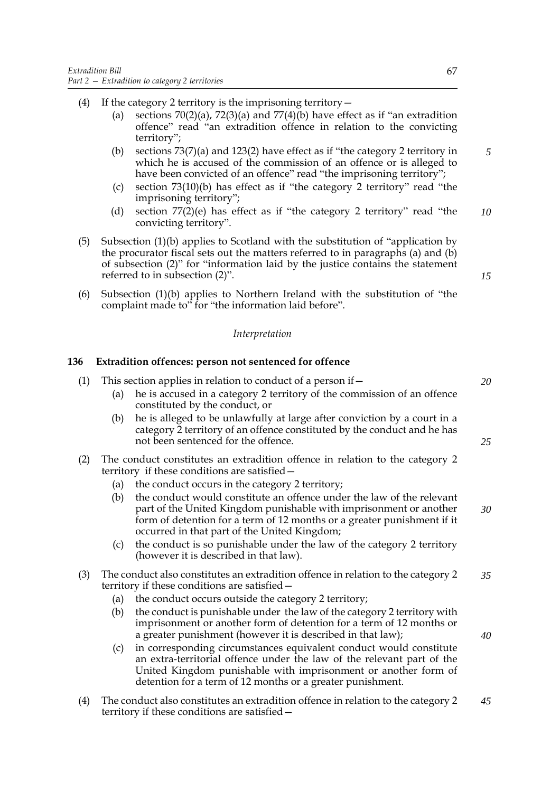- (4) If the category 2 territory is the imprisoning territory—
	- (a) sections  $70(2)(a)$ ,  $72(3)(a)$  and  $77(4)(b)$  have effect as if "an extradition offence" read "an extradition offence in relation to the convicting territory";
	- (b) sections 73(7)(a) and 123(2) have effect as if "the category 2 territory in which he is accused of the commission of an offence or is alleged to have been convicted of an offence" read "the imprisoning territory";
	- (c) section 73(10)(b) has effect as if "the category 2 territory" read "the imprisoning territory";
	- (d) section 77(2)(e) has effect as if "the category 2 territory" read "the convicting territory". *10*
- (5) Subsection (1)(b) applies to Scotland with the substitution of "application by the procurator fiscal sets out the matters referred to in paragraphs (a) and (b) of subsection (2)" for "information laid by the justice contains the statement referred to in subsection (2)".
- (6) Subsection (1)(b) applies to Northern Ireland with the substitution of "the complaint made to" for "the information laid before".

## *Interpretation*

## **136 Extradition offences: person not sentenced for offence**

(1) This section applies in relation to conduct of a person if  $-$ (a) he is accused in a category 2 territory of the commission of an offence constituted by the conduct, or (b) he is alleged to be unlawfully at large after conviction by a court in a category 2 territory of an offence constituted by the conduct and he has not been sentenced for the offence. (2) The conduct constitutes an extradition offence in relation to the category 2 territory if these conditions are satisfied— (a) the conduct occurs in the category 2 territory; (b) the conduct would constitute an offence under the law of the relevant part of the United Kingdom punishable with imprisonment or another form of detention for a term of 12 months or a greater punishment if it occurred in that part of the United Kingdom; (c) the conduct is so punishable under the law of the category 2 territory (however it is described in that law). (3) The conduct also constitutes an extradition offence in relation to the category 2 territory if these conditions are satisfied— (a) the conduct occurs outside the category 2 territory; (b) the conduct is punishable under the law of the category 2 territory with imprisonment or another form of detention for a term of 12 months or a greater punishment (however it is described in that law); (c) in corresponding circumstances equivalent conduct would constitute an extra-territorial offence under the law of the relevant part of the United Kingdom punishable with imprisonment or another form of detention for a term of 12 months or a greater punishment. (4) The conduct also constitutes an extradition offence in relation to the category 2 territory if these conditions are satisfied— *20 25 30 35 40 45*

*5*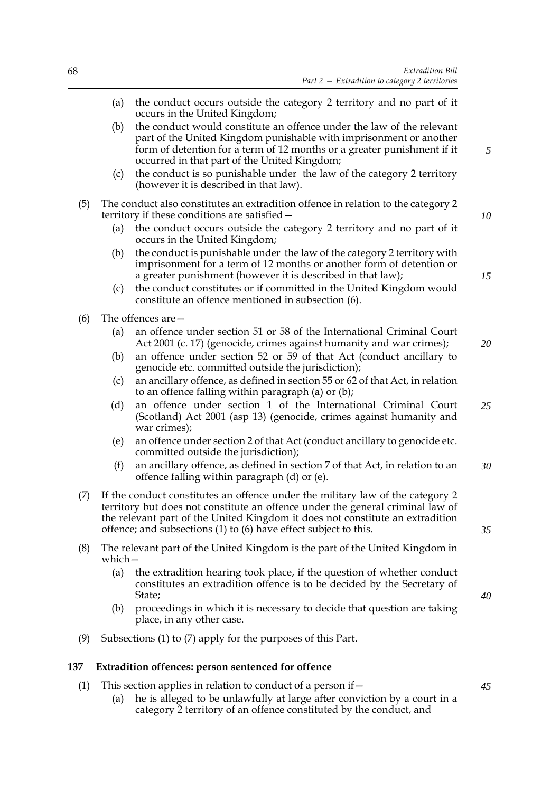- (a) the conduct occurs outside the category 2 territory and no part of it occurs in the United Kingdom;
- (b) the conduct would constitute an offence under the law of the relevant part of the United Kingdom punishable with imprisonment or another form of detention for a term of 12 months or a greater punishment if it occurred in that part of the United Kingdom;
- (c) the conduct is so punishable under the law of the category 2 territory (however it is described in that law).
- (5) The conduct also constitutes an extradition offence in relation to the category 2 territory if these conditions are satisfied—
	- (a) the conduct occurs outside the category 2 territory and no part of it occurs in the United Kingdom;
	- (b) the conduct is punishable under the law of the category 2 territory with imprisonment for a term of 12 months or another form of detention or a greater punishment (however it is described in that law);
	- (c) the conduct constitutes or if committed in the United Kingdom would constitute an offence mentioned in subsection (6).
- (6) The offences are—
	- (a) an offence under section 51 or 58 of the International Criminal Court Act 2001 (c. 17) (genocide, crimes against humanity and war crimes);
	- (b) an offence under section 52 or 59 of that Act (conduct ancillary to genocide etc. committed outside the jurisdiction);
	- (c) an ancillary offence, as defined in section 55 or 62 of that Act, in relation to an offence falling within paragraph (a) or (b);
	- (d) an offence under section 1 of the International Criminal Court (Scotland) Act 2001 (asp 13) (genocide, crimes against humanity and war crimes); *25*
	- (e) an offence under section 2 of that Act (conduct ancillary to genocide etc. committed outside the jurisdiction);
	- (f) an ancillary offence, as defined in section 7 of that Act, in relation to an offence falling within paragraph (d) or (e). *30*
- (7) If the conduct constitutes an offence under the military law of the category 2 territory but does not constitute an offence under the general criminal law of the relevant part of the United Kingdom it does not constitute an extradition offence; and subsections (1) to (6) have effect subject to this.
- (8) The relevant part of the United Kingdom is the part of the United Kingdom in which—
	- (a) the extradition hearing took place, if the question of whether conduct constitutes an extradition offence is to be decided by the Secretary of State;
	- (b) proceedings in which it is necessary to decide that question are taking place, in any other case.
- (9) Subsections (1) to (7) apply for the purposes of this Part.

## **137 Extradition offences: person sentenced for offence**

- (1) This section applies in relation to conduct of a person if  $-$ 
	- (a) he is alleged to be unlawfully at large after conviction by a court in a category 2 territory of an offence constituted by the conduct, and

*10*

*15*

*5*

*20*

*35*

*40*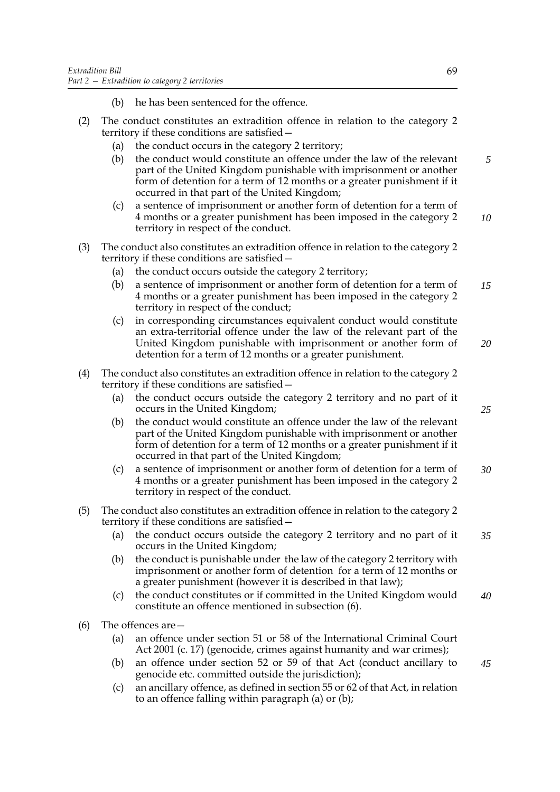- (b) he has been sentenced for the offence.
- (2) The conduct constitutes an extradition offence in relation to the category 2 territory if these conditions are satisfied—
	- (a) the conduct occurs in the category 2 territory;
	- (b) the conduct would constitute an offence under the law of the relevant part of the United Kingdom punishable with imprisonment or another form of detention for a term of 12 months or a greater punishment if it occurred in that part of the United Kingdom; *5*
	- (c) a sentence of imprisonment or another form of detention for a term of 4 months or a greater punishment has been imposed in the category 2 territory in respect of the conduct. *10*
- (3) The conduct also constitutes an extradition offence in relation to the category 2 territory if these conditions are satisfied—
	- (a) the conduct occurs outside the category 2 territory;
	- (b) a sentence of imprisonment or another form of detention for a term of 4 months or a greater punishment has been imposed in the category 2 territory in respect of the conduct; *15*
	- (c) in corresponding circumstances equivalent conduct would constitute an extra-territorial offence under the law of the relevant part of the United Kingdom punishable with imprisonment or another form of detention for a term of 12 months or a greater punishment. *20*
- (4) The conduct also constitutes an extradition offence in relation to the category 2 territory if these conditions are satisfied—
	- (a) the conduct occurs outside the category 2 territory and no part of it occurs in the United Kingdom;

*25*

- (b) the conduct would constitute an offence under the law of the relevant part of the United Kingdom punishable with imprisonment or another form of detention for a term of 12 months or a greater punishment if it occurred in that part of the United Kingdom;
- (c) a sentence of imprisonment or another form of detention for a term of 4 months or a greater punishment has been imposed in the category 2 territory in respect of the conduct. *30*
- (5) The conduct also constitutes an extradition offence in relation to the category 2 territory if these conditions are satisfied—
	- (a) the conduct occurs outside the category 2 territory and no part of it occurs in the United Kingdom; *35*
	- (b) the conduct is punishable under the law of the category 2 territory with imprisonment or another form of detention for a term of 12 months or a greater punishment (however it is described in that law);
	- (c) the conduct constitutes or if committed in the United Kingdom would constitute an offence mentioned in subsection (6). *40*
- (6) The offences are—
	- (a) an offence under section 51 or 58 of the International Criminal Court Act 2001 (c. 17) (genocide, crimes against humanity and war crimes);
	- (b) an offence under section 52 or 59 of that Act (conduct ancillary to genocide etc. committed outside the jurisdiction);
	- (c) an ancillary offence, as defined in section 55 or 62 of that Act, in relation to an offence falling within paragraph (a) or (b);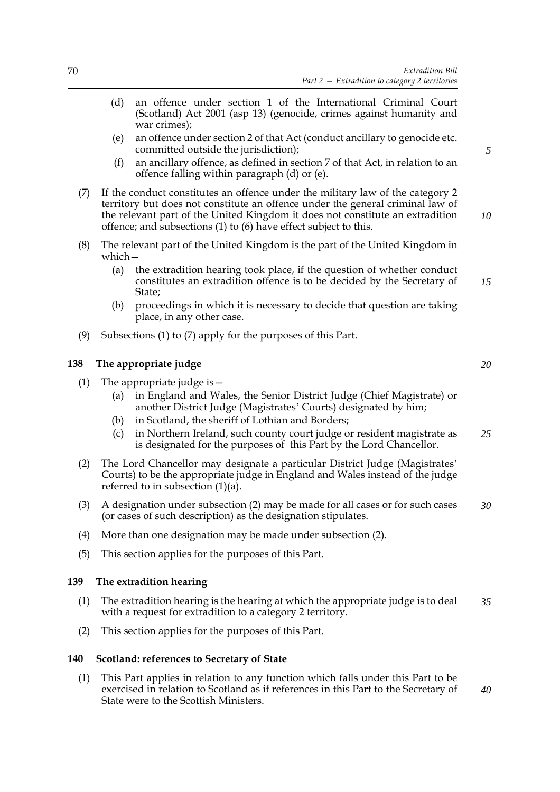- (d) an offence under section 1 of the International Criminal Court (Scotland) Act 2001 (asp 13) (genocide, crimes against humanity and war crimes);
- (e) an offence under section 2 of that Act (conduct ancillary to genocide etc. committed outside the jurisdiction);
- (f) an ancillary offence, as defined in section 7 of that Act, in relation to an offence falling within paragraph (d) or (e).
- (7) If the conduct constitutes an offence under the military law of the category 2 territory but does not constitute an offence under the general criminal law of the relevant part of the United Kingdom it does not constitute an extradition offence; and subsections (1) to (6) have effect subject to this. *10*
- (8) The relevant part of the United Kingdom is the part of the United Kingdom in which—
	- (a) the extradition hearing took place, if the question of whether conduct constitutes an extradition offence is to be decided by the Secretary of State; *15*
	- (b) proceedings in which it is necessary to decide that question are taking place, in any other case.
- (9) Subsections (1) to (7) apply for the purposes of this Part.

# **138 The appropriate judge**

- (1) The appropriate judge is  $-$ 
	- (a) in England and Wales, the Senior District Judge (Chief Magistrate) or another District Judge (Magistrates' Courts) designated by him;
	- (b) in Scotland, the sheriff of Lothian and Borders;
	- (c) in Northern Ireland, such county court judge or resident magistrate as is designated for the purposes of this Part by the Lord Chancellor. *25*
- (2) The Lord Chancellor may designate a particular District Judge (Magistrates' Courts) to be the appropriate judge in England and Wales instead of the judge referred to in subsection  $(1)(a)$ .
- (3) A designation under subsection (2) may be made for all cases or for such cases (or cases of such description) as the designation stipulates. *30*
- (4) More than one designation may be made under subsection (2).
- (5) This section applies for the purposes of this Part.

## **139 The extradition hearing**

- (1) The extradition hearing is the hearing at which the appropriate judge is to deal with a request for extradition to a category 2 territory. *35*
- (2) This section applies for the purposes of this Part.

#### **140 Scotland: references to Secretary of State**

(1) This Part applies in relation to any function which falls under this Part to be exercised in relation to Scotland as if references in this Part to the Secretary of State were to the Scottish Ministers.

*20*

*40*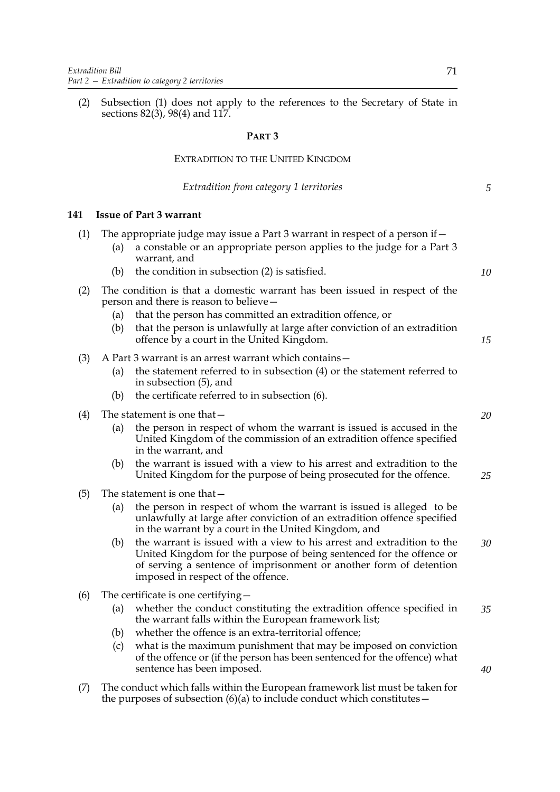(2) Subsection (1) does not apply to the references to the Secretary of State in sections 82(3), 98(4) and 117.

### **PART 3**

#### EXTRADITION TO THE UNITED KINGDOM

*Extradition from category 1 territories*

#### **141 Issue of Part 3 warrant**

- (1) The appropriate judge may issue a Part 3 warrant in respect of a person if  $-$ 
	- (a) a constable or an appropriate person applies to the judge for a Part 3 warrant, and
	- (b) the condition in subsection (2) is satisfied.
- (2) The condition is that a domestic warrant has been issued in respect of the person and there is reason to believe—
	- (a) that the person has committed an extradition offence, or
	- (b) that the person is unlawfully at large after conviction of an extradition offence by a court in the United Kingdom. *15*
- (3) A Part 3 warrant is an arrest warrant which contains—
	- (a) the statement referred to in subsection (4) or the statement referred to in subsection (5), and
	- (b) the certificate referred to in subsection (6).
- (4) The statement is one that—
	- (a) the person in respect of whom the warrant is issued is accused in the United Kingdom of the commission of an extradition offence specified in the warrant, and
	- (b) the warrant is issued with a view to his arrest and extradition to the United Kingdom for the purpose of being prosecuted for the offence.
- (5) The statement is one that—
	- (a) the person in respect of whom the warrant is issued is alleged to be unlawfully at large after conviction of an extradition offence specified in the warrant by a court in the United Kingdom, and
	- (b) the warrant is issued with a view to his arrest and extradition to the United Kingdom for the purpose of being sentenced for the offence or of serving a sentence of imprisonment or another form of detention imposed in respect of the offence. *30*
- (6) The certificate is one certifying—
	- (a) whether the conduct constituting the extradition offence specified in the warrant falls within the European framework list; *35*
	- (b) whether the offence is an extra-territorial offence;
	- (c) what is the maximum punishment that may be imposed on conviction of the offence or (if the person has been sentenced for the offence) what sentence has been imposed.
- (7) The conduct which falls within the European framework list must be taken for the purposes of subsection  $(6)(a)$  to include conduct which constitutes –

*5*

*10*

*20*

*25*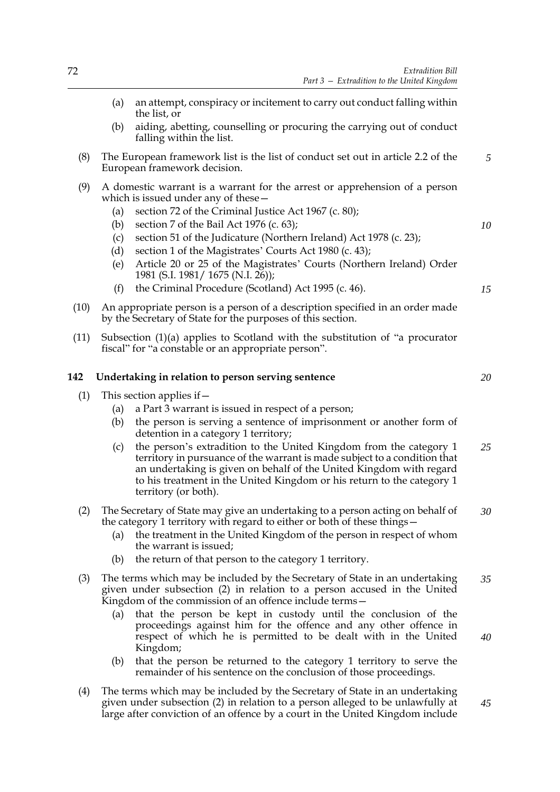|      | an attempt, conspiracy or incitement to carry out conduct falling within<br>(a)<br>the list, or<br>aiding, abetting, counselling or procuring the carrying out of conduct<br>(b)<br>falling within the list.                                                                                                                                                                                                                       |          |
|------|------------------------------------------------------------------------------------------------------------------------------------------------------------------------------------------------------------------------------------------------------------------------------------------------------------------------------------------------------------------------------------------------------------------------------------|----------|
| (8)  | The European framework list is the list of conduct set out in article 2.2 of the<br>European framework decision.                                                                                                                                                                                                                                                                                                                   | 5        |
| (9)  | A domestic warrant is a warrant for the arrest or apprehension of a person<br>which is issued under any of these $-$<br>section 72 of the Criminal Justice Act 1967 (c. 80);<br>(a)                                                                                                                                                                                                                                                |          |
|      | section 7 of the Bail Act 1976 (c. 63);<br>(b)<br>section 51 of the Judicature (Northern Ireland) Act 1978 (c. 23);<br>(c)<br>section 1 of the Magistrates' Courts Act 1980 (c. 43);<br>(d)<br>Article 20 or 25 of the Magistrates' Courts (Northern Ireland) Order<br>(e)<br>1981 (S.I. 1981/1675 (N.I. 26));<br>the Criminal Procedure (Scotland) Act 1995 (c. 46).<br>(f)                                                       | 10<br>15 |
| (10) | An appropriate person is a person of a description specified in an order made<br>by the Secretary of State for the purposes of this section.                                                                                                                                                                                                                                                                                       |          |
| (11) | Subsection $(1)(a)$ applies to Scotland with the substitution of "a procurator"<br>fiscal" for "a constable or an appropriate person".                                                                                                                                                                                                                                                                                             |          |
| 142  | Undertaking in relation to person serving sentence                                                                                                                                                                                                                                                                                                                                                                                 | 20       |
| (1)  | This section applies if $-$<br>a Part 3 warrant is issued in respect of a person;<br>(a)<br>the person is serving a sentence of imprisonment or another form of<br>(b)<br>detention in a category 1 territory;<br>the person's extradition to the United Kingdom from the category 1<br>(c)<br>territory in pursuance of the warrant is made subject to a condition that                                                           | 25       |
|      | an undertaking is given on behalf of the United Kingdom with regard<br>to his treatment in the United Kingdom or his return to the category 1<br>territory (or both).                                                                                                                                                                                                                                                              |          |
| (2)  | The Secretary of State may give an undertaking to a person acting on behalf of<br>the category 1 territory with regard to either or both of these things -<br>the treatment in the United Kingdom of the person in respect of whom<br>(a)<br>the warrant is issued;<br>the return of that person to the category 1 territory.<br>(b)                                                                                               | 30       |
| (3)  | The terms which may be included by the Secretary of State in an undertaking<br>given under subsection (2) in relation to a person accused in the United<br>Kingdom of the commission of an offence include terms -<br>that the person be kept in custody until the conclusion of the<br>(a)<br>proceedings against him for the offence and any other offence in<br>respect of which he is permitted to be dealt with in the United | 35<br>40 |
|      | Kingdom;<br>that the person be returned to the category 1 territory to serve the<br>(b)<br>remainder of his sentence on the conclusion of those proceedings.                                                                                                                                                                                                                                                                       |          |
| (4)  | The terms which may be included by the Secretary of State in an undertaking<br>given under subsection (2) in relation to a person alleged to be unlawfully at<br>large after conviction of an offence by a court in the United Kingdom include                                                                                                                                                                                     | 45       |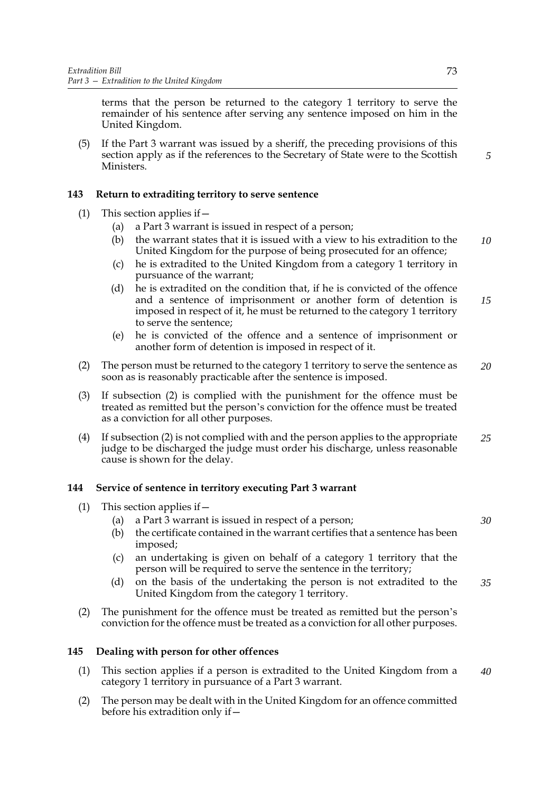terms that the person be returned to the category 1 territory to serve the remainder of his sentence after serving any sentence imposed on him in the United Kingdom.

(5) If the Part 3 warrant was issued by a sheriff, the preceding provisions of this section apply as if the references to the Secretary of State were to the Scottish Ministers.

# **143 Return to extraditing territory to serve sentence**

- (1) This section applies if—
	- (a) a Part 3 warrant is issued in respect of a person;
	- (b) the warrant states that it is issued with a view to his extradition to the United Kingdom for the purpose of being prosecuted for an offence; *10*
	- (c) he is extradited to the United Kingdom from a category 1 territory in pursuance of the warrant;
	- (d) he is extradited on the condition that, if he is convicted of the offence and a sentence of imprisonment or another form of detention is imposed in respect of it, he must be returned to the category 1 territory to serve the sentence; *15*
	- (e) he is convicted of the offence and a sentence of imprisonment or another form of detention is imposed in respect of it.
- (2) The person must be returned to the category 1 territory to serve the sentence as soon as is reasonably practicable after the sentence is imposed. *20*
- (3) If subsection (2) is complied with the punishment for the offence must be treated as remitted but the person's conviction for the offence must be treated as a conviction for all other purposes.
- (4) If subsection (2) is not complied with and the person applies to the appropriate judge to be discharged the judge must order his discharge, unless reasonable cause is shown for the delay. *25*

## **144 Service of sentence in territory executing Part 3 warrant**

- (1) This section applies if  $-$ 
	- (a) a Part 3 warrant is issued in respect of a person;
	- (b) the certificate contained in the warrant certifies that a sentence has been imposed;
	- (c) an undertaking is given on behalf of a category 1 territory that the person will be required to serve the sentence in the territory;
	- (d) on the basis of the undertaking the person is not extradited to the United Kingdom from the category 1 territory. *35*
- (2) The punishment for the offence must be treated as remitted but the person's conviction for the offence must be treated as a conviction for all other purposes.

## **145 Dealing with person for other offences**

- (1) This section applies if a person is extradited to the United Kingdom from a category 1 territory in pursuance of a Part 3 warrant. *40*
- (2) The person may be dealt with in the United Kingdom for an offence committed before his extradition only if—

*5*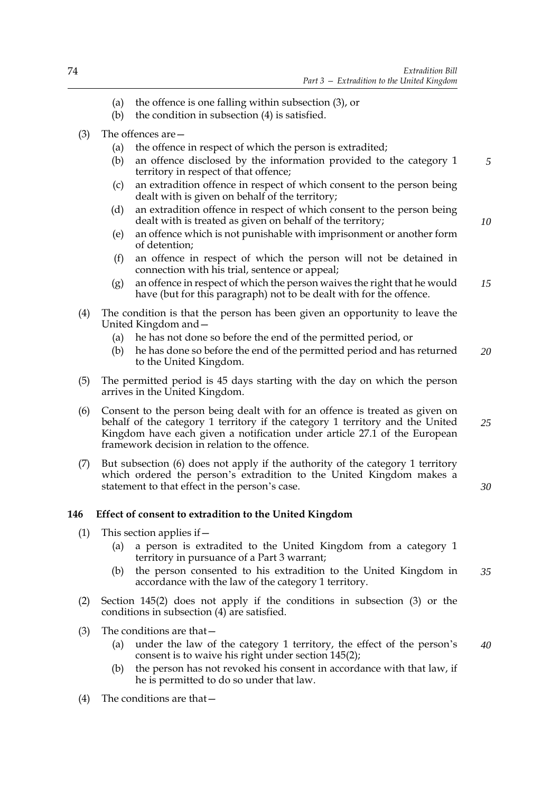*10*

*30*

- (a) the offence is one falling within subsection (3), or
- (b) the condition in subsection (4) is satisfied.
- (3) The offences are—
	- (a) the offence in respect of which the person is extradited;
	- (b) an offence disclosed by the information provided to the category 1 territory in respect of that offence; *5*
	- (c) an extradition offence in respect of which consent to the person being dealt with is given on behalf of the territory;
	- (d) an extradition offence in respect of which consent to the person being dealt with is treated as given on behalf of the territory;
	- (e) an offence which is not punishable with imprisonment or another form of detention;
	- (f) an offence in respect of which the person will not be detained in connection with his trial, sentence or appeal;
	- (g) an offence in respect of which the person waives the right that he would have (but for this paragraph) not to be dealt with for the offence. *15*
- (4) The condition is that the person has been given an opportunity to leave the United Kingdom and—
	- (a) he has not done so before the end of the permitted period, or
	- (b) he has done so before the end of the permitted period and has returned to the United Kingdom. *20*
- (5) The permitted period is 45 days starting with the day on which the person arrives in the United Kingdom.
- (6) Consent to the person being dealt with for an offence is treated as given on behalf of the category 1 territory if the category 1 territory and the United Kingdom have each given a notification under article 27.1 of the European framework decision in relation to the offence. *25*
- (7) But subsection (6) does not apply if the authority of the category 1 territory which ordered the person's extradition to the United Kingdom makes a statement to that effect in the person's case.

**146 Effect of consent to extradition to the United Kingdom**

- (1) This section applies if  $-$ 
	- (a) a person is extradited to the United Kingdom from a category 1 territory in pursuance of a Part 3 warrant;
	- (b) the person consented to his extradition to the United Kingdom in accordance with the law of the category 1 territory. *35*
- (2) Section 145(2) does not apply if the conditions in subsection (3) or the conditions in subsection (4) are satisfied.
- (3) The conditions are that—
	- (a) under the law of the category 1 territory, the effect of the person's consent is to waive his right under section 145(2); *40*
	- (b) the person has not revoked his consent in accordance with that law, if he is permitted to do so under that law.
- (4) The conditions are that—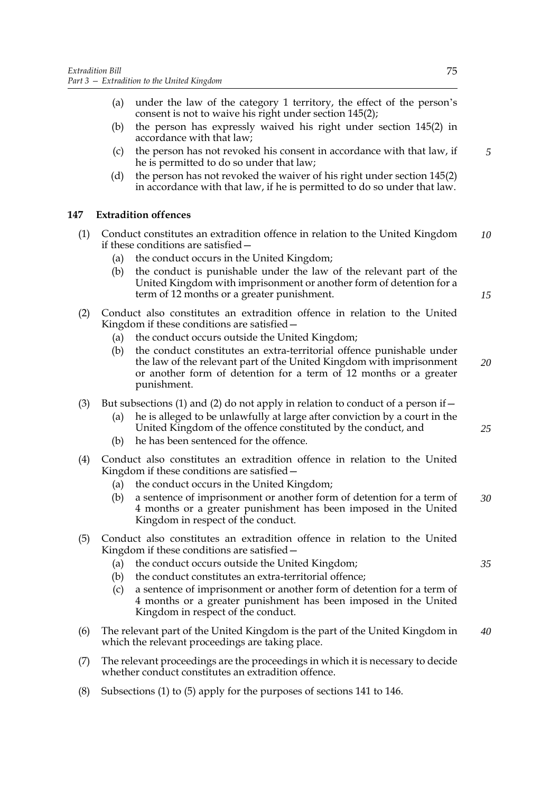- (a) under the law of the category 1 territory, the effect of the person's consent is not to waive his right under section 145(2);
- (b) the person has expressly waived his right under section 145(2) in accordance with that law;
- (c) the person has not revoked his consent in accordance with that law, if he is permitted to do so under that law;
- (d) the person has not revoked the waiver of his right under section 145(2) in accordance with that law, if he is permitted to do so under that law.

# **147 Extradition offences**

- (1) Conduct constitutes an extradition offence in relation to the United Kingdom if these conditions are satisfied— *10*
	- (a) the conduct occurs in the United Kingdom;
	- (b) the conduct is punishable under the law of the relevant part of the United Kingdom with imprisonment or another form of detention for a term of 12 months or a greater punishment.
- (2) Conduct also constitutes an extradition offence in relation to the United Kingdom if these conditions are satisfied—
	- (a) the conduct occurs outside the United Kingdom;
	- (b) the conduct constitutes an extra-territorial offence punishable under the law of the relevant part of the United Kingdom with imprisonment or another form of detention for a term of 12 months or a greater punishment.
- (3) But subsections (1) and (2) do not apply in relation to conduct of a person if  $$ 
	- he is alleged to be unlawfully at large after conviction by a court in the United Kingdom of the offence constituted by the conduct, and
	- (b) he has been sentenced for the offence.
- (4) Conduct also constitutes an extradition offence in relation to the United Kingdom if these conditions are satisfied—
	- (a) the conduct occurs in the United Kingdom;
	- (b) a sentence of imprisonment or another form of detention for a term of 4 months or a greater punishment has been imposed in the United Kingdom in respect of the conduct. *30*
- (5) Conduct also constitutes an extradition offence in relation to the United Kingdom if these conditions are satisfied—
	- (a) the conduct occurs outside the United Kingdom;
	- (b) the conduct constitutes an extra-territorial offence;
	- (c) a sentence of imprisonment or another form of detention for a term of 4 months or a greater punishment has been imposed in the United Kingdom in respect of the conduct.
- (6) The relevant part of the United Kingdom is the part of the United Kingdom in which the relevant proceedings are taking place. *40*
- (7) The relevant proceedings are the proceedings in which it is necessary to decide whether conduct constitutes an extradition offence.
- (8) Subsections (1) to (5) apply for the purposes of sections 141 to 146.

*5*

```
25
```
*15*

*20*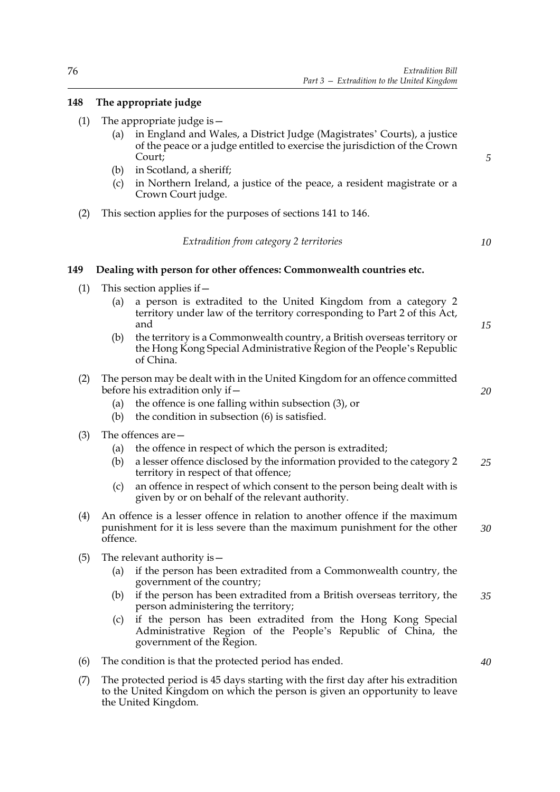## **148 The appropriate judge**

- (1) The appropriate judge is  $-$ 
	- (a) in England and Wales, a District Judge (Magistrates' Courts), a justice of the peace or a judge entitled to exercise the jurisdiction of the Crown Court;
	- (b) in Scotland, a sheriff;
	- (c) in Northern Ireland, a justice of the peace, a resident magistrate or a Crown Court judge.
- (2) This section applies for the purposes of sections 141 to 146.

*10*

*15*

*20*

*40*

*5*

#### **149 Dealing with person for other offences: Commonwealth countries etc.**

- (1) This section applies if  $-$ 
	- (a) a person is extradited to the United Kingdom from a category 2 territory under law of the territory corresponding to Part 2 of this Act, and
	- (b) the territory is a Commonwealth country, a British overseas territory or the Hong Kong Special Administrative Region of the People's Republic of China.
- (2) The person may be dealt with in the United Kingdom for an offence committed before his extradition only if—
	- (a) the offence is one falling within subsection (3), or
	- (b) the condition in subsection  $(6)$  is satisfied.
- (3) The offences are—
	- (a) the offence in respect of which the person is extradited;
	- (b) a lesser offence disclosed by the information provided to the category 2 territory in respect of that offence; *25*
	- (c) an offence in respect of which consent to the person being dealt with is given by or on behalf of the relevant authority.
- (4) An offence is a lesser offence in relation to another offence if the maximum punishment for it is less severe than the maximum punishment for the other offence. *30*
- (5) The relevant authority is  $-$ 
	- (a) if the person has been extradited from a Commonwealth country, the government of the country;
	- (b) if the person has been extradited from a British overseas territory, the person administering the territory; *35*
	- (c) if the person has been extradited from the Hong Kong Special Administrative Region of the People's Republic of China, the government of the Region.
- (6) The condition is that the protected period has ended.
- (7) The protected period is 45 days starting with the first day after his extradition to the United Kingdom on which the person is given an opportunity to leave the United Kingdom.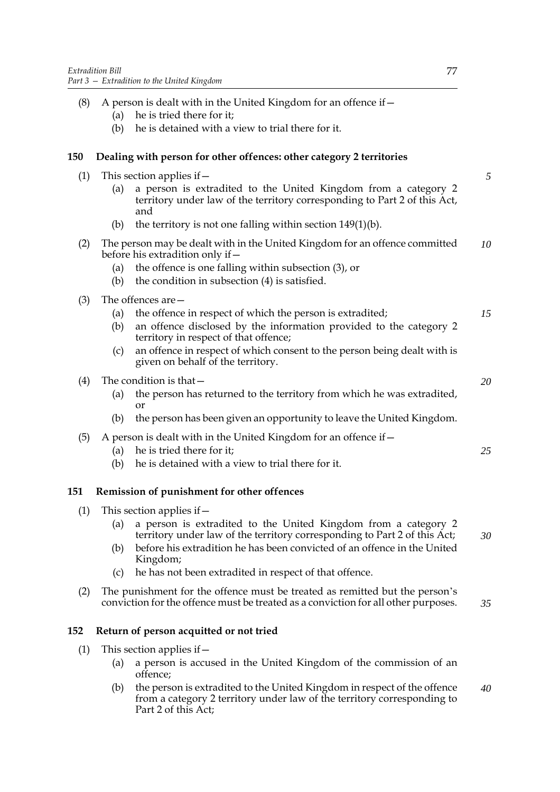- (8) A person is dealt with in the United Kingdom for an offence if  $-$ 
	- (a) he is tried there for it;
	- (b) he is detained with a view to trial there for it.

# **150 Dealing with person for other offences: other category 2 territories**

- (1) This section applies if—
	- (a) a person is extradited to the United Kingdom from a category 2 territory under law of the territory corresponding to Part 2 of this Act, and
	- (b) the territory is not one falling within section  $149(1)(b)$ .
- (2) The person may be dealt with in the United Kingdom for an offence committed before his extradition only if— *10*
	- (a) the offence is one falling within subsection (3), or
	- (b) the condition in subsection (4) is satisfied.
- (3) The offences are—
	- (a) the offence in respect of which the person is extradited;
	- (b) an offence disclosed by the information provided to the category 2 territory in respect of that offence;
	- (c) an offence in respect of which consent to the person being dealt with is given on behalf of the territory.

## (4) The condition is that—

- (a) the person has returned to the territory from which he was extradited, or
- (b) the person has been given an opportunity to leave the United Kingdom.
- (5) A person is dealt with in the United Kingdom for an offence if  $-$ 
	- (a) he is tried there for it;
	- (b) he is detained with a view to trial there for it.

## **151 Remission of punishment for other offences**

- (1) This section applies if  $-$ 
	- (a) a person is extradited to the United Kingdom from a category 2 territory under law of the territory corresponding to Part 2 of this Act;
	- (b) before his extradition he has been convicted of an offence in the United Kingdom;
	- (c) he has not been extradited in respect of that offence.
- (2) The punishment for the offence must be treated as remitted but the person's conviction for the offence must be treated as a conviction for all other purposes. *35*

# **152 Return of person acquitted or not tried**

- (1) This section applies if  $-$ 
	- (a) a person is accused in the United Kingdom of the commission of an offence;
	- (b) the person is extradited to the United Kingdom in respect of the offence from a category 2 territory under law of the territory corresponding to Part 2 of this Act; *40*

*5*

```
25
```
*15*

*20*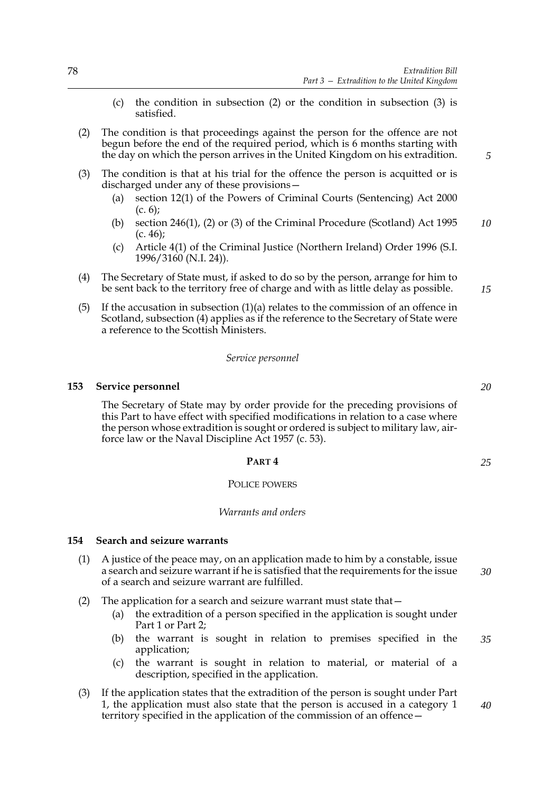- (c) the condition in subsection (2) or the condition in subsection (3) is satisfied.
- (2) The condition is that proceedings against the person for the offence are not begun before the end of the required period, which is 6 months starting with the day on which the person arrives in the United Kingdom on his extradition.
- (3) The condition is that at his trial for the offence the person is acquitted or is discharged under any of these provisions—
	- (a) section 12(1) of the Powers of Criminal Courts (Sentencing) Act 2000  $(c. 6)$ ;
	- (b) section 246(1), (2) or (3) of the Criminal Procedure (Scotland) Act 1995 (c. 46); *10*
	- (c) Article 4(1) of the Criminal Justice (Northern Ireland) Order 1996 (S.I. 1996/3160 (N.I. 24)).
- (4) The Secretary of State must, if asked to do so by the person, arrange for him to be sent back to the territory free of charge and with as little delay as possible.
- (5) If the accusation in subsection  $(1)(a)$  relates to the commission of an offence in Scotland, subsection (4) applies as if the reference to the Secretary of State were a reference to the Scottish Ministers.

#### *Service personnel*

#### **153 Service personnel**

The Secretary of State may by order provide for the preceding provisions of this Part to have effect with specified modifications in relation to a case where the person whose extradition is sought or ordered is subject to military law, airforce law or the Naval Discipline Act 1957 (c. 53).

#### **PART 4**

#### POLICE POWERS

#### *Warrants and orders*

#### **154 Search and seizure warrants**

- (1) A justice of the peace may, on an application made to him by a constable, issue a search and seizure warrant if he is satisfied that the requirements for the issue of a search and seizure warrant are fulfilled. *30*
- (2) The application for a search and seizure warrant must state that—
	- (a) the extradition of a person specified in the application is sought under Part 1 or Part 2;
	- (b) the warrant is sought in relation to premises specified in the application; *35*
	- (c) the warrant is sought in relation to material, or material of a description, specified in the application.
- (3) If the application states that the extradition of the person is sought under Part 1, the application must also state that the person is accused in a category 1 territory specified in the application of the commission of an offence—

*20*

*15*

*5*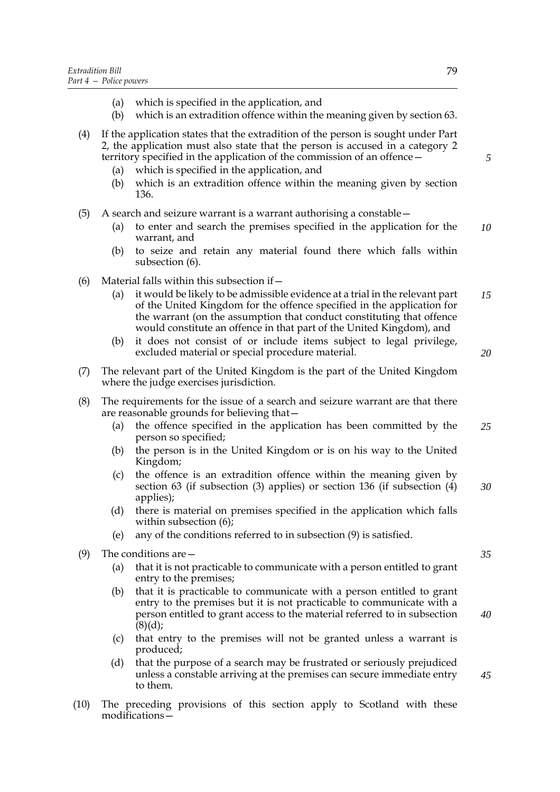- (a) which is specified in the application, and
- (b) which is an extradition offence within the meaning given by section 63.
- (4) If the application states that the extradition of the person is sought under Part 2, the application must also state that the person is accused in a category 2 territory specified in the application of the commission of an offence—
	- (a) which is specified in the application, and
	- (b) which is an extradition offence within the meaning given by section 136.
- (5) A search and seizure warrant is a warrant authorising a constable  $-$ 
	- (a) to enter and search the premises specified in the application for the warrant, and *10*
	- (b) to seize and retain any material found there which falls within subsection (6).
- (6) Material falls within this subsection if  $-$ 
	- (a) it would be likely to be admissible evidence at a trial in the relevant part of the United Kingdom for the offence specified in the application for the warrant (on the assumption that conduct constituting that offence would constitute an offence in that part of the United Kingdom), and *15*
	- (b) it does not consist of or include items subject to legal privilege, excluded material or special procedure material.
- (7) The relevant part of the United Kingdom is the part of the United Kingdom where the judge exercises jurisdiction.
- (8) The requirements for the issue of a search and seizure warrant are that there are reasonable grounds for believing that—
	- (a) the offence specified in the application has been committed by the person so specified; *25*
	- (b) the person is in the United Kingdom or is on his way to the United Kingdom;
	- (c) the offence is an extradition offence within the meaning given by section 63 (if subsection (3) applies) or section 136 (if subsection (4) applies); *30*
	- (d) there is material on premises specified in the application which falls within subsection (6);
	- (e) any of the conditions referred to in subsection (9) is satisfied.
- (9) The conditions are—
	- (a) that it is not practicable to communicate with a person entitled to grant entry to the premises;
	- (b) that it is practicable to communicate with a person entitled to grant entry to the premises but it is not practicable to communicate with a person entitled to grant access to the material referred to in subsection  $(8)(d);$
	- (c) that entry to the premises will not be granted unless a warrant is produced;
	- (d) that the purpose of a search may be frustrated or seriously prejudiced unless a constable arriving at the premises can secure immediate entry to them.
- (10) The preceding provisions of this section apply to Scotland with these modifications—

*5*

*20*

*35*

*40*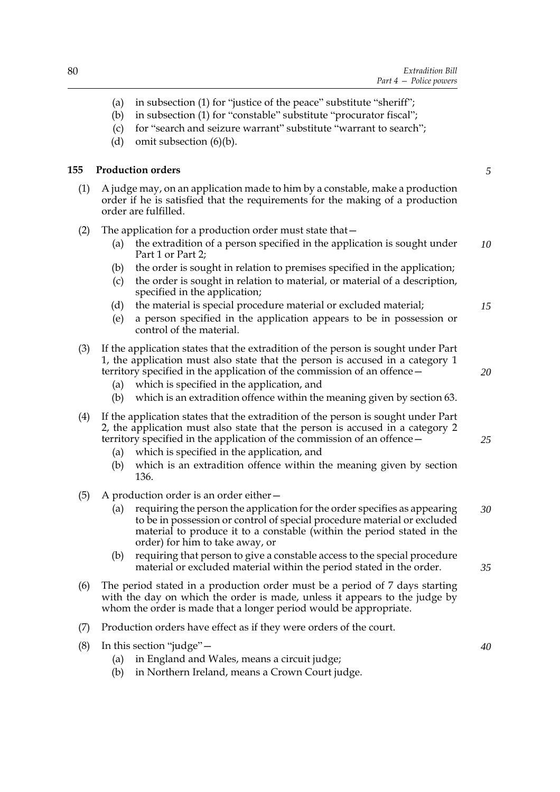*5*

*15*

*20*

*25*

- (a) in subsection (1) for "justice of the peace" substitute "sheriff";
- (b) in subsection (1) for "constable" substitute "procurator fiscal";
- (c) for "search and seizure warrant" substitute "warrant to search";
- (d) omit subsection (6)(b).

# **155 Production orders**

- (1) A judge may, on an application made to him by a constable, make a production order if he is satisfied that the requirements for the making of a production order are fulfilled.
- (2) The application for a production order must state that—
	- (a) the extradition of a person specified in the application is sought under Part 1 or Part 2; *10*
	- (b) the order is sought in relation to premises specified in the application;
	- (c) the order is sought in relation to material, or material of a description, specified in the application;
	- (d) the material is special procedure material or excluded material;
	- (e) a person specified in the application appears to be in possession or control of the material.
- (3) If the application states that the extradition of the person is sought under Part 1, the application must also state that the person is accused in a category 1 territory specified in the application of the commission of an offence—
	- (a) which is specified in the application, and
	- (b) which is an extradition offence within the meaning given by section 63.
- (4) If the application states that the extradition of the person is sought under Part 2, the application must also state that the person is accused in a category 2 territory specified in the application of the commission of an offence—
	- (a) which is specified in the application, and
	- (b) which is an extradition offence within the meaning given by section 136.
- (5) A production order is an order either—
	- (a) requiring the person the application for the order specifies as appearing to be in possession or control of special procedure material or excluded material to produce it to a constable (within the period stated in the order) for him to take away, or *30*
	- (b) requiring that person to give a constable access to the special procedure material or excluded material within the period stated in the order.
- (6) The period stated in a production order must be a period of 7 days starting with the day on which the order is made, unless it appears to the judge by whom the order is made that a longer period would be appropriate.
- (7) Production orders have effect as if they were orders of the court.
- (8) In this section "judge"—
	- (a) in England and Wales, means a circuit judge;
	- (b) in Northern Ireland, means a Crown Court judge.

*40*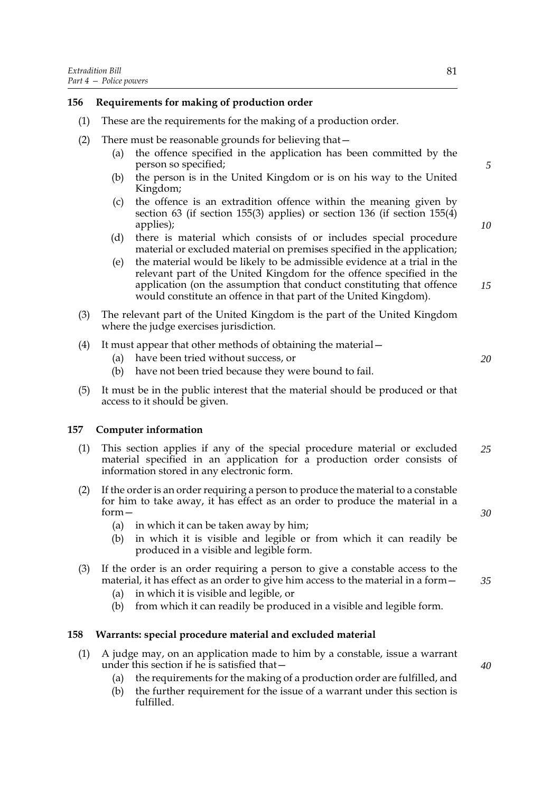# **156 Requirements for making of production order**

- (1) These are the requirements for the making of a production order.
- (2) There must be reasonable grounds for believing that—
	- (a) the offence specified in the application has been committed by the person so specified;
	- (b) the person is in the United Kingdom or is on his way to the United Kingdom;
	- (c) the offence is an extradition offence within the meaning given by section 63 (if section 155(3) applies) or section 136 (if section 155(4) applies);
	- (d) there is material which consists of or includes special procedure material or excluded material on premises specified in the application;
	- (e) the material would be likely to be admissible evidence at a trial in the relevant part of the United Kingdom for the offence specified in the application (on the assumption that conduct constituting that offence would constitute an offence in that part of the United Kingdom). *15*
- (3) The relevant part of the United Kingdom is the part of the United Kingdom where the judge exercises jurisdiction.
- (4) It must appear that other methods of obtaining the material—
	- (a) have been tried without success, or
	- (b) have not been tried because they were bound to fail.
- (5) It must be in the public interest that the material should be produced or that access to it should be given.

## **157 Computer information**

- (1) This section applies if any of the special procedure material or excluded material specified in an application for a production order consists of information stored in any electronic form. *25*
- (2) If the order is an order requiring a person to produce the material to a constable for him to take away, it has effect as an order to produce the material in a form—
	- (a) in which it can be taken away by him;
	- (b) in which it is visible and legible or from which it can readily be produced in a visible and legible form.
- (3) If the order is an order requiring a person to give a constable access to the material, it has effect as an order to give him access to the material in a form—
	- (a) in which it is visible and legible, or
	- (b) from which it can readily be produced in a visible and legible form.

#### **158 Warrants: special procedure material and excluded material**

- (1) A judge may, on an application made to him by a constable, issue a warrant under this section if he is satisfied that—
	- (a) the requirements for the making of a production order are fulfilled, and
	- (b) the further requirement for the issue of a warrant under this section is fulfilled.

*40*

*30*

*10*

*5*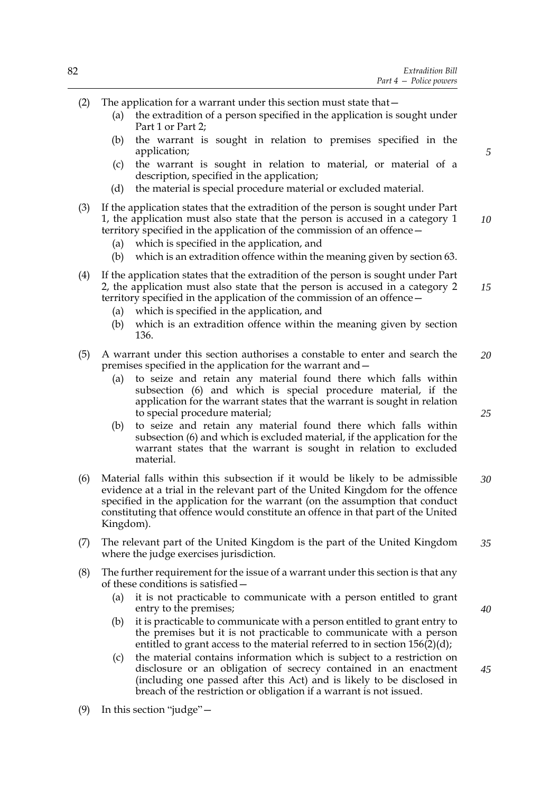- (2) The application for a warrant under this section must state that—
	- (a) the extradition of a person specified in the application is sought under Part 1 or Part 2;
	- (b) the warrant is sought in relation to premises specified in the application;
	- (c) the warrant is sought in relation to material, or material of a description, specified in the application;
	- (d) the material is special procedure material or excluded material.
- (3) If the application states that the extradition of the person is sought under Part 1, the application must also state that the person is accused in a category 1 territory specified in the application of the commission of an offence—
	- (a) which is specified in the application, and
	- (b) which is an extradition offence within the meaning given by section 63.
- (4) If the application states that the extradition of the person is sought under Part 2, the application must also state that the person is accused in a category 2 territory specified in the application of the commission of an offence— *15*
	- (a) which is specified in the application, and
	- (b) which is an extradition offence within the meaning given by section 136.
- (5) A warrant under this section authorises a constable to enter and search the premises specified in the application for the warrant and— *20*
	- (a) to seize and retain any material found there which falls within subsection (6) and which is special procedure material, if the application for the warrant states that the warrant is sought in relation to special procedure material;
	- (b) to seize and retain any material found there which falls within subsection (6) and which is excluded material, if the application for the warrant states that the warrant is sought in relation to excluded material.
- (6) Material falls within this subsection if it would be likely to be admissible evidence at a trial in the relevant part of the United Kingdom for the offence specified in the application for the warrant (on the assumption that conduct constituting that offence would constitute an offence in that part of the United Kingdom). *30*
- (7) The relevant part of the United Kingdom is the part of the United Kingdom where the judge exercises jurisdiction. *35*
- (8) The further requirement for the issue of a warrant under this section is that any of these conditions is satisfied—
	- (a) it is not practicable to communicate with a person entitled to grant entry to the premises;
	- (b) it is practicable to communicate with a person entitled to grant entry to the premises but it is not practicable to communicate with a person entitled to grant access to the material referred to in section 156(2)(d);
	- (c) the material contains information which is subject to a restriction on disclosure or an obligation of secrecy contained in an enactment (including one passed after this Act) and is likely to be disclosed in breach of the restriction or obligation if a warrant is not issued.
- (9) In this section "judge"—

*25*

*5*

*10*

*40*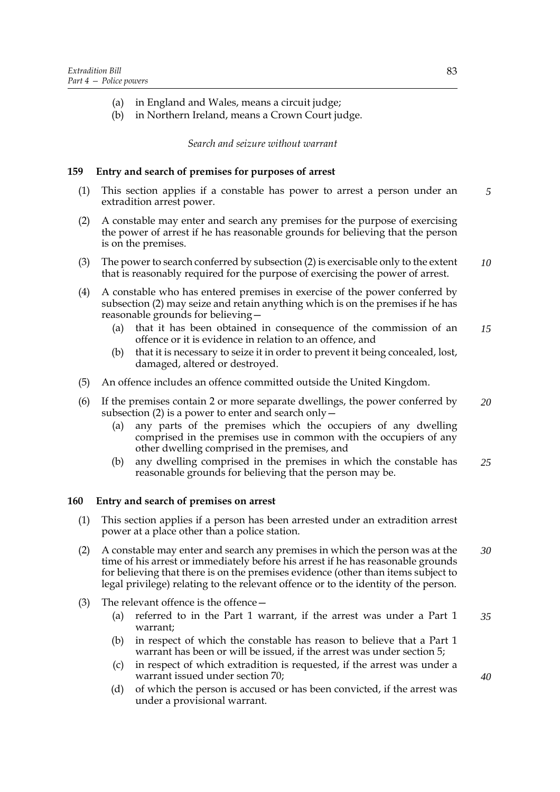- (a) in England and Wales, means a circuit judge;
- (b) in Northern Ireland, means a Crown Court judge.

*Search and seizure without warrant*

## **159 Entry and search of premises for purposes of arrest**

- (1) This section applies if a constable has power to arrest a person under an extradition arrest power. *5*
- (2) A constable may enter and search any premises for the purpose of exercising the power of arrest if he has reasonable grounds for believing that the person is on the premises.
- (3) The power to search conferred by subsection (2) is exercisable only to the extent that is reasonably required for the purpose of exercising the power of arrest. *10*
- (4) A constable who has entered premises in exercise of the power conferred by subsection (2) may seize and retain anything which is on the premises if he has reasonable grounds for believing—
	- (a) that it has been obtained in consequence of the commission of an offence or it is evidence in relation to an offence, and *15*
	- (b) that it is necessary to seize it in order to prevent it being concealed, lost, damaged, altered or destroyed.
- (5) An offence includes an offence committed outside the United Kingdom.
- (6) If the premises contain 2 or more separate dwellings, the power conferred by subsection (2) is a power to enter and search only— *20*
	- (a) any parts of the premises which the occupiers of any dwelling comprised in the premises use in common with the occupiers of any other dwelling comprised in the premises, and
	- (b) any dwelling comprised in the premises in which the constable has reasonable grounds for believing that the person may be. *25*

## **160 Entry and search of premises on arrest**

- (1) This section applies if a person has been arrested under an extradition arrest power at a place other than a police station.
- (2) A constable may enter and search any premises in which the person was at the time of his arrest or immediately before his arrest if he has reasonable grounds for believing that there is on the premises evidence (other than items subject to legal privilege) relating to the relevant offence or to the identity of the person. *30*
- (3) The relevant offence is the offence  $-$ 
	- (a) referred to in the Part 1 warrant, if the arrest was under a Part 1 warrant; *35*
	- (b) in respect of which the constable has reason to believe that a Part 1 warrant has been or will be issued, if the arrest was under section 5;
	- (c) in respect of which extradition is requested, if the arrest was under a warrant issued under section 70;
	- (d) of which the person is accused or has been convicted, if the arrest was under a provisional warrant.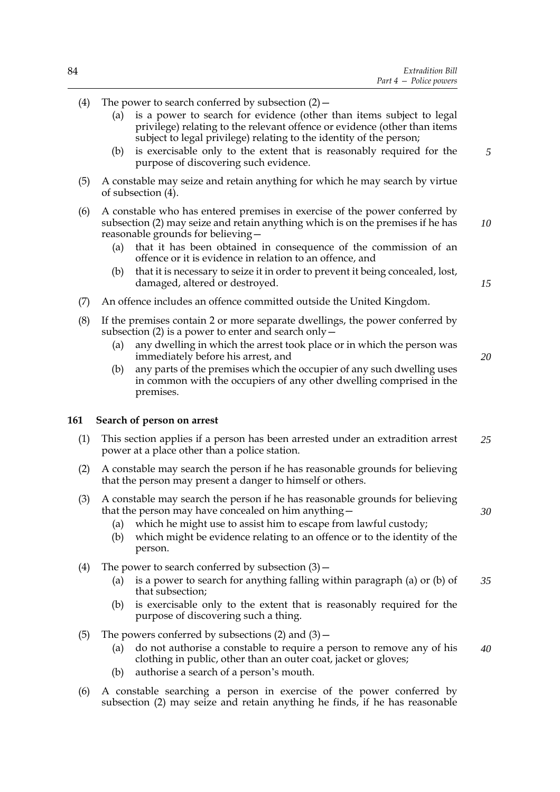- (4) The power to search conferred by subsection  $(2)$ 
	- (a) is a power to search for evidence (other than items subject to legal privilege) relating to the relevant offence or evidence (other than items subject to legal privilege) relating to the identity of the person;
	- (b) is exercisable only to the extent that is reasonably required for the purpose of discovering such evidence.
- (5) A constable may seize and retain anything for which he may search by virtue of subsection (4).
- (6) A constable who has entered premises in exercise of the power conferred by subsection (2) may seize and retain anything which is on the premises if he has reasonable grounds for believing— *10*
	- (a) that it has been obtained in consequence of the commission of an offence or it is evidence in relation to an offence, and
	- (b) that it is necessary to seize it in order to prevent it being concealed, lost, damaged, altered or destroyed.
- (7) An offence includes an offence committed outside the United Kingdom.
- (8) If the premises contain 2 or more separate dwellings, the power conferred by subsection (2) is a power to enter and search only—
	- (a) any dwelling in which the arrest took place or in which the person was immediately before his arrest, and
	- (b) any parts of the premises which the occupier of any such dwelling uses in common with the occupiers of any other dwelling comprised in the premises.

#### **161 Search of person on arrest**

- (1) This section applies if a person has been arrested under an extradition arrest power at a place other than a police station. *25*
- (2) A constable may search the person if he has reasonable grounds for believing that the person may present a danger to himself or others.
- (3) A constable may search the person if he has reasonable grounds for believing that the person may have concealed on him anything—
	- (a) which he might use to assist him to escape from lawful custody;
	- (b) which might be evidence relating to an offence or to the identity of the person.
- (4) The power to search conferred by subsection  $(3)$ 
	- (a) is a power to search for anything falling within paragraph (a) or (b) of that subsection; *35*
	- (b) is exercisable only to the extent that is reasonably required for the purpose of discovering such a thing.
- (5) The powers conferred by subsections  $(2)$  and  $(3)$  -
	- (a) do not authorise a constable to require a person to remove any of his clothing in public, other than an outer coat, jacket or gloves; *40*
	- (b) authorise a search of a person's mouth.
- (6) A constable searching a person in exercise of the power conferred by subsection (2) may seize and retain anything he finds, if he has reasonable

*20*

*30*

*15*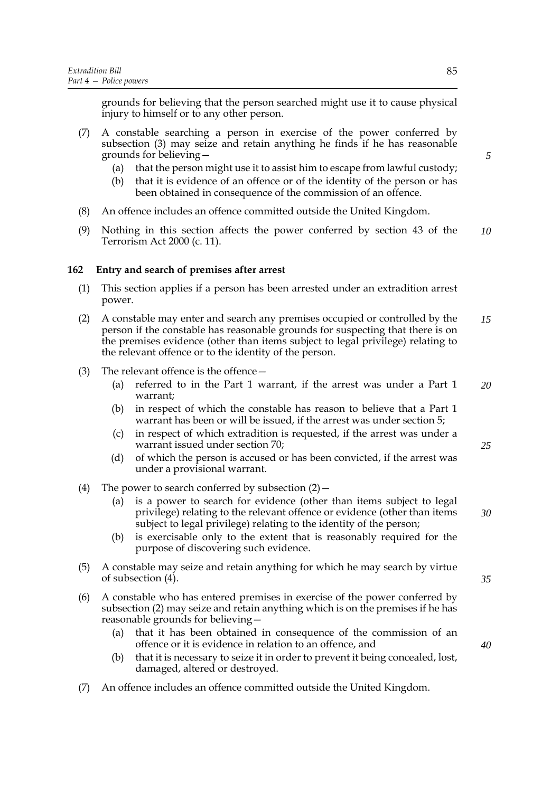grounds for believing that the person searched might use it to cause physical injury to himself or to any other person.

- (7) A constable searching a person in exercise of the power conferred by subsection (3) may seize and retain anything he finds if he has reasonable grounds for believing—
	- (a) that the person might use it to assist him to escape from lawful custody;
	- (b) that it is evidence of an offence or of the identity of the person or has been obtained in consequence of the commission of an offence.
- (8) An offence includes an offence committed outside the United Kingdom.
- (9) Nothing in this section affects the power conferred by section 43 of the Terrorism Act 2000 (c. 11). *10*

## **162 Entry and search of premises after arrest**

- (1) This section applies if a person has been arrested under an extradition arrest power.
- (2) A constable may enter and search any premises occupied or controlled by the person if the constable has reasonable grounds for suspecting that there is on the premises evidence (other than items subject to legal privilege) relating to the relevant offence or to the identity of the person. *15*
- (3) The relevant offence is the offence—
	- (a) referred to in the Part 1 warrant, if the arrest was under a Part 1 warrant; *20*
	- (b) in respect of which the constable has reason to believe that a Part 1 warrant has been or will be issued, if the arrest was under section 5;
	- (c) in respect of which extradition is requested, if the arrest was under a warrant issued under section 70;
	- (d) of which the person is accused or has been convicted, if the arrest was under a provisional warrant.
- (4) The power to search conferred by subsection  $(2)$  -
	- (a) is a power to search for evidence (other than items subject to legal privilege) relating to the relevant offence or evidence (other than items subject to legal privilege) relating to the identity of the person;
	- (b) is exercisable only to the extent that is reasonably required for the purpose of discovering such evidence.
- (5) A constable may seize and retain anything for which he may search by virtue of subsection (4).
- (6) A constable who has entered premises in exercise of the power conferred by subsection (2) may seize and retain anything which is on the premises if he has reasonable grounds for believing—
	- (a) that it has been obtained in consequence of the commission of an offence or it is evidence in relation to an offence, and
	- (b) that it is necessary to seize it in order to prevent it being concealed, lost, damaged, altered or destroyed.
- (7) An offence includes an offence committed outside the United Kingdom.

*5*

*25*

*30*

*40*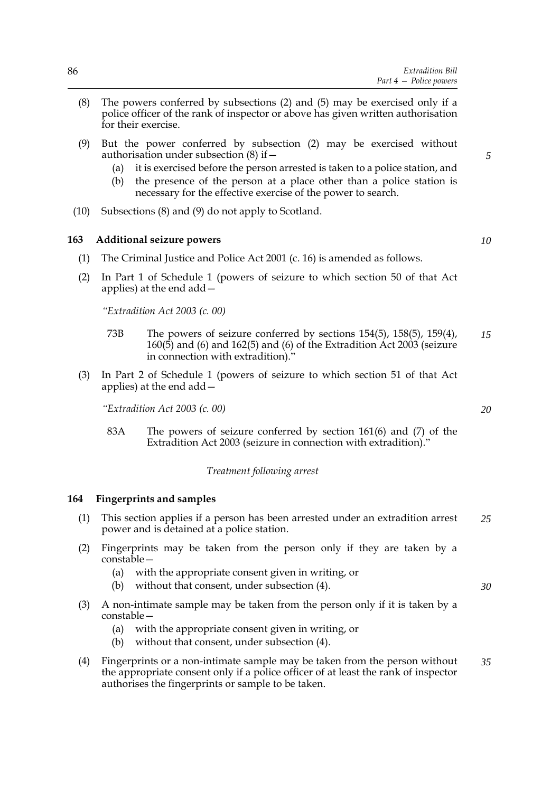- (8) The powers conferred by subsections (2) and (5) may be exercised only if a police officer of the rank of inspector or above has given written authorisation for their exercise.
- (9) But the power conferred by subsection (2) may be exercised without authorisation under subsection (8) if—
	- (a) it is exercised before the person arrested is taken to a police station, and
	- (b) the presence of the person at a place other than a police station is necessary for the effective exercise of the power to search.
- (10) Subsections (8) and (9) do not apply to Scotland.

# **163 Additional seizure powers**

- (1) The Criminal Justice and Police Act 2001 (c. 16) is amended as follows.
- (2) In Part 1 of Schedule 1 (powers of seizure to which section 50 of that Act applies) at the end add—

*"Extradition Act 2003 (c. 00)*

- 73B The powers of seizure conferred by sections 154(5), 158(5), 159(4), 160(5) and (6) and 162(5) and (6) of the Extradition Act 2003 (seizure in connection with extradition)." *15*
- (3) In Part 2 of Schedule 1 (powers of seizure to which section 51 of that Act applies) at the end add—

*"Extradition Act 2003 (c. 00)*

83A The powers of seizure conferred by section 161(6) and (7) of the Extradition Act 2003 (seizure in connection with extradition)."

#### *Treatment following arrest*

#### **164 Fingerprints and samples**

- (1) This section applies if a person has been arrested under an extradition arrest power and is detained at a police station. *25*
- (2) Fingerprints may be taken from the person only if they are taken by a constable—
	- (a) with the appropriate consent given in writing, or
	- (b) without that consent, under subsection (4).
- (3) A non-intimate sample may be taken from the person only if it is taken by a constable—
	- (a) with the appropriate consent given in writing, or
	- (b) without that consent, under subsection (4).
- (4) Fingerprints or a non-intimate sample may be taken from the person without the appropriate consent only if a police officer of at least the rank of inspector authorises the fingerprints or sample to be taken. *35*

*10*

*5*

*20*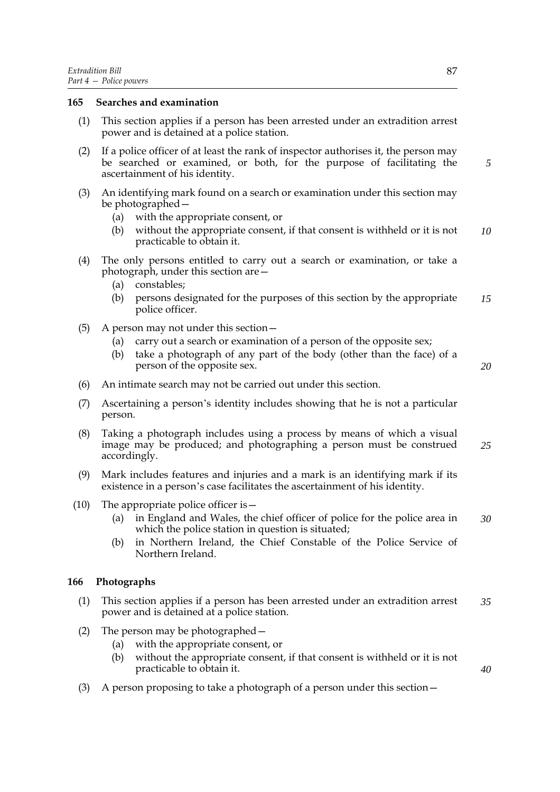## **165 Searches and examination**

- (1) This section applies if a person has been arrested under an extradition arrest power and is detained at a police station.
- (2) If a police officer of at least the rank of inspector authorises it, the person may be searched or examined, or both, for the purpose of facilitating the ascertainment of his identity.
- (3) An identifying mark found on a search or examination under this section may be photographed—
	- (a) with the appropriate consent, or
	- (b) without the appropriate consent, if that consent is withheld or it is not practicable to obtain it. *10*
- (4) The only persons entitled to carry out a search or examination, or take a photograph, under this section are—
	- (a) constables;
	- (b) persons designated for the purposes of this section by the appropriate police officer. *15*
- (5) A person may not under this section—
	- (a) carry out a search or examination of a person of the opposite sex;
	- (b) take a photograph of any part of the body (other than the face) of a person of the opposite sex.
- (6) An intimate search may not be carried out under this section.
- (7) Ascertaining a person's identity includes showing that he is not a particular person.
- (8) Taking a photograph includes using a process by means of which a visual image may be produced; and photographing a person must be construed accordingly. *25*
- (9) Mark includes features and injuries and a mark is an identifying mark if its existence in a person's case facilitates the ascertainment of his identity.
- (10) The appropriate police officer is—
	- (a) in England and Wales, the chief officer of police for the police area in which the police station in question is situated; *30*
	- (b) in Northern Ireland, the Chief Constable of the Police Service of Northern Ireland.

## **166 Photographs**

- (1) This section applies if a person has been arrested under an extradition arrest power and is detained at a police station. *35*
- (2) The person may be photographed—
	- (a) with the appropriate consent, or
	- (b) without the appropriate consent, if that consent is withheld or it is not practicable to obtain it.
- (3) A person proposing to take a photograph of a person under this section—

*5*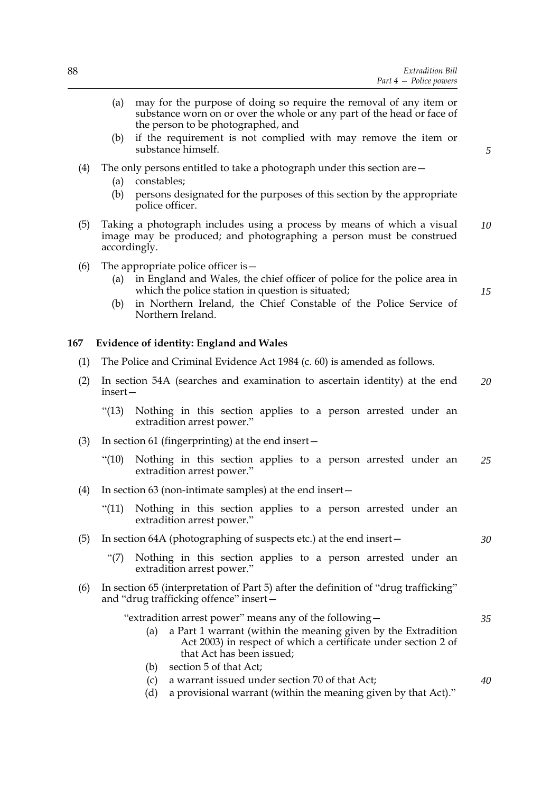- (a) may for the purpose of doing so require the removal of any item or substance worn on or over the whole or any part of the head or face of the person to be photographed, and (b) if the requirement is not complied with may remove the item or substance himself. (4) The only persons entitled to take a photograph under this section are—
	- (a) constables;
	- (b) persons designated for the purposes of this section by the appropriate police officer.
- (5) Taking a photograph includes using a process by means of which a visual image may be produced; and photographing a person must be construed accordingly. *10*
- (6) The appropriate police officer is  $-$ 
	- (a) in England and Wales, the chief officer of police for the police area in which the police station in question is situated;
	- (b) in Northern Ireland, the Chief Constable of the Police Service of Northern Ireland.

# **167 Evidence of identity: England and Wales**

- (1) The Police and Criminal Evidence Act 1984 (c. 60) is amended as follows.
- (2) In section 54A (searches and examination to ascertain identity) at the end insert— *20*
	- "(13) Nothing in this section applies to a person arrested under an extradition arrest power."
- (3) In section 61 (fingerprinting) at the end insert—
	- "(10) Nothing in this section applies to a person arrested under an extradition arrest power." *25*
- (4) In section 63 (non-intimate samples) at the end insert—
	- "(11) Nothing in this section applies to a person arrested under an extradition arrest power."
- (5) In section 64A (photographing of suspects etc.) at the end insert—
	- "(7) Nothing in this section applies to a person arrested under an extradition arrest power."
- (6) In section 65 (interpretation of Part 5) after the definition of "drug trafficking" and "drug trafficking offence" insert—
	- "extradition arrest power" means any of the following— *35*
		- (a) a Part 1 warrant (within the meaning given by the Extradition Act 2003) in respect of which a certificate under section 2 of that Act has been issued;
		- (b) section 5 of that Act;
		- (c) a warrant issued under section 70 of that Act;
		- (d) a provisional warrant (within the meaning given by that Act)."

*30*

*40*

*5*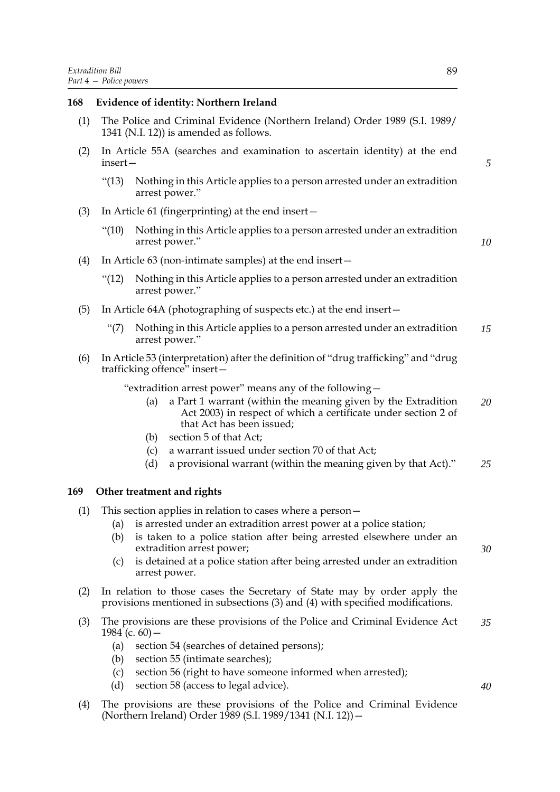#### **168 Evidence of identity: Northern Ireland**

- (1) The Police and Criminal Evidence (Northern Ireland) Order 1989 (S.I. 1989/ 1341 (N.I. 12)) is amended as follows.
- (2) In Article 55A (searches and examination to ascertain identity) at the end insert—
	- "(13) Nothing in this Article applies to a person arrested under an extradition arrest power."
- (3) In Article 61 (fingerprinting) at the end insert—
	- "(10) Nothing in this Article applies to a person arrested under an extradition arrest power."

*10*

*5*

- (4) In Article 63 (non-intimate samples) at the end insert—
	- "(12) Nothing in this Article applies to a person arrested under an extradition arrest power."
- (5) In Article 64A (photographing of suspects etc.) at the end insert—
	- "(7) Nothing in this Article applies to a person arrested under an extradition arrest power." *15*
- (6) In Article 53 (interpretation) after the definition of "drug trafficking" and "drug trafficking offence" insert—

"extradition arrest power" means any of the following—

- (a) a Part 1 warrant (within the meaning given by the Extradition Act 2003) in respect of which a certificate under section 2 of that Act has been issued; *20*
- (b) section 5 of that Act;
- (c) a warrant issued under section 70 of that Act;
- (d) a provisional warrant (within the meaning given by that Act)." *25*

#### **169 Other treatment and rights**

- (1) This section applies in relation to cases where a person—
	- (a) is arrested under an extradition arrest power at a police station;
	- (b) is taken to a police station after being arrested elsewhere under an extradition arrest power;
	- (c) is detained at a police station after being arrested under an extradition arrest power.
- (2) In relation to those cases the Secretary of State may by order apply the provisions mentioned in subsections (3) and (4) with specified modifications.
- (3) The provisions are these provisions of the Police and Criminal Evidence Act 1984 (c.  $60$ ) — *35*
	- (a) section 54 (searches of detained persons);
	- (b) section 55 (intimate searches);
	- (c) section 56 (right to have someone informed when arrested);
	- (d) section 58 (access to legal advice).
- (4) The provisions are these provisions of the Police and Criminal Evidence (Northern Ireland) Order 1989 (S.I. 1989/1341 (N.I. 12))—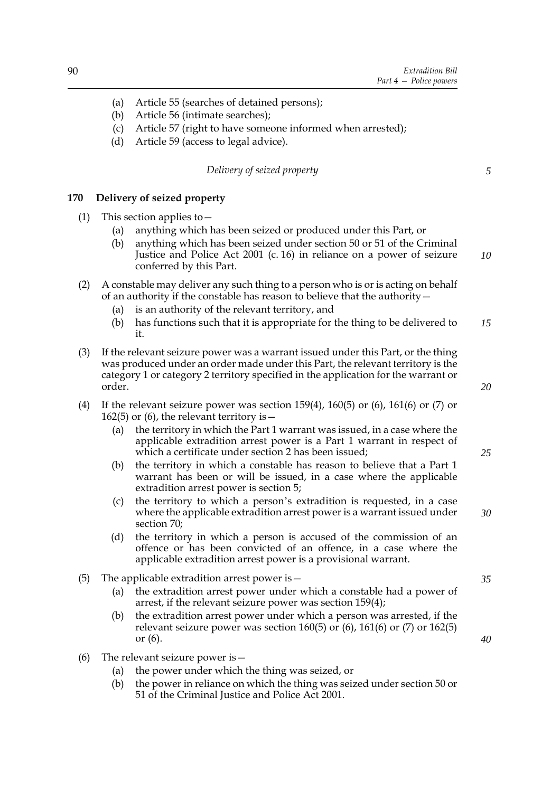- (a) Article 55 (searches of detained persons);
- (b) Article 56 (intimate searches);
- (c) Article 57 (right to have someone informed when arrested);
- (d) Article 59 (access to legal advice).

*Delivery of seized property*

# **170 Delivery of seized property**

(1) This section applies to—

- (a) anything which has been seized or produced under this Part, or
- (b) anything which has been seized under section 50 or 51 of the Criminal Justice and Police Act 2001 (c. 16) in reliance on a power of seizure conferred by this Part. *10*
- (2) A constable may deliver any such thing to a person who is or is acting on behalf of an authority if the constable has reason to believe that the authority—
	- (a) is an authority of the relevant territory, and
	- (b) has functions such that it is appropriate for the thing to be delivered to it. *15*
- (3) If the relevant seizure power was a warrant issued under this Part, or the thing was produced under an order made under this Part, the relevant territory is the category 1 or category 2 territory specified in the application for the warrant or order.
- (4) If the relevant seizure power was section 159(4), 160(5) or (6), 161(6) or (7) or 162(5) or (6), the relevant territory is  $-$ 
	- (a) the territory in which the Part 1 warrant was issued, in a case where the applicable extradition arrest power is a Part 1 warrant in respect of which a certificate under section 2 has been issued;
	- (b) the territory in which a constable has reason to believe that a Part 1 warrant has been or will be issued, in a case where the applicable extradition arrest power is section 5;
	- (c) the territory to which a person's extradition is requested, in a case where the applicable extradition arrest power is a warrant issued under section 70;
	- (d) the territory in which a person is accused of the commission of an offence or has been convicted of an offence, in a case where the applicable extradition arrest power is a provisional warrant.
- (5) The applicable extradition arrest power is—
	- (a) the extradition arrest power under which a constable had a power of arrest, if the relevant seizure power was section 159(4);
	- (b) the extradition arrest power under which a person was arrested, if the relevant seizure power was section  $160(5)$  or  $(6)$ ,  $161(6)$  or  $(7)$  or  $162(5)$ or (6).
- (6) The relevant seizure power is—
	- (a) the power under which the thing was seized, or
	- (b) the power in reliance on which the thing was seized under section 50 or 51 of the Criminal Justice and Police Act 2001.

90

*30*

*20*

*25*

*35*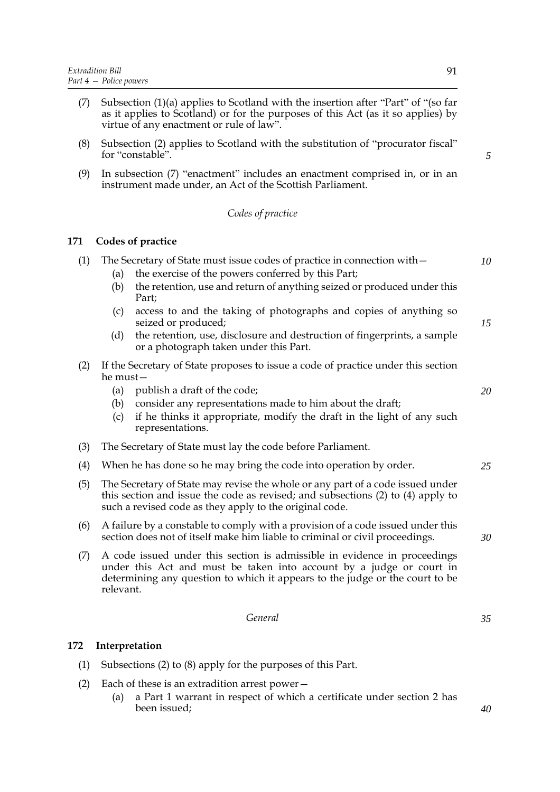- (7) Subsection (1)(a) applies to Scotland with the insertion after "Part" of "(so far as it applies to Scotland) or for the purposes of this Act (as it so applies) by virtue of any enactment or rule of law".
- (8) Subsection (2) applies to Scotland with the substitution of "procurator fiscal" for "constable".
- (9) In subsection (7) "enactment" includes an enactment comprised in, or in an instrument made under, an Act of the Scottish Parliament.

# *Codes of practice*

## **171 Codes of practice**

| (1) | The Secretary of State must issue codes of practice in connection with -<br>the exercise of the powers conferred by this Part;<br>(a)<br>the retention, use and return of anything seized or produced under this<br>(b)<br>Part;<br>access to and the taking of photographs and copies of anything so<br>(c)<br>seized or produced;<br>the retention, use, disclosure and destruction of fingerprints, a sample<br>(d) | 10<br>15 |
|-----|------------------------------------------------------------------------------------------------------------------------------------------------------------------------------------------------------------------------------------------------------------------------------------------------------------------------------------------------------------------------------------------------------------------------|----------|
|     | or a photograph taken under this Part.                                                                                                                                                                                                                                                                                                                                                                                 |          |
| (2) | If the Secretary of State proposes to issue a code of practice under this section                                                                                                                                                                                                                                                                                                                                      |          |
|     | he must-<br>publish a draft of the code;<br>(a)<br>consider any representations made to him about the draft;<br>(b)<br>if he thinks it appropriate, modify the draft in the light of any such<br>(c)<br>representations.                                                                                                                                                                                               | 20       |
| (3) | The Secretary of State must lay the code before Parliament.                                                                                                                                                                                                                                                                                                                                                            |          |
| (4) | When he has done so he may bring the code into operation by order.                                                                                                                                                                                                                                                                                                                                                     | 25       |
| (5) | The Secretary of State may revise the whole or any part of a code issued under<br>this section and issue the code as revised; and subsections (2) to (4) apply to<br>such a revised code as they apply to the original code.                                                                                                                                                                                           |          |
| (6) | A failure by a constable to comply with a provision of a code issued under this<br>section does not of itself make him liable to criminal or civil proceedings.                                                                                                                                                                                                                                                        | 30       |
| (7) | A code issued under this section is admissible in evidence in proceedings                                                                                                                                                                                                                                                                                                                                              |          |

(7) A code issued under this section is admissible in evidence in proceedings under this Act and must be taken into account by a judge or court in determining any question to which it appears to the judge or the court to be relevant.

*General*

# **172 Interpretation**

- (1) Subsections (2) to (8) apply for the purposes of this Part.
- (2) Each of these is an extradition arrest power—
	- (a) a Part 1 warrant in respect of which a certificate under section 2 has been issued;

*5*

*35*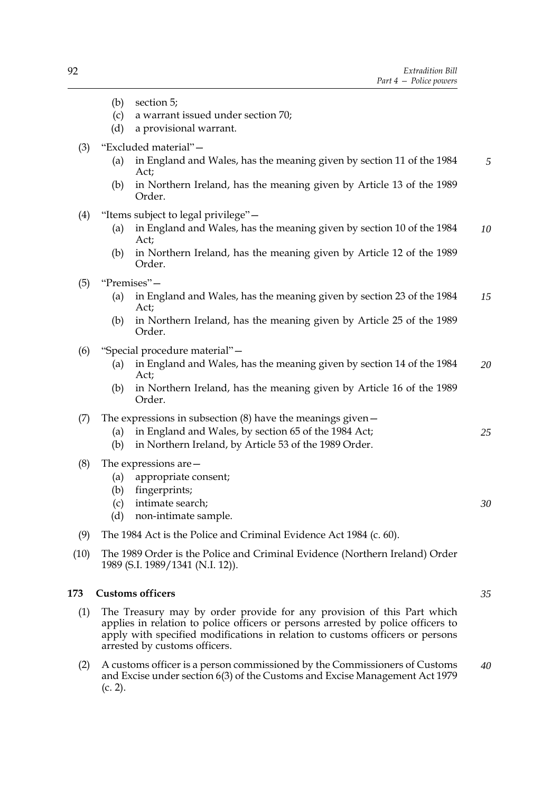- (b) section 5;
- (c) a warrant issued under section 70;
- (d) a provisional warrant.
- (3) "Excluded material"—
	- (a) in England and Wales, has the meaning given by section 11 of the 1984 Act; *5*
	- (b) in Northern Ireland, has the meaning given by Article 13 of the 1989 Order.
- (4) "Items subject to legal privilege"—
	- (a) in England and Wales, has the meaning given by section 10 of the 1984 Act; *10*
	- (b) in Northern Ireland, has the meaning given by Article 12 of the 1989 Order.
- (5) "Premises"—
	- (a) in England and Wales, has the meaning given by section 23 of the 1984 Act; *15*
	- (b) in Northern Ireland, has the meaning given by Article 25 of the 1989 Order.
- (6) "Special procedure material"—
	- (a) in England and Wales, has the meaning given by section 14 of the 1984 Act; *20*
	- (b) in Northern Ireland, has the meaning given by Article 16 of the 1989 Order.
- (7) The expressions in subsection (8) have the meanings given—
	- (a) in England and Wales, by section 65 of the 1984 Act;
	- (b) in Northern Ireland, by Article 53 of the 1989 Order.

#### (8) The expressions are—

- (a) appropriate consent;
- (b) fingerprints;
- (c) intimate search;
- (d) non-intimate sample.
- (9) The 1984 Act is the Police and Criminal Evidence Act 1984 (c. 60).
- (10) The 1989 Order is the Police and Criminal Evidence (Northern Ireland) Order 1989 (S.I. 1989/1341 (N.I. 12)).

#### **173 Customs officers**

- (1) The Treasury may by order provide for any provision of this Part which applies in relation to police officers or persons arrested by police officers to apply with specified modifications in relation to customs officers or persons arrested by customs officers.
- (2) A customs officer is a person commissioned by the Commissioners of Customs and Excise under section 6(3) of the Customs and Excise Management Act 1979 (c. 2). *40*

*35*

*25*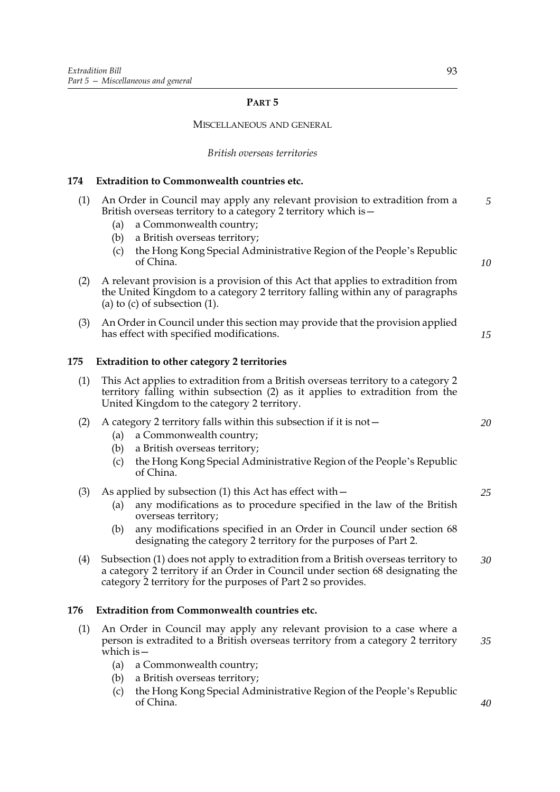# **PART 5**

### MISCELLANEOUS AND GENERAL

#### *British overseas territories*

# **174 Extradition to Commonwealth countries etc.**

- (1) An Order in Council may apply any relevant provision to extradition from a British overseas territory to a category 2 territory which is — (a) a Commonwealth country; *5*
	- (b) a British overseas territory;
	- (c) the Hong Kong Special Administrative Region of the People's Republic of China.
- (2) A relevant provision is a provision of this Act that applies to extradition from the United Kingdom to a category 2 territory falling within any of paragraphs (a) to  $(c)$  of subsection  $(1)$ .
- (3) An Order in Council under this section may provide that the provision applied has effect with specified modifications.

#### **175 Extradition to other category 2 territories**

- (1) This Act applies to extradition from a British overseas territory to a category 2 territory falling within subsection (2) as it applies to extradition from the United Kingdom to the category 2 territory.
- (2) A category 2 territory falls within this subsection if it is not—
	- (a) a Commonwealth country;
	- (b) a British overseas territory;
	- (c) the Hong Kong Special Administrative Region of the People's Republic of China.
- (3) As applied by subsection (1) this Act has effect with—
	- (a) any modifications as to procedure specified in the law of the British overseas territory;
	- (b) any modifications specified in an Order in Council under section 68 designating the category 2 territory for the purposes of Part 2.
- (4) Subsection (1) does not apply to extradition from a British overseas territory to a category 2 territory if an Order in Council under section 68 designating the category 2 territory for the purposes of Part 2 so provides. *30*

#### **176 Extradition from Commonwealth countries etc.**

- (1) An Order in Council may apply any relevant provision to a case where a person is extradited to a British overseas territory from a category 2 territory which is— *35*
	- (a) a Commonwealth country;
	- (b) a British overseas territory;
	- (c) the Hong Kong Special Administrative Region of the People's Republic of China.

*10*

*15*

*20*

*25*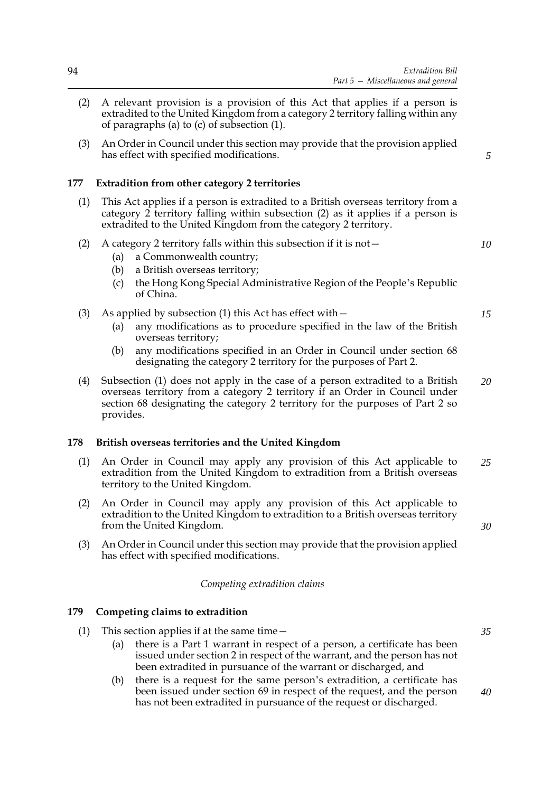- (2) A relevant provision is a provision of this Act that applies if a person is extradited to the United Kingdom from a category 2 territory falling within any of paragraphs (a) to (c) of subsection (1).
- (3) An Order in Council under this section may provide that the provision applied has effect with specified modifications.

#### **177 Extradition from other category 2 territories**

- (1) This Act applies if a person is extradited to a British overseas territory from a category 2 territory falling within subsection (2) as it applies if a person is extradited to the United Kingdom from the category 2 territory.
- (2) A category 2 territory falls within this subsection if it is not—
	- (a) a Commonwealth country;
	- (b) a British overseas territory;
	- (c) the Hong Kong Special Administrative Region of the People's Republic of China.
- (3) As applied by subsection (1) this Act has effect with—
	- (a) any modifications as to procedure specified in the law of the British overseas territory;
	- (b) any modifications specified in an Order in Council under section 68 designating the category 2 territory for the purposes of Part 2.
- (4) Subsection (1) does not apply in the case of a person extradited to a British overseas territory from a category 2 territory if an Order in Council under section 68 designating the category 2 territory for the purposes of Part 2 so provides. *20*

## **178 British overseas territories and the United Kingdom**

- (1) An Order in Council may apply any provision of this Act applicable to extradition from the United Kingdom to extradition from a British overseas territory to the United Kingdom. *25*
- (2) An Order in Council may apply any provision of this Act applicable to extradition to the United Kingdom to extradition to a British overseas territory from the United Kingdom.
- (3) An Order in Council under this section may provide that the provision applied has effect with specified modifications.

#### *Competing extradition claims*

#### **179 Competing claims to extradition**

- (1) This section applies if at the same time—
	- (a) there is a Part 1 warrant in respect of a person, a certificate has been issued under section 2 in respect of the warrant, and the person has not been extradited in pursuance of the warrant or discharged, and
	- (b) there is a request for the same person's extradition, a certificate has been issued under section 69 in respect of the request, and the person has not been extradited in pursuance of the request or discharged.

*5*

*15*

*10*

*30*

*35*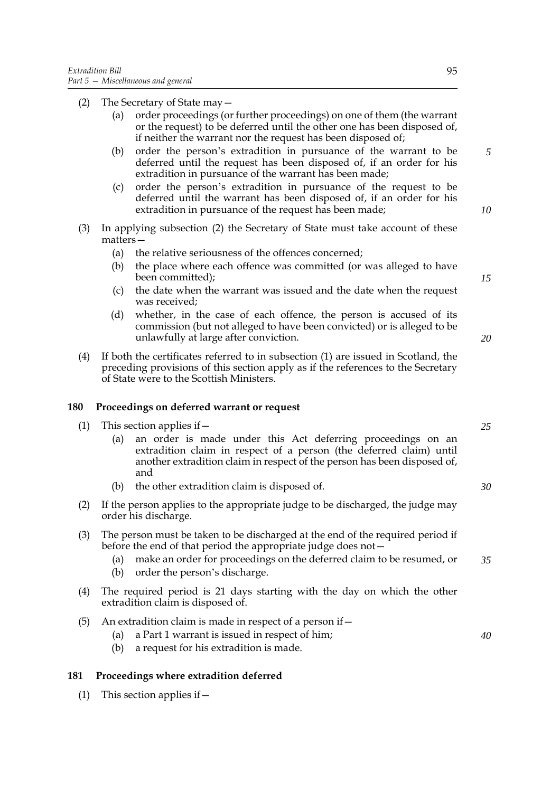- (2) The Secretary of State may—
	- (a) order proceedings (or further proceedings) on one of them (the warrant or the request) to be deferred until the other one has been disposed of, if neither the warrant nor the request has been disposed of;
	- (b) order the person's extradition in pursuance of the warrant to be deferred until the request has been disposed of, if an order for his extradition in pursuance of the warrant has been made;
	- (c) order the person's extradition in pursuance of the request to be deferred until the warrant has been disposed of, if an order for his extradition in pursuance of the request has been made;
- (3) In applying subsection (2) the Secretary of State must take account of these matters—
	- (a) the relative seriousness of the offences concerned;
	- (b) the place where each offence was committed (or was alleged to have been committed);
	- (c) the date when the warrant was issued and the date when the request was received;
	- (d) whether, in the case of each offence, the person is accused of its commission (but not alleged to have been convicted) or is alleged to be unlawfully at large after conviction.
- (4) If both the certificates referred to in subsection (1) are issued in Scotland, the preceding provisions of this section apply as if the references to the Secretary of State were to the Scottish Ministers.

## **180 Proceedings on deferred warrant or request**

- (1) This section applies if  $-$ 
	- (a) an order is made under this Act deferring proceedings on an extradition claim in respect of a person (the deferred claim) until another extradition claim in respect of the person has been disposed of, and
	- (b) the other extradition claim is disposed of.
- (2) If the person applies to the appropriate judge to be discharged, the judge may order his discharge.
- (3) The person must be taken to be discharged at the end of the required period if before the end of that period the appropriate judge does not—
	- (a) make an order for proceedings on the deferred claim to be resumed, or *35*
	- (b) order the person's discharge.
- (4) The required period is 21 days starting with the day on which the other extradition claim is disposed of.
- (5) An extradition claim is made in respect of a person if  $-$ 
	- (a) a Part 1 warrant is issued in respect of him;
	- (b) a request for his extradition is made.

#### **181 Proceedings where extradition deferred**

(1) This section applies if—

*5*

*10*

*15*

*20*

*25*

*30*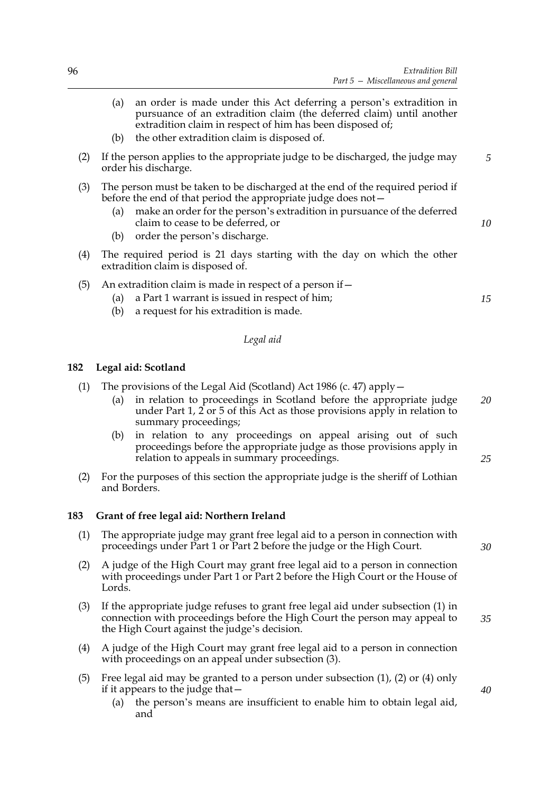- (a) an order is made under this Act deferring a person's extradition in pursuance of an extradition claim (the deferred claim) until another extradition claim in respect of him has been disposed of;
- (b) the other extradition claim is disposed of.
- (2) If the person applies to the appropriate judge to be discharged, the judge may order his discharge.
- (3) The person must be taken to be discharged at the end of the required period if before the end of that period the appropriate judge does not—
	- (a) make an order for the person's extradition in pursuance of the deferred claim to cease to be deferred, or
	- (b) order the person's discharge.
- (4) The required period is 21 days starting with the day on which the other extradition claim is disposed of.
- (5) An extradition claim is made in respect of a person if  $-$ 
	- (a) a Part 1 warrant is issued in respect of him;
	- (b) a request for his extradition is made.

# *Legal aid*

## **182 Legal aid: Scotland**

- (1) The provisions of the Legal Aid (Scotland) Act 1986 (c. 47) apply—
	- (a) in relation to proceedings in Scotland before the appropriate judge under Part 1, 2 or 5 of this Act as those provisions apply in relation to summary proceedings; *20*
	- (b) in relation to any proceedings on appeal arising out of such proceedings before the appropriate judge as those provisions apply in relation to appeals in summary proceedings.
- (2) For the purposes of this section the appropriate judge is the sheriff of Lothian and Borders.

## **183 Grant of free legal aid: Northern Ireland**

- (1) The appropriate judge may grant free legal aid to a person in connection with proceedings under Part 1 or Part 2 before the judge or the High Court.
- (2) A judge of the High Court may grant free legal aid to a person in connection with proceedings under Part 1 or Part 2 before the High Court or the House of Lords.
- (3) If the appropriate judge refuses to grant free legal aid under subsection (1) in connection with proceedings before the High Court the person may appeal to the High Court against the judge's decision. *35*
- (4) A judge of the High Court may grant free legal aid to a person in connection with proceedings on an appeal under subsection (3).
- (5) Free legal aid may be granted to a person under subsection (1), (2) or (4) only if it appears to the judge that—
	- (a) the person's means are insufficient to enable him to obtain legal aid, and

*30*

*25*

*5*

*10*

*15*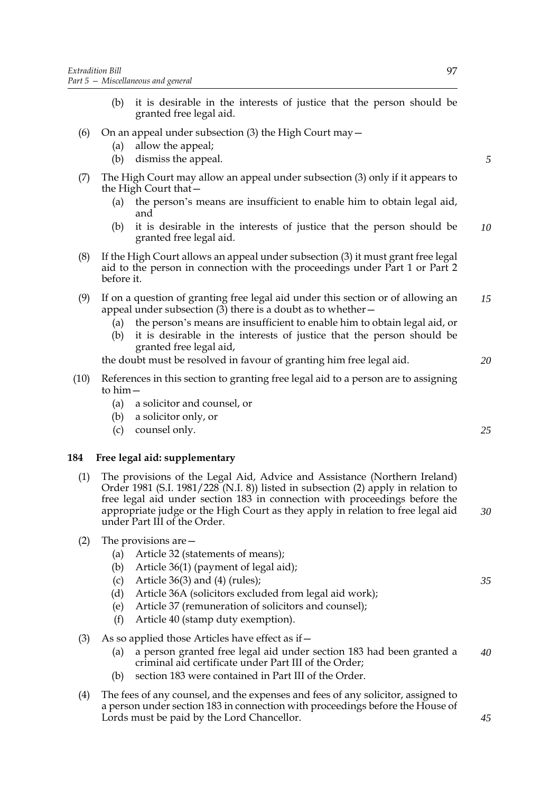- (b) it is desirable in the interests of justice that the person should be granted free legal aid.
- (6) On an appeal under subsection (3) the High Court may—
	- (a) allow the appeal;
	- (b) dismiss the appeal.
- (7) The High Court may allow an appeal under subsection (3) only if it appears to the High Court that—
	- (a) the person's means are insufficient to enable him to obtain legal aid, and
	- (b) it is desirable in the interests of justice that the person should be granted free legal aid. *10*
- (8) If the High Court allows an appeal under subsection (3) it must grant free legal aid to the person in connection with the proceedings under Part 1 or Part 2 before it.
- (9) If on a question of granting free legal aid under this section or of allowing an appeal under subsection  $(3)$  there is a doubt as to whether  $-$ *15*
	- (a) the person's means are insufficient to enable him to obtain legal aid, or
	- (b) it is desirable in the interests of justice that the person should be granted free legal aid,

the doubt must be resolved in favour of granting him free legal aid.

- (10) References in this section to granting free legal aid to a person are to assigning to him—
	- (a) a solicitor and counsel, or
	- (b) a solicitor only, or
	- (c) counsel only.

## **184 Free legal aid: supplementary**

- (1) The provisions of the Legal Aid, Advice and Assistance (Northern Ireland) Order 1981 (S.I. 1981/228 (N.I. 8)) listed in subsection (2) apply in relation to free legal aid under section 183 in connection with proceedings before the appropriate judge or the High Court as they apply in relation to free legal aid under Part III of the Order. *30*
- (2) The provisions are—
	- (a) Article 32 (statements of means);
	- (b) Article 36(1) (payment of legal aid);
	- (c) Article  $36(3)$  and  $(4)$  (rules);
	- (d) Article 36A (solicitors excluded from legal aid work);
	- (e) Article 37 (remuneration of solicitors and counsel);
	- (f) Article 40 (stamp duty exemption).
- (3) As so applied those Articles have effect as if  $-$ 
	- (a) a person granted free legal aid under section 183 had been granted a criminal aid certificate under Part III of the Order; *40*
	- (b) section 183 were contained in Part III of the Order.
- (4) The fees of any counsel, and the expenses and fees of any solicitor, assigned to a person under section 183 in connection with proceedings before the House of Lords must be paid by the Lord Chancellor.

*5*

*20*

*25*

- *35*
-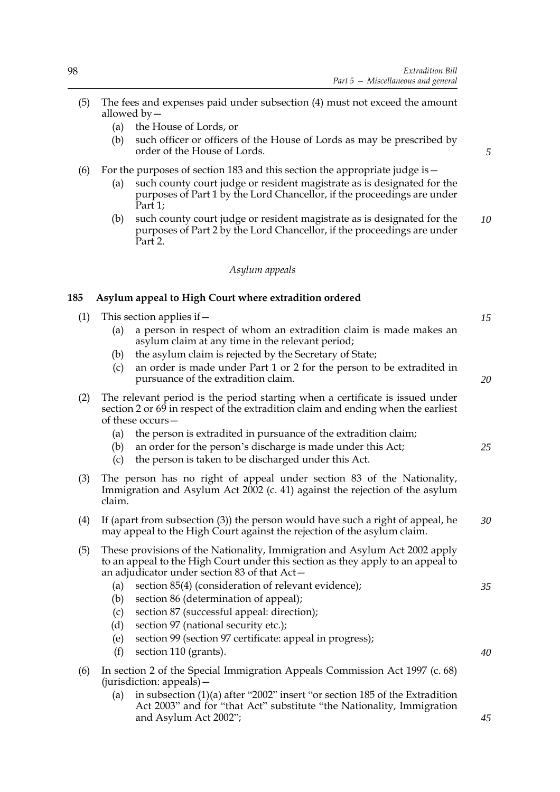*5*

- (5) The fees and expenses paid under subsection (4) must not exceed the amount allowed by—
	- (a) the House of Lords, or
	- (b) such officer or officers of the House of Lords as may be prescribed by order of the House of Lords.
- (6) For the purposes of section 183 and this section the appropriate judge is  $-$ 
	- (a) such county court judge or resident magistrate as is designated for the purposes of Part 1 by the Lord Chancellor, if the proceedings are under Part 1;
	- (b) such county court judge or resident magistrate as is designated for the purposes of Part 2 by the Lord Chancellor, if the proceedings are under Part<sub>2</sub>. *10*

#### *Asylum appeals*

#### **185 Asylum appeal to High Court where extradition ordered**

(1) This section applies if  $-$ (a) a person in respect of whom an extradition claim is made makes an asylum claim at any time in the relevant period; (b) the asylum claim is rejected by the Secretary of State; (c) an order is made under Part 1 or 2 for the person to be extradited in pursuance of the extradition claim. (2) The relevant period is the period starting when a certificate is issued under section 2 or 69 in respect of the extradition claim and ending when the earliest of these occurs— (a) the person is extradited in pursuance of the extradition claim; (b) an order for the person's discharge is made under this Act; (c) the person is taken to be discharged under this Act. (3) The person has no right of appeal under section 83 of the Nationality, Immigration and Asylum Act 2002 (c. 41) against the rejection of the asylum claim. (4) If (apart from subsection (3)) the person would have such a right of appeal, he may appeal to the High Court against the rejection of the asylum claim. (5) These provisions of the Nationality, Immigration and Asylum Act 2002 apply to an appeal to the High Court under this section as they apply to an appeal to an adjudicator under section 83 of that Act— (a) section 85(4) (consideration of relevant evidence); (b) section 86 (determination of appeal); (c) section 87 (successful appeal: direction); (d) section 97 (national security etc.); (e) section 99 (section 97 certificate: appeal in progress); (f) section 110 (grants). (6) In section 2 of the Special Immigration Appeals Commission Act 1997 (c. 68) (jurisdiction: appeals)— (a) in subsection (1)(a) after "2002" insert "or section 185 of the Extradition Act 2003" and for "that Act" substitute "the Nationality, Immigration and Asylum Act 2002"; *15 20 25 30 35 40 45*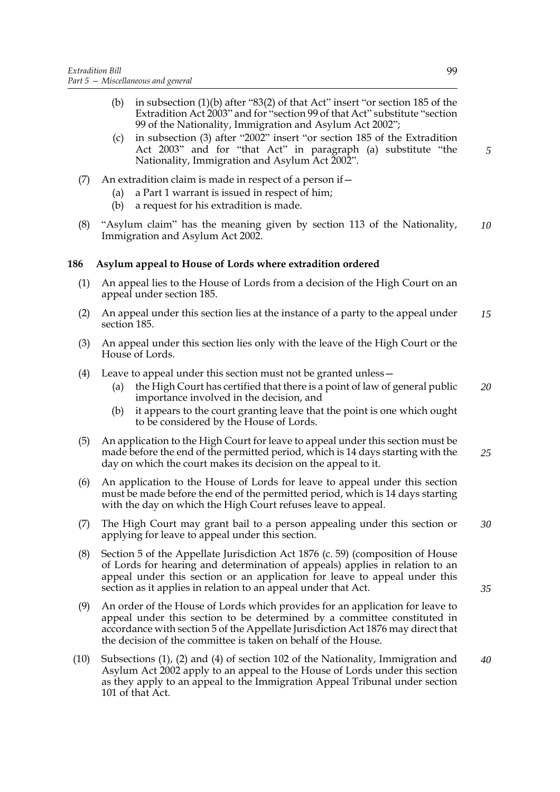- (b) in subsection (1)(b) after "83(2) of that Act" insert "or section 185 of the Extradition Act 2003" and for "section 99 of that Act" substitute "section 99 of the Nationality, Immigration and Asylum Act 2002";
- (c) in subsection (3) after "2002" insert "or section 185 of the Extradition Act 2003" and for "that Act" in paragraph (a) substitute "the Nationality, Immigration and Asylum Act 2002".
- (7) An extradition claim is made in respect of a person if  $-$ 
	- (a) a Part 1 warrant is issued in respect of him;
		- (b) a request for his extradition is made.
- (8) "Asylum claim" has the meaning given by section 113 of the Nationality, Immigration and Asylum Act 2002. *10*

## **186 Asylum appeal to House of Lords where extradition ordered**

- (1) An appeal lies to the House of Lords from a decision of the High Court on an appeal under section 185.
- (2) An appeal under this section lies at the instance of a party to the appeal under section 185. *15*
- (3) An appeal under this section lies only with the leave of the High Court or the House of Lords.
- (4) Leave to appeal under this section must not be granted unless—
	- (a) the High Court has certified that there is a point of law of general public importance involved in the decision, and *20*
	- (b) it appears to the court granting leave that the point is one which ought to be considered by the House of Lords.
- (5) An application to the High Court for leave to appeal under this section must be made before the end of the permitted period, which is 14 days starting with the day on which the court makes its decision on the appeal to it. *25*
- (6) An application to the House of Lords for leave to appeal under this section must be made before the end of the permitted period, which is 14 days starting with the day on which the High Court refuses leave to appeal.
- (7) The High Court may grant bail to a person appealing under this section or applying for leave to appeal under this section. *30*
- (8) Section 5 of the Appellate Jurisdiction Act 1876 (c. 59) (composition of House of Lords for hearing and determination of appeals) applies in relation to an appeal under this section or an application for leave to appeal under this section as it applies in relation to an appeal under that Act.
- (9) An order of the House of Lords which provides for an application for leave to appeal under this section to be determined by a committee constituted in accordance with section 5 of the Appellate Jurisdiction Act 1876 may direct that the decision of the committee is taken on behalf of the House.
- (10) Subsections (1), (2) and (4) of section 102 of the Nationality, Immigration and Asylum Act 2002 apply to an appeal to the House of Lords under this section as they apply to an appeal to the Immigration Appeal Tribunal under section 101 of that Act. *40*

*5*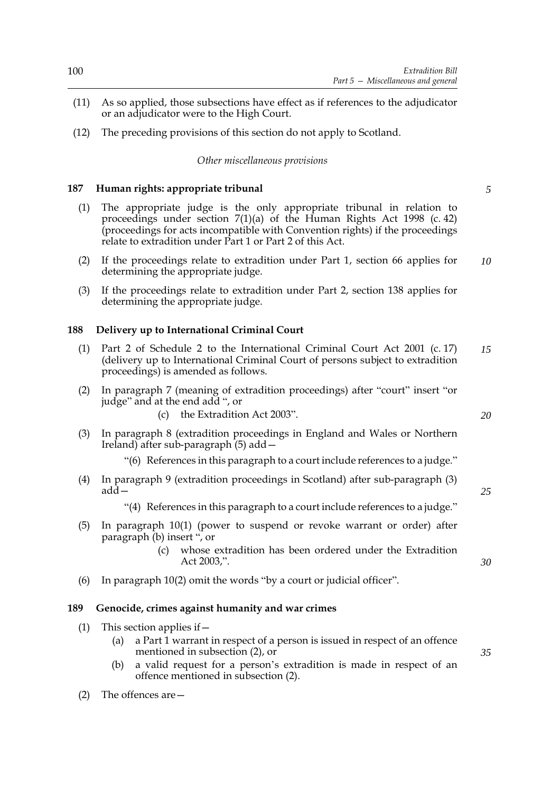- (11) As so applied, those subsections have effect as if references to the adjudicator or an adjudicator were to the High Court.
- (12) The preceding provisions of this section do not apply to Scotland.

## *Other miscellaneous provisions*

# **187 Human rights: appropriate tribunal**

- (1) The appropriate judge is the only appropriate tribunal in relation to proceedings under section 7(1)(a) of the Human Rights Act 1998 (c. 42) (proceedings for acts incompatible with Convention rights) if the proceedings relate to extradition under Part 1 or Part 2 of this Act.
- (2) If the proceedings relate to extradition under Part 1, section 66 applies for determining the appropriate judge. *10*
- (3) If the proceedings relate to extradition under Part 2, section 138 applies for determining the appropriate judge.

## **188 Delivery up to International Criminal Court**

- (1) Part 2 of Schedule 2 to the International Criminal Court Act 2001 (c. 17) (delivery up to International Criminal Court of persons subject to extradition proceedings) is amended as follows. *15*
- (2) In paragraph 7 (meaning of extradition proceedings) after "court" insert "or judge" and at the end add ", or
	- (c) the Extradition Act 2003".
- (3) In paragraph 8 (extradition proceedings in England and Wales or Northern Ireland) after sub-paragraph (5) add—
	- "(6) References in this paragraph to a court include references to a judge."
- (4) In paragraph 9 (extradition proceedings in Scotland) after sub-paragraph (3) add—

"(4) References in this paragraph to a court include references to a judge."

- (5) In paragraph 10(1) (power to suspend or revoke warrant or order) after paragraph (b) insert ", or
	- (c) whose extradition has been ordered under the Extradition Act 2003,".
- (6) In paragraph 10(2) omit the words "by a court or judicial officer".

# **189 Genocide, crimes against humanity and war crimes**

- (1) This section applies if  $-$ 
	- (a) a Part 1 warrant in respect of a person is issued in respect of an offence mentioned in subsection (2), or
	- (b) a valid request for a person's extradition is made in respect of an offence mentioned in subsection (2).
- (2) The offences are—

*5*

# *20*

*25*

*30*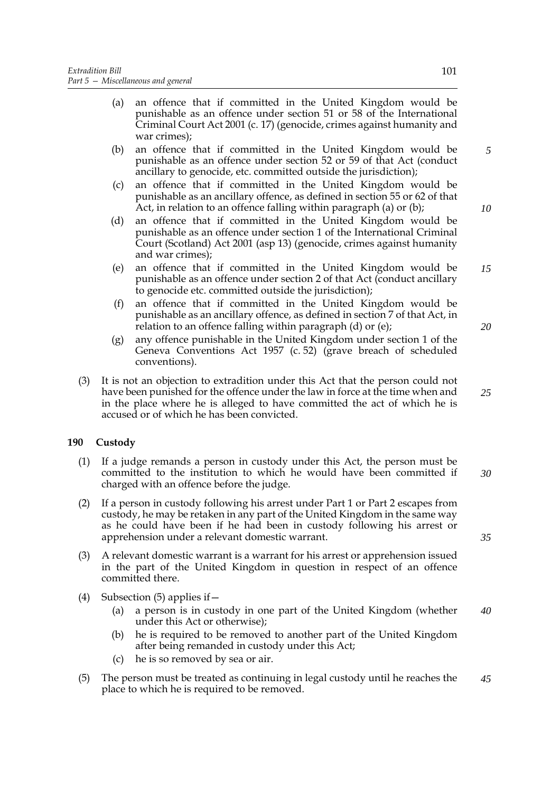- (a) an offence that if committed in the United Kingdom would be punishable as an offence under section 51 or 58 of the International Criminal Court Act 2001 (c. 17) (genocide, crimes against humanity and war crimes);
- (b) an offence that if committed in the United Kingdom would be punishable as an offence under section 52 or 59 of that Act (conduct ancillary to genocide, etc. committed outside the jurisdiction);
- (c) an offence that if committed in the United Kingdom would be punishable as an ancillary offence, as defined in section 55 or 62 of that Act, in relation to an offence falling within paragraph (a) or (b);
- (d) an offence that if committed in the United Kingdom would be punishable as an offence under section 1 of the International Criminal Court (Scotland) Act 2001 (asp 13) (genocide, crimes against humanity and war crimes);
- (e) an offence that if committed in the United Kingdom would be punishable as an offence under section 2 of that Act (conduct ancillary to genocide etc. committed outside the jurisdiction); *15*
- (f) an offence that if committed in the United Kingdom would be punishable as an ancillary offence, as defined in section 7 of that Act, in relation to an offence falling within paragraph (d) or (e);
- (g) any offence punishable in the United Kingdom under section 1 of the Geneva Conventions Act 1957 (c. 52) (grave breach of scheduled conventions).
- (3) It is not an objection to extradition under this Act that the person could not have been punished for the offence under the law in force at the time when and in the place where he is alleged to have committed the act of which he is accused or of which he has been convicted.

#### **190 Custody**

- (1) If a judge remands a person in custody under this Act, the person must be committed to the institution to which he would have been committed if charged with an offence before the judge. *30*
- (2) If a person in custody following his arrest under Part 1 or Part 2 escapes from custody, he may be retaken in any part of the United Kingdom in the same way as he could have been if he had been in custody following his arrest or apprehension under a relevant domestic warrant.
- (3) A relevant domestic warrant is a warrant for his arrest or apprehension issued in the part of the United Kingdom in question in respect of an offence committed there.
- (4) Subsection (5) applies if—
	- (a) a person is in custody in one part of the United Kingdom (whether under this Act or otherwise); *40*
	- (b) he is required to be removed to another part of the United Kingdom after being remanded in custody under this Act;
	- (c) he is so removed by sea or air.
- (5) The person must be treated as continuing in legal custody until he reaches the place to which he is required to be removed. *45*

*35*

*10*

*5*

*25*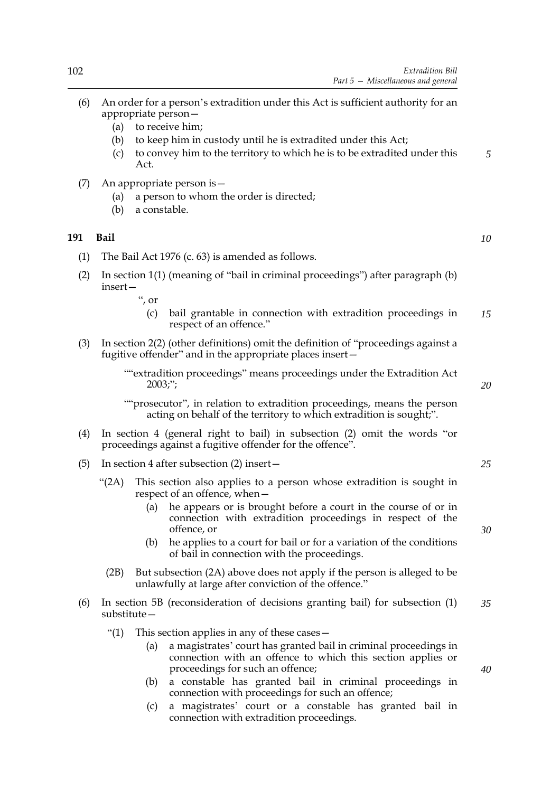- (6) An order for a person's extradition under this Act is sufficient authority for an appropriate person—
	- (a) to receive him;
	- (b) to keep him in custody until he is extradited under this Act;
	- (c) to convey him to the territory to which he is to be extradited under this Act. *5*
- (7) An appropriate person is—
	- (a) a person to whom the order is directed;
	- (b) a constable.

#### **191 Bail**

*10*

- (1) The Bail Act 1976 (c. 63) is amended as follows.
- (2) In section 1(1) (meaning of "bail in criminal proceedings") after paragraph (b) insert—
	- ", or
		- (c) bail grantable in connection with extradition proceedings in respect of an offence." *15*
- (3) In section 2(2) (other definitions) omit the definition of "proceedings against a fugitive offender" and in the appropriate places insert—

""extradition proceedings" means proceedings under the Extradition Act 2003;";

""prosecutor", in relation to extradition proceedings, means the person acting on behalf of the territory to which extradition is sought;".

- (4) In section 4 (general right to bail) in subsection (2) omit the words "or proceedings against a fugitive offender for the offence".
- (5) In section 4 after subsection (2) insert—
	- "(2A) This section also applies to a person whose extradition is sought in respect of an offence, when—
		- (a) he appears or is brought before a court in the course of or in connection with extradition proceedings in respect of the offence, or
		- (b) he applies to a court for bail or for a variation of the conditions of bail in connection with the proceedings.
		- (2B) But subsection (2A) above does not apply if the person is alleged to be unlawfully at large after conviction of the offence."
- (6) In section 5B (reconsideration of decisions granting bail) for subsection (1) substitute— *35*
	- "(1) This section applies in any of these cases—
		- (a) a magistrates' court has granted bail in criminal proceedings in connection with an offence to which this section applies or proceedings for such an offence;
		- (b) a constable has granted bail in criminal proceedings in connection with proceedings for such an offence;
		- (c) a magistrates' court or a constable has granted bail in connection with extradition proceedings.

*25*

*20*

*30*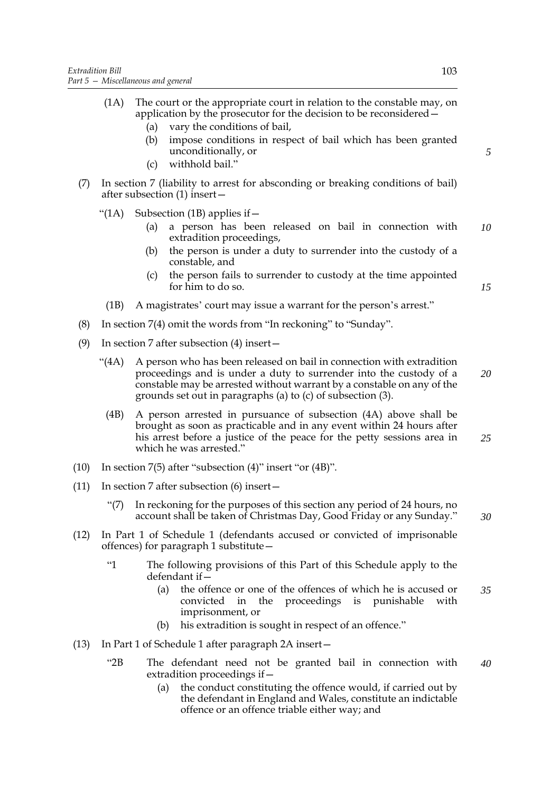- (1A) The court or the appropriate court in relation to the constable may, on application by the prosecutor for the decision to be reconsidered—
	- (a) vary the conditions of bail,
	- (b) impose conditions in respect of bail which has been granted unconditionally, or
	- (c) withhold bail."
- (7) In section 7 (liability to arrest for absconding or breaking conditions of bail) after subsection (1) insert—
	- "(1A) Subsection (1B) applies if  $-$ 
		- (a) a person has been released on bail in connection with extradition proceedings, *10*
		- (b) the person is under a duty to surrender into the custody of a constable, and
		- (c) the person fails to surrender to custody at the time appointed for him to do so.
		- (1B) A magistrates' court may issue a warrant for the person's arrest."
- (8) In section 7(4) omit the words from "In reckoning" to "Sunday".
- (9) In section 7 after subsection (4) insert—
	- "(4A) A person who has been released on bail in connection with extradition proceedings and is under a duty to surrender into the custody of a constable may be arrested without warrant by a constable on any of the grounds set out in paragraphs (a) to (c) of subsection (3). *20*
		- (4B) A person arrested in pursuance of subsection (4A) above shall be brought as soon as practicable and in any event within 24 hours after his arrest before a justice of the peace for the petty sessions area in which he was arrested." *25*
- (10) In section 7(5) after "subsection (4)" insert "or (4B)".
- (11) In section 7 after subsection (6) insert—
	- "(7) In reckoning for the purposes of this section any period of 24 hours, no account shall be taken of Christmas Day, Good Friday or any Sunday."
- (12) In Part 1 of Schedule 1 (defendants accused or convicted of imprisonable offences) for paragraph 1 substitute—
	- "1 The following provisions of this Part of this Schedule apply to the defendant if—
		- (a) the offence or one of the offences of which he is accused or convicted in the proceedings is punishable with imprisonment, or *35*
		- (b) his extradition is sought in respect of an offence."
- (13) In Part 1 of Schedule 1 after paragraph 2A insert—
	- "2B The defendant need not be granted bail in connection with extradition proceedings if— *40*
		- (a) the conduct constituting the offence would, if carried out by the defendant in England and Wales, constitute an indictable offence or an offence triable either way; and

*5*

*15*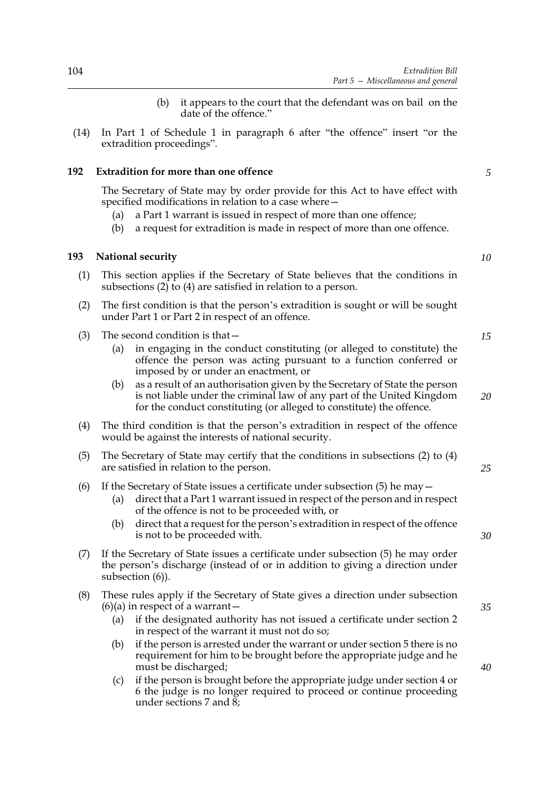- (b) it appears to the court that the defendant was on bail on the date of the offence."
- (14) In Part 1 of Schedule 1 in paragraph 6 after "the offence" insert "or the extradition proceedings".

#### **192 Extradition for more than one offence**

The Secretary of State may by order provide for this Act to have effect with specified modifications in relation to a case where—

- (a) a Part 1 warrant is issued in respect of more than one offence;
- (b) a request for extradition is made in respect of more than one offence.

#### **193 National security**

- (1) This section applies if the Secretary of State believes that the conditions in subsections  $(2)$  to  $(4)$  are satisfied in relation to a person.
- (2) The first condition is that the person's extradition is sought or will be sought under Part 1 or Part 2 in respect of an offence.
- (3) The second condition is that—
	- (a) in engaging in the conduct constituting (or alleged to constitute) the offence the person was acting pursuant to a function conferred or imposed by or under an enactment, or
	- (b) as a result of an authorisation given by the Secretary of State the person is not liable under the criminal law of any part of the United Kingdom for the conduct constituting (or alleged to constitute) the offence.
- (4) The third condition is that the person's extradition in respect of the offence would be against the interests of national security.
- (5) The Secretary of State may certify that the conditions in subsections (2) to (4) are satisfied in relation to the person.

#### (6) If the Secretary of State issues a certificate under subsection  $(5)$  he may  $-$

- (a) direct that a Part 1 warrant issued in respect of the person and in respect of the offence is not to be proceeded with, or
- (b) direct that a request for the person's extradition in respect of the offence is not to be proceeded with.
- (7) If the Secretary of State issues a certificate under subsection (5) he may order the person's discharge (instead of or in addition to giving a direction under subsection  $(6)$ ).
- (8) These rules apply if the Secretary of State gives a direction under subsection  $(6)(a)$  in respect of a warrant –
	- (a) if the designated authority has not issued a certificate under section 2 in respect of the warrant it must not do so;
	- (b) if the person is arrested under the warrant or under section 5 there is no requirement for him to be brought before the appropriate judge and he must be discharged;
	- (c) if the person is brought before the appropriate judge under section 4 or [6](#page-10-0) the judge is no longer required to proceed or continue proceeding under sections 7 and 8;

*5*

*15*

*10*

*20*

*30*

*35*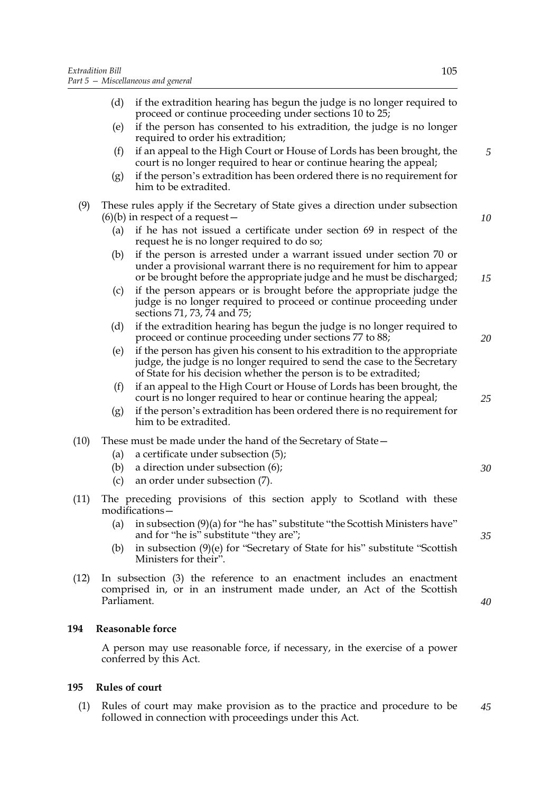- (d) if the extradition hearing has begun the judge is no longer required to proceed or continue proceeding under sections 10 to 25;
- (e) if the person has consented to his extradition, the judge is no longer required to order his extradition;
- (f) if an appeal to the High Court or House of Lords has been brought, the court is no longer required to hear or continue hearing the appeal;
- (g) if the person's extradition has been ordered there is no requirement for him to be extradited.
- (9) These rules apply if the Secretary of State gives a direction under subsection  $(6)(b)$  in respect of a request –
	- (a) if he has not issued a certificate under section 69 in respect of the request he is no longer required to do so;
	- (b) if the person is arrested under a warrant issued under section 70 or under a provisional warrant there is no requirement for him to appear or be brought before the appropriate judge and he must be discharged;
	- (c) if the person appears or is brought before the appropriate judge the judge is no longer required to proceed or continue proceeding under sections [71](#page-43-0), 73, 74 and 75;
	- (d) if the extradition hearing has begun the judge is no longer required to proceed or continue proceeding under sections 77 to 88;
	- (e) if the person has given his consent to his extradition to the appropriate judge, the judge is no longer required to send the case to the Secretary of State for his decision whether the person is to be extradited;
	- (f) if an appeal to the High Court or House of Lords has been brought, the court is no longer required to hear or continue hearing the appeal;
	- (g) if the person's extradition has been ordered there is no requirement for him to be extradited.

#### (10) These must be made under the hand of the Secretary of State—

- (a) a certificate under subsection (5);
- (b) a direction under subsection (6);
- (c) an order under subsection (7).
- (11) The preceding provisions of this section apply to Scotland with these modifications—
	- (a) in subsection (9)(a) for "he has" substitute "the Scottish Ministers have" and for "he is" substitute "they are";
	- (b) in subsection (9)(e) for "Secretary of State for his" substitute "Scottish Ministers for their".
- (12) In subsection (3) the reference to an enactment includes an enactment comprised in, or in an instrument made under, an Act of the Scottish Parliament.

#### **194 Reasonable force**

A person may use reasonable force, if necessary, in the exercise of a power conferred by this Act.

#### **195 Rules of court**

(1) Rules of court may make provision as to the practice and procedure to be followed in connection with proceedings under this Act. *45*

*5*

*10*

*15*

*20*

*25*

*35*

*30*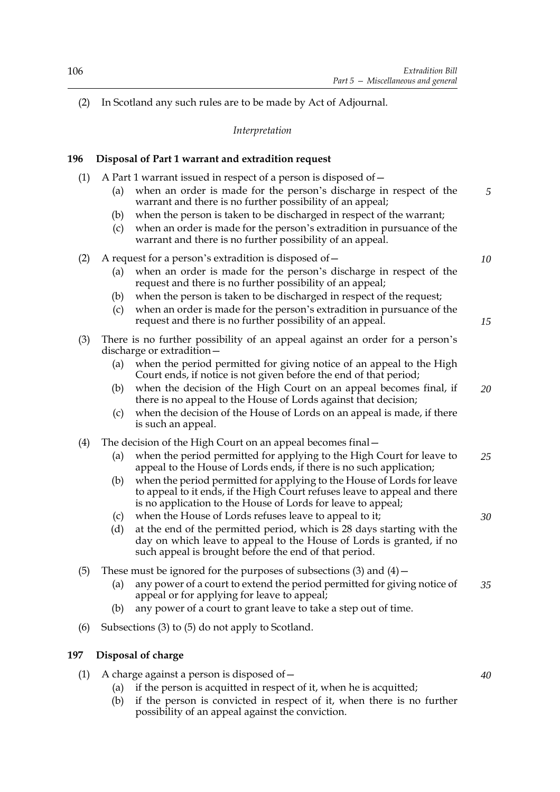*Interpretation*

#### **196 Disposal of Part 1 warrant and extradition request**

- (1) A Part 1 warrant issued in respect of a person is disposed of  $-$ 
	- (a) when an order is made for the person's discharge in respect of the warrant and there is no further possibility of an appeal; *5*
	- (b) when the person is taken to be discharged in respect of the warrant;
	- (c) when an order is made for the person's extradition in pursuance of the warrant and there is no further possibility of an appeal.

#### (2) A request for a person's extradition is disposed of  $-$

- (a) when an order is made for the person's discharge in respect of the request and there is no further possibility of an appeal;
- (b) when the person is taken to be discharged in respect of the request;
- (c) when an order is made for the person's extradition in pursuance of the request and there is no further possibility of an appeal.
- (3) There is no further possibility of an appeal against an order for a person's discharge or extradition—
	- (a) when the period permitted for giving notice of an appeal to the High Court ends, if notice is not given before the end of that period;
	- (b) when the decision of the High Court on an appeal becomes final, if there is no appeal to the House of Lords against that decision; *20*
	- (c) when the decision of the House of Lords on an appeal is made, if there is such an appeal.
- (4) The decision of the High Court on an appeal becomes final—
	- (a) when the period permitted for applying to the High Court for leave to appeal to the House of Lords ends, if there is no such application; *25*
	- (b) when the period permitted for applying to the House of Lords for leave to appeal to it ends, if the High Court refuses leave to appeal and there is no application to the House of Lords for leave to appeal;
	- (c) when the House of Lords refuses leave to appeal to it;
	- (d) at the end of the permitted period, which is 28 days starting with the day on which leave to appeal to the House of Lords is granted, if no such appeal is brought before the end of that period.
- (5) These must be ignored for the purposes of subsections (3) and  $(4)$ 
	- (a) any power of a court to extend the period permitted for giving notice of appeal or for applying for leave to appeal; *35*
	- (b) any power of a court to grant leave to take a step out of time.
- (6) Subsections (3) to (5) do not apply to Scotland.

#### **197 Disposal of charge**

- (1) A charge against a person is disposed of—
	- (a) if the person is acquitted in respect of it, when he is acquitted;
	- (b) if the person is convicted in respect of it, when there is no further possibility of an appeal against the conviction.

*15*

*10*

*30*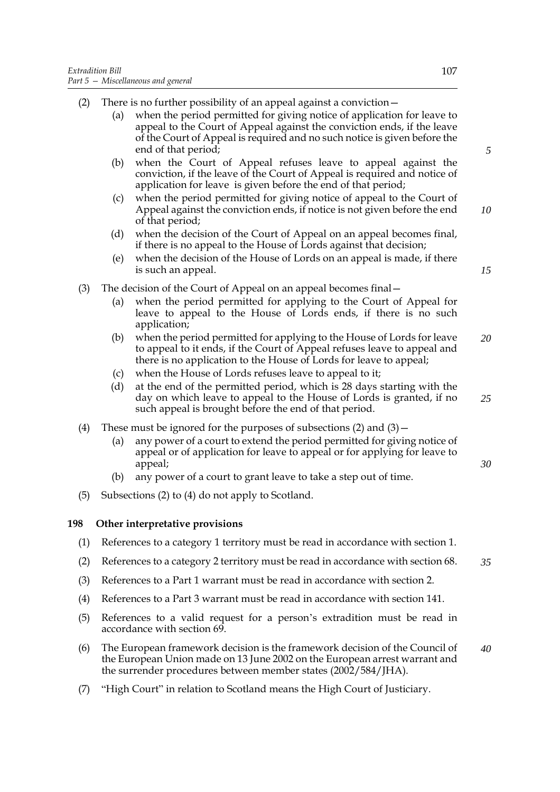- (2) There is no further possibility of an appeal against a conviction—
	- (a) when the period permitted for giving notice of application for leave to appeal to the Court of Appeal against the conviction ends, if the leave of the Court of Appeal is required and no such notice is given before the end of that period;
	- (b) when the Court of Appeal refuses leave to appeal against the conviction, if the leave of the Court of Appeal is required and notice of application for leave is given before the end of that period;
	- (c) when the period permitted for giving notice of appeal to the Court of Appeal against the conviction ends, if notice is not given before the end of that period;
	- (d) when the decision of the Court of Appeal on an appeal becomes final, if there is no appeal to the House of Lords against that decision;
	- (e) when the decision of the House of Lords on an appeal is made, if there is such an appeal.
- (3) The decision of the Court of Appeal on an appeal becomes final—
	- (a) when the period permitted for applying to the Court of Appeal for leave to appeal to the House of Lords ends, if there is no such application;
	- (b) when the period permitted for applying to the House of Lords for leave to appeal to it ends, if the Court of Appeal refuses leave to appeal and there is no application to the House of Lords for leave to appeal; *20*
	- (c) when the House of Lords refuses leave to appeal to it;
	- (d) at the end of the permitted period, which is 28 days starting with the day on which leave to appeal to the House of Lords is granted, if no such appeal is brought before the end of that period. *25*
- (4) These must be ignored for the purposes of subsections (2) and (3)  $-$ 
	- (a) any power of a court to extend the period permitted for giving notice of appeal or of application for leave to appeal or for applying for leave to appeal;
	- (b) any power of a court to grant leave to take a step out of time.
- (5) Subsections (2) to (4) do not apply to Scotland.

#### **198 Other interpretative provisions**

- (1) References to a category 1 territory must be read in accordance with section 1.
- (2) References to a category 2 territory must be read in accordance with section 68. *35*
- (3) References to a Part 1 warrant must be read in accordance with section 2.
- (4) References to a Part 3 warrant must be read in accordance with section 141.
- (5) References to a valid request for a person's extradition must be read in accordance with section 69.
- (6) The European framework decision is the framework decision of the Council of the European Union made on 13 June 2002 on the European arrest warrant and the surrender procedures between member states (2002/584/JHA). *40*
- (7) "High Court" in relation to Scotland means the High Court of Justiciary.

*5*

*10*

*15*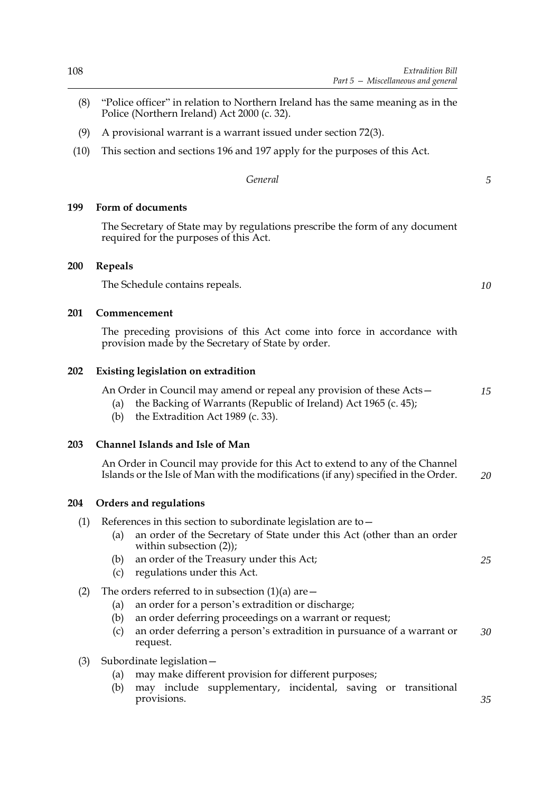- (8) "Police officer" in relation to Northern Ireland has the same meaning as in the Police (Northern Ireland) Act 2000 (c. 32).
- (9) A provisional warrant is a warrant issued under section 72(3).
- (10) This section and sections 196 and 197 apply for the purposes of this Act.

*General*

#### **199 Form of documents**

The Secretary of State may by regulations prescribe the form of any document required for the purposes of this Act.

#### **200 Repeals**

<span id="page-115-0"></span>The Schedule contains repeals.

#### **201 Commencement**

The preceding provisions of this Act come into force in accordance with provision made by the Secretary of State by order.

#### **202 Existing legislation on extradition**

An Order in Council may amend or repeal any provision of these Acts—

- (a) the Backing of Warrants (Republic of Ireland) Act 1965 (c. 45);
- (b) the Extradition Act 1989 (c. 33).

#### **203 Channel Islands and Isle of Man**

An Order in Council may provide for this Act to extend to any of the Channel Islands or the Isle of Man with the modifications (if any) specified in the Order. *20*

#### **204 Orders and regulations**

| (1) | References in this section to subordinate legislation are to $-$ |                                                                                                                                                                                                                                                             |    |
|-----|------------------------------------------------------------------|-------------------------------------------------------------------------------------------------------------------------------------------------------------------------------------------------------------------------------------------------------------|----|
|     | (a)<br>(b)<br>(c)                                                | an order of the Secretary of State under this Act (other than an order<br>within subsection $(2)$ );<br>an order of the Treasury under this Act;<br>regulations under this Act.                                                                             | 25 |
| (2) | (a)<br>(b)<br>(c)                                                | The orders referred to in subsection $(1)(a)$ are $-$<br>an order for a person's extradition or discharge;<br>an order deferring proceedings on a warrant or request;<br>an order deferring a person's extradition in pursuance of a warrant or<br>request. | 30 |
| (3) | (a)<br>(b)                                                       | Subordinate legislation-<br>may make different provision for different purposes;<br>may include supplementary, incidental, saving or transitional<br>provisions.                                                                                            | 35 |

*5*

*10*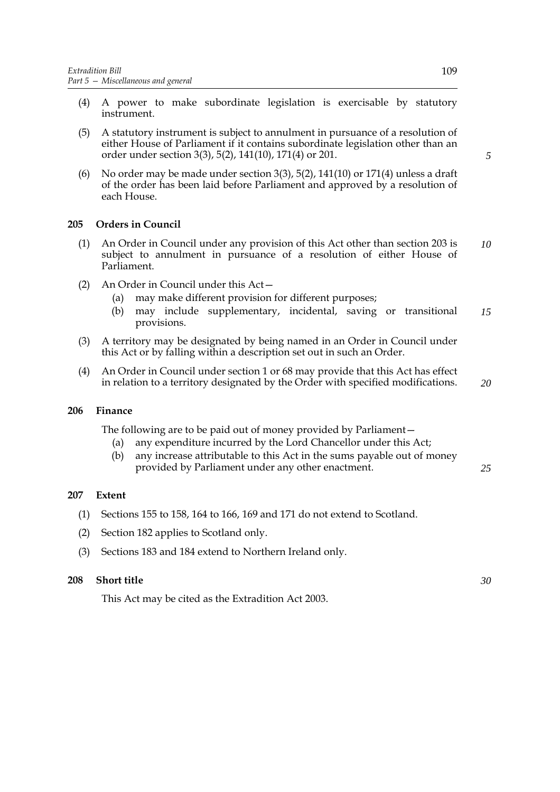- (4) A power to make subordinate legislation is exercisable by statutory instrument.
- (5) A statutory instrument is subject to annulment in pursuance of a resolution of either House of Parliament if it contains subordinate legislation other than an order under section 3(3), 5(2), 141(10), 171(4) or 201.
- (6) No order may be made under section 3(3), 5(2), 141(10) or 171(4) unless a draft of the order has been laid before Parliament and approved by a resolution of each House.

#### **205 Orders in Council**

- (1) An Order in Council under any provision of this Act other than section 203 is subject to annulment in pursuance of a resolution of either House of Parliament. *10*
- (2) An Order in Council under this Act—
	- (a) may make different provision for different purposes;
	- (b) may include supplementary, incidental, saving or transitional provisions. *15*
- (3) A territory may be designated by being named in an Order in Council under this Act or by falling within a description set out in such an Order.
- (4) An Order in Council under section 1 or 68 may provide that this Act has effect in relation to a territory designated by the Order with specified modifications. *20*

#### **206 Finance**

The following are to be paid out of money provided by Parliament—

- (a) any expenditure incurred by the Lord Chancellor under this Act;
- (b) any increase attributable to this Act in the sums payable out of money provided by Parliament under any other enactment.

#### **207 Extent**

- (1) Sections 155 to 158, 164 to 166, 169 and 171 do not extend to Scotland.
- (2) Section 182 applies to Scotland only.
- (3) Sections 183 and 184 extend to Northern Ireland only.

#### **208 Short title**

This Act may be cited as the Extradition Act 2003.

*25*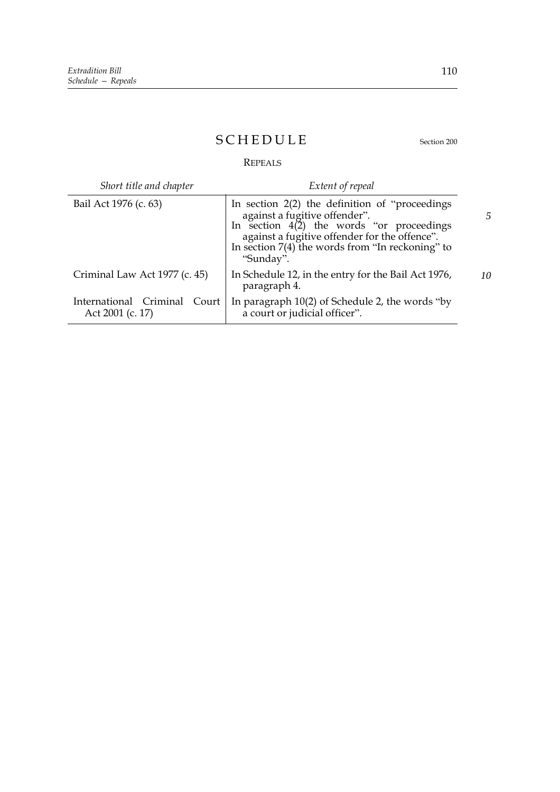## SCHEDULE Section [200](#page-115-0)

REPEALS

| Short title and chapter                             | Extent of repeal                                                                                                                                                                                                                                      |    |
|-----------------------------------------------------|-------------------------------------------------------------------------------------------------------------------------------------------------------------------------------------------------------------------------------------------------------|----|
| Bail Act 1976 (c. 63)                               | In section $2(2)$ the definition of "proceedings"<br>against a fugitive offender".<br>In section $4(2)$ the words "or proceedings<br>against a fugitive offender for the offence".<br>In section $7(4)$ the words from "In reckoning" to<br>"Sunday". |    |
| Criminal Law Act 1977 (c. 45)                       | In Schedule 12, in the entry for the Bail Act 1976,<br>paragraph 4.                                                                                                                                                                                   | 10 |
| International Criminal<br>Court<br>Act 2001 (c. 17) | In paragraph $10(2)$ of Schedule 2, the words "by"<br>a court or judicial officer".                                                                                                                                                                   |    |